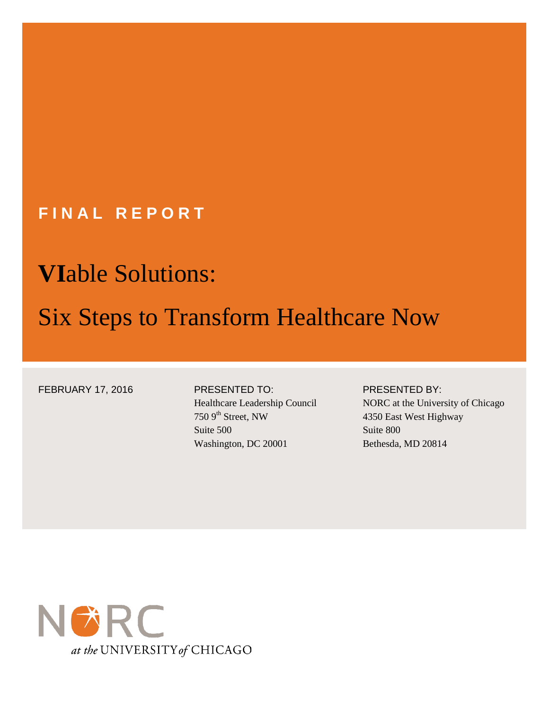# **FINAL REPORT**

# **VI**able Solutions:

# Six Steps to Transform Healthcare Now

FEBRUARY 17, 2016 PRESENTED TO:

# Healthcare Leadership Council

### $750$  9<sup>th</sup> Street, NW Suite 500 Washington, DC 20001

#### PRESENTED BY:

NORC at the University of Chicago 4350 East West Highway Suite 800 Bethesda, MD 20814

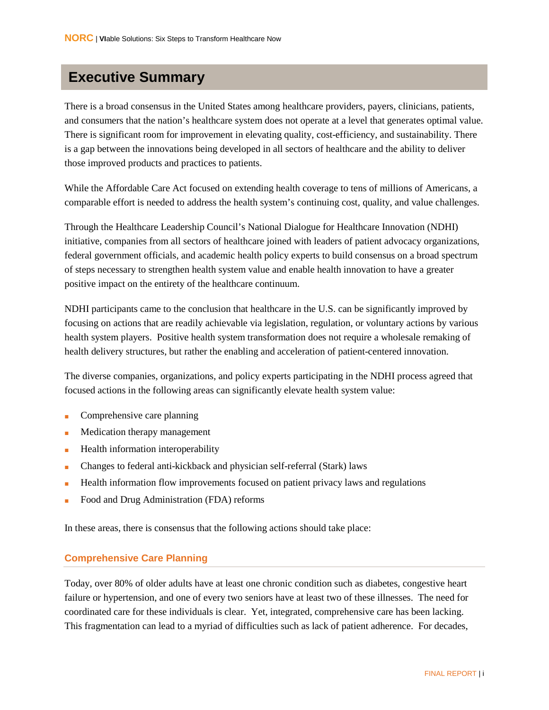### **Executive Summary**

There is a broad consensus in the United States among healthcare providers, payers, clinicians, patients, and consumers that the nation's healthcare system does not operate at a level that generates optimal value. There is significant room for improvement in elevating quality, cost-efficiency, and sustainability. There is a gap between the innovations being developed in all sectors of healthcare and the ability to deliver those improved products and practices to patients.

While the Affordable Care Act focused on extending health coverage to tens of millions of Americans, a comparable effort is needed to address the health system's continuing cost, quality, and value challenges.

Through the Healthcare Leadership Council's National Dialogue for Healthcare Innovation (NDHI) initiative, companies from all sectors of healthcare joined with leaders of patient advocacy organizations, federal government officials, and academic health policy experts to build consensus on a broad spectrum of steps necessary to strengthen health system value and enable health innovation to have a greater positive impact on the entirety of the healthcare continuum.

NDHI participants came to the conclusion that healthcare in the U.S. can be significantly improved by focusing on actions that are readily achievable via legislation, regulation, or voluntary actions by various health system players. Positive health system transformation does not require a wholesale remaking of health delivery structures, but rather the enabling and acceleration of patient-centered innovation.

The diverse companies, organizations, and policy experts participating in the NDHI process agreed that focused actions in the following areas can significantly elevate health system value:

- Comprehensive care planning
- Medication therapy management
- Health information interoperability
- Changes to federal anti-kickback and physician self-referral (Stark) laws
- Health information flow improvements focused on patient privacy laws and regulations
- Food and Drug Administration (FDA) reforms

In these areas, there is consensus that the following actions should take place:

#### **Comprehensive Care Planning**

Today, over 80% of older adults have at least one chronic condition such as diabetes, congestive heart failure or hypertension, and one of every two seniors have at least two of these illnesses. The need for coordinated care for these individuals is clear. Yet, integrated, comprehensive care has been lacking. This fragmentation can lead to a myriad of difficulties such as lack of patient adherence. For decades,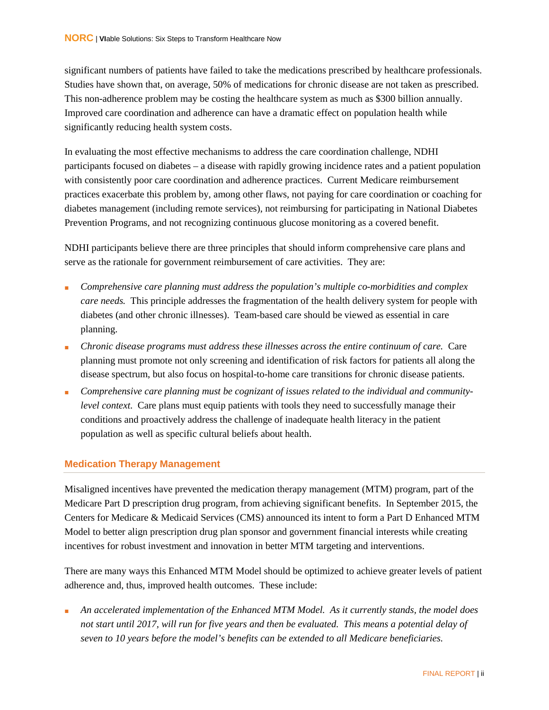significant numbers of patients have failed to take the medications prescribed by healthcare professionals. Studies have shown that, on average, 50% of medications for chronic disease are not taken as prescribed. This non-adherence problem may be costing the healthcare system as much as \$300 billion annually. Improved care coordination and adherence can have a dramatic effect on population health while significantly reducing health system costs.

In evaluating the most effective mechanisms to address the care coordination challenge, NDHI participants focused on diabetes – a disease with rapidly growing incidence rates and a patient population with consistently poor care coordination and adherence practices. Current Medicare reimbursement practices exacerbate this problem by, among other flaws, not paying for care coordination or coaching for diabetes management (including remote services), not reimbursing for participating in National Diabetes Prevention Programs, and not recognizing continuous glucose monitoring as a covered benefit.

NDHI participants believe there are three principles that should inform comprehensive care plans and serve as the rationale for government reimbursement of care activities. They are:

- *Comprehensive care planning must address the population's multiple co-morbidities and complex care needs.* This principle addresses the fragmentation of the health delivery system for people with diabetes (and other chronic illnesses). Team-based care should be viewed as essential in care planning.
- *Chronic disease programs must address these illnesses across the entire continuum of care.* Care planning must promote not only screening and identification of risk factors for patients all along the disease spectrum, but also focus on hospital-to-home care transitions for chronic disease patients.
- Comprehensive care planning must be cognizant of issues related to the individual and community*level context.* Care plans must equip patients with tools they need to successfully manage their conditions and proactively address the challenge of inadequate health literacy in the patient population as well as specific cultural beliefs about health.

#### **Medication Therapy Management**

Misaligned incentives have prevented the medication therapy management (MTM) program, part of the Medicare Part D prescription drug program, from achieving significant benefits. In September 2015, the Centers for Medicare & Medicaid Services (CMS) announced its intent to form a Part D Enhanced MTM Model to better align prescription drug plan sponsor and government financial interests while creating incentives for robust investment and innovation in better MTM targeting and interventions.

There are many ways this Enhanced MTM Model should be optimized to achieve greater levels of patient adherence and, thus, improved health outcomes. These include:

An accelerated implementation of the Enhanced MTM Model. As it currently stands, the model does *not start until 2017, will run for five years and then be evaluated. This means a potential delay of seven to 10 years before the model's benefits can be extended to all Medicare beneficiaries.*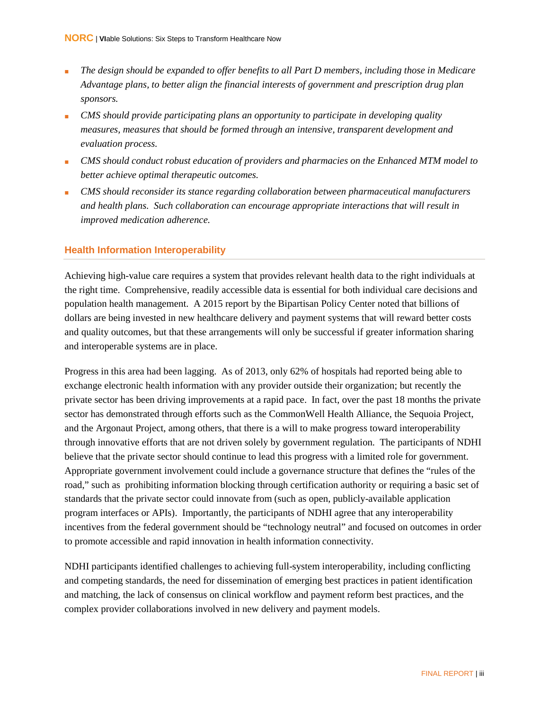- *The design should be expanded to offer benefits to all Part D members, including those in Medicare Advantage plans, to better align the financial interests of government and prescription drug plan sponsors.*
- *CMS should provide participating plans an opportunity to participate in developing quality measures, measures that should be formed through an intensive, transparent development and evaluation process.*
- *CMS should conduct robust education of providers and pharmacies on the Enhanced MTM model to better achieve optimal therapeutic outcomes.*
- *CMS should reconsider its stance regarding collaboration between pharmaceutical manufacturers and health plans. Such collaboration can encourage appropriate interactions that will result in improved medication adherence.*

#### **Health Information Interoperability**

Achieving high-value care requires a system that provides relevant health data to the right individuals at the right time. Comprehensive, readily accessible data is essential for both individual care decisions and population health management. A 2015 report by the Bipartisan Policy Center noted that billions of dollars are being invested in new healthcare delivery and payment systems that will reward better costs and quality outcomes, but that these arrangements will only be successful if greater information sharing and interoperable systems are in place.

Progress in this area had been lagging. As of 2013, only 62% of hospitals had reported being able to exchange electronic health information with any provider outside their organization; but recently the private sector has been driving improvements at a rapid pace. In fact, over the past 18 months the private sector has demonstrated through efforts such as the CommonWell Health Alliance, the Sequoia Project, and the Argonaut Project, among others, that there is a will to make progress toward interoperability through innovative efforts that are not driven solely by government regulation. The participants of NDHI believe that the private sector should continue to lead this progress with a limited role for government. Appropriate government involvement could include a governance structure that defines the "rules of the road," such as prohibiting information blocking through certification authority or requiring a basic set of standards that the private sector could innovate from (such as open, publicly-available application program interfaces or APIs). Importantly, the participants of NDHI agree that any interoperability incentives from the federal government should be "technology neutral" and focused on outcomes in order to promote accessible and rapid innovation in health information connectivity.

NDHI participants identified challenges to achieving full-system interoperability, including conflicting and competing standards, the need for dissemination of emerging best practices in patient identification and matching, the lack of consensus on clinical workflow and payment reform best practices, and the complex provider collaborations involved in new delivery and payment models.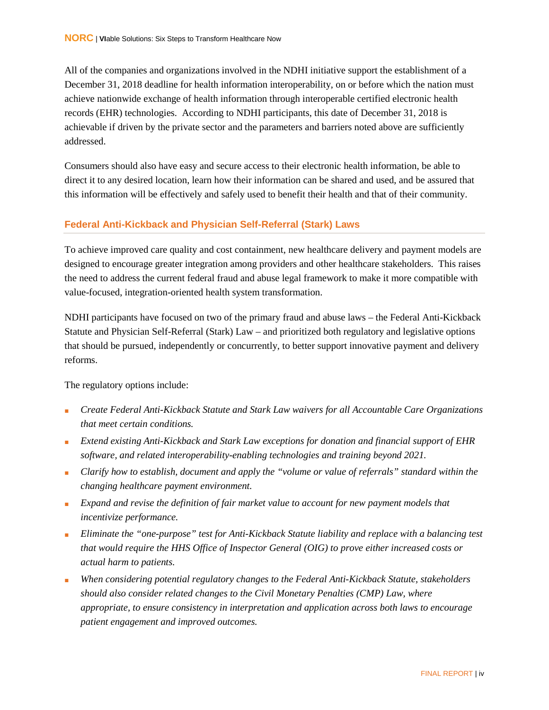All of the companies and organizations involved in the NDHI initiative support the establishment of a December 31, 2018 deadline for health information interoperability, on or before which the nation must achieve nationwide exchange of health information through interoperable certified electronic health records (EHR) technologies. According to NDHI participants, this date of December 31, 2018 is achievable if driven by the private sector and the parameters and barriers noted above are sufficiently addressed.

Consumers should also have easy and secure access to their electronic health information, be able to direct it to any desired location, learn how their information can be shared and used, and be assured that this information will be effectively and safely used to benefit their health and that of their community.

#### **Federal Anti-Kickback and Physician Self-Referral (Stark) Laws**

To achieve improved care quality and cost containment, new healthcare delivery and payment models are designed to encourage greater integration among providers and other healthcare stakeholders. This raises the need to address the current federal fraud and abuse legal framework to make it more compatible with value-focused, integration-oriented health system transformation.

NDHI participants have focused on two of the primary fraud and abuse laws – the Federal Anti-Kickback Statute and Physician Self-Referral (Stark) Law – and prioritized both regulatory and legislative options that should be pursued, independently or concurrently, to better support innovative payment and delivery reforms.

The regulatory options include:

- *Create Federal Anti-Kickback Statute and Stark Law waivers for all Accountable Care Organizations that meet certain conditions.*
- *Extend existing Anti-Kickback and Stark Law exceptions for donation and financial support of EHR software, and related interoperability-enabling technologies and training beyond 2021.*
- *Clarify how to establish, document and apply the "volume or value of referrals" standard within the changing healthcare payment environment.*
- *Expand and revise the definition of fair market value to account for new payment models that incentivize performance.*
- *Eliminate the "one-purpose" test for Anti-Kickback Statute liability and replace with a balancing test that would require the HHS Office of Inspector General (OIG) to prove either increased costs or actual harm to patients.*
- *When considering potential regulatory changes to the Federal Anti-Kickback Statute, stakeholders should also consider related changes to the Civil Monetary Penalties (CMP) Law, where appropriate, to ensure consistency in interpretation and application across both laws to encourage patient engagement and improved outcomes.*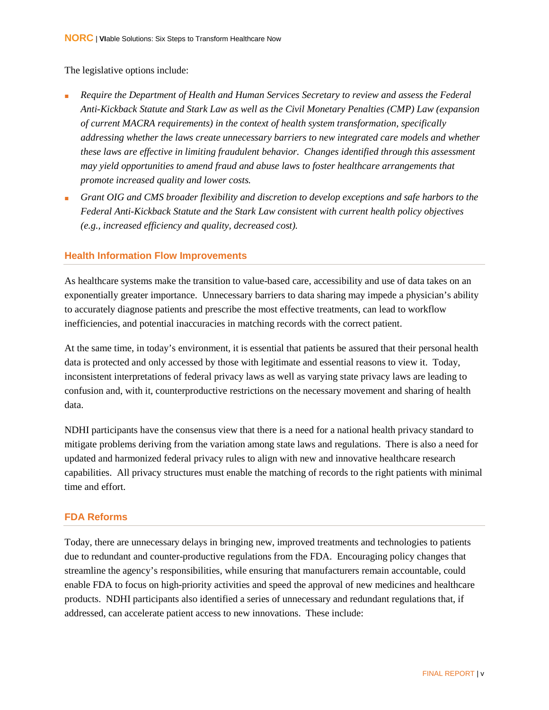#### The legislative options include:

- *Require the Department of Health and Human Services Secretary to review and assess the Federal Anti-Kickback Statute and Stark Law as well as the Civil Monetary Penalties (CMP) Law (expansion of current MACRA requirements) in the context of health system transformation, specifically addressing whether the laws create unnecessary barriers to new integrated care models and whether these laws are effective in limiting fraudulent behavior. Changes identified through this assessment may yield opportunities to amend fraud and abuse laws to foster healthcare arrangements that promote increased quality and lower costs.*
- *Grant OIG and CMS broader flexibility and discretion to develop exceptions and safe harbors to the Federal Anti-Kickback Statute and the Stark Law consistent with current health policy objectives (e.g., increased efficiency and quality, decreased cost).*

#### **Health Information Flow Improvements**

As healthcare systems make the transition to value-based care, accessibility and use of data takes on an exponentially greater importance. Unnecessary barriers to data sharing may impede a physician's ability to accurately diagnose patients and prescribe the most effective treatments, can lead to workflow inefficiencies, and potential inaccuracies in matching records with the correct patient.

At the same time, in today's environment, it is essential that patients be assured that their personal health data is protected and only accessed by those with legitimate and essential reasons to view it. Today, inconsistent interpretations of federal privacy laws as well as varying state privacy laws are leading to confusion and, with it, counterproductive restrictions on the necessary movement and sharing of health data.

NDHI participants have the consensus view that there is a need for a national health privacy standard to mitigate problems deriving from the variation among state laws and regulations. There is also a need for updated and harmonized federal privacy rules to align with new and innovative healthcare research capabilities. All privacy structures must enable the matching of records to the right patients with minimal time and effort.

#### **FDA Reforms**

Today, there are unnecessary delays in bringing new, improved treatments and technologies to patients due to redundant and counter-productive regulations from the FDA. Encouraging policy changes that streamline the agency's responsibilities, while ensuring that manufacturers remain accountable, could enable FDA to focus on high-priority activities and speed the approval of new medicines and healthcare products. NDHI participants also identified a series of unnecessary and redundant regulations that, if addressed, can accelerate patient access to new innovations. These include: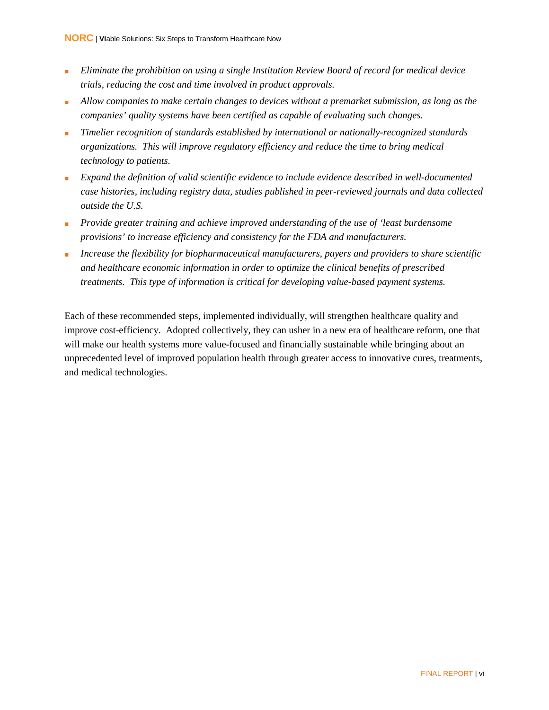- *Eliminate the prohibition on using a single Institution Review Board of record for medical device trials, reducing the cost and time involved in product approvals.*
- *Allow companies to make certain changes to devices without a premarket submission, as long as the companies' quality systems have been certified as capable of evaluating such changes.*
- *Timelier recognition of standards established by international or nationally-recognized standards organizations. This will improve regulatory efficiency and reduce the time to bring medical technology to patients.*
- *Expand the definition of valid scientific evidence to include evidence described in well-documented case histories, including registry data, studies published in peer-reviewed journals and data collected outside the U.S.*
- *Provide greater training and achieve improved understanding of the use of 'least burdensome provisions' to increase efficiency and consistency for the FDA and manufacturers.*
- *Increase the flexibility for biopharmaceutical manufacturers, payers and providers to share scientific and healthcare economic information in order to optimize the clinical benefits of prescribed treatments. This type of information is critical for developing value-based payment systems.*

Each of these recommended steps, implemented individually, will strengthen healthcare quality and improve cost-efficiency. Adopted collectively, they can usher in a new era of healthcare reform, one that will make our health systems more value-focused and financially sustainable while bringing about an unprecedented level of improved population health through greater access to innovative cures, treatments, and medical technologies.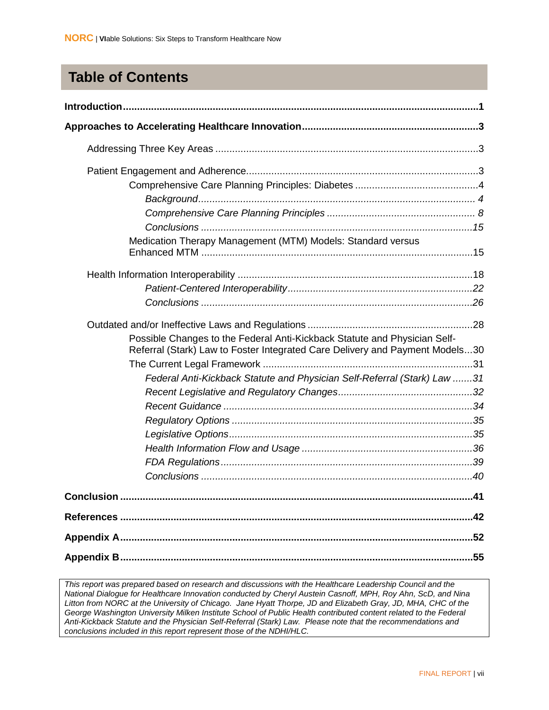## **Table of Contents**

| Medication Therapy Management (MTM) Models: Standard versus                                                                                               |     |
|-----------------------------------------------------------------------------------------------------------------------------------------------------------|-----|
|                                                                                                                                                           |     |
|                                                                                                                                                           |     |
|                                                                                                                                                           |     |
|                                                                                                                                                           |     |
| Possible Changes to the Federal Anti-Kickback Statute and Physician Self-<br>Referral (Stark) Law to Foster Integrated Care Delivery and Payment Models30 |     |
|                                                                                                                                                           |     |
| Federal Anti-Kickback Statute and Physician Self-Referral (Stark) Law 31                                                                                  |     |
|                                                                                                                                                           |     |
|                                                                                                                                                           |     |
|                                                                                                                                                           |     |
|                                                                                                                                                           |     |
|                                                                                                                                                           |     |
|                                                                                                                                                           |     |
|                                                                                                                                                           |     |
| <b>Conclusion</b>                                                                                                                                         | .41 |
|                                                                                                                                                           | .42 |
|                                                                                                                                                           |     |
|                                                                                                                                                           | 55  |

*This report was prepared based on research and discussions with the Healthcare Leadership Council and the National Dialogue for Healthcare Innovation conducted by Cheryl Austein Casnoff, MPH, Roy Ahn, ScD, and Nina Litton from NORC at the University of Chicago. Jane Hyatt Thorpe, JD and Elizabeth Gray, JD, MHA, CHC of the George Washington University Milken Institute School of Public Health contributed content related to the Federal Anti-Kickback Statute and the Physician Self-Referral (Stark) Law. Please note that the recommendations and conclusions included in this report represent those of the NDHI/HLC.*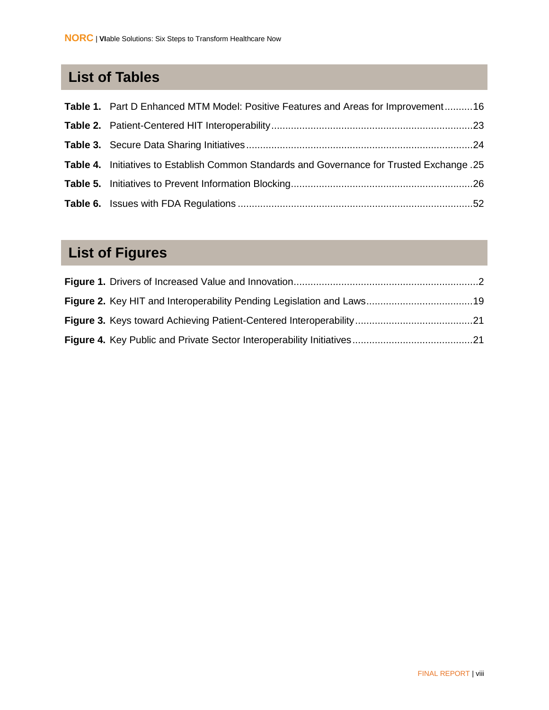# **List of Tables**

| Table 1. Part D Enhanced MTM Model: Positive Features and Areas for Improvement16             |
|-----------------------------------------------------------------------------------------------|
|                                                                                               |
|                                                                                               |
| 25. Table 4. Initiatives to Establish Common Standards and Governance for Trusted Exchange 25 |
|                                                                                               |
|                                                                                               |

# **List of Figures**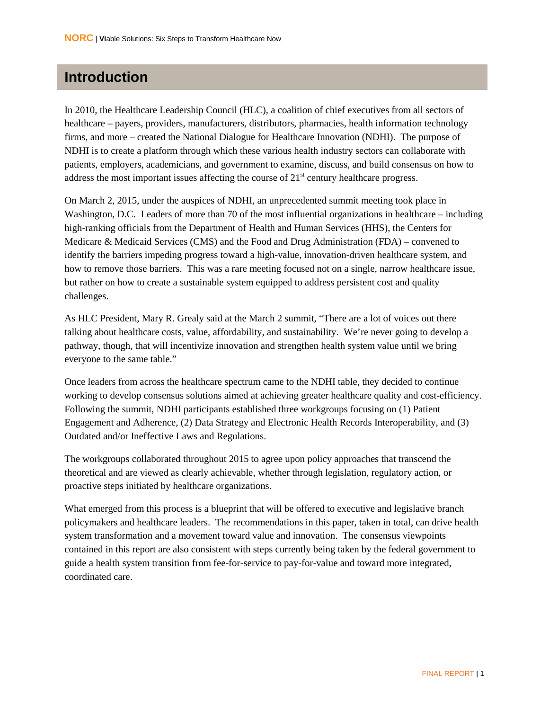### <span id="page-9-0"></span>**Introduction**

In 2010, the Healthcare Leadership Council (HLC), a coalition of chief executives from all sectors of healthcare – payers, providers, manufacturers, distributors, pharmacies, health information technology firms, and more – created the National Dialogue for Healthcare Innovation (NDHI). The purpose of NDHI is to create a platform through which these various health industry sectors can collaborate with patients, employers, academicians, and government to examine, discuss, and build consensus on how to address the most important issues affecting the course of  $21<sup>st</sup>$  century healthcare progress.

On March 2, 2015, under the auspices of NDHI, an unprecedented summit meeting took place in Washington, D.C. Leaders of more than 70 of the most influential organizations in healthcare – including high-ranking officials from the Department of Health and Human Services (HHS), the Centers for Medicare & Medicaid Services (CMS) and the Food and Drug Administration (FDA) – convened to identify the barriers impeding progress toward a high-value, innovation-driven healthcare system, and how to remove those barriers. This was a rare meeting focused not on a single, narrow healthcare issue, but rather on how to create a sustainable system equipped to address persistent cost and quality challenges.

As HLC President, Mary R. Grealy said at the March 2 summit, "There are a lot of voices out there talking about healthcare costs, value, affordability, and sustainability. We're never going to develop a pathway, though, that will incentivize innovation and strengthen health system value until we bring everyone to the same table."

Once leaders from across the healthcare spectrum came to the NDHI table, they decided to continue working to develop consensus solutions aimed at achieving greater healthcare quality and cost-efficiency. Following the summit, NDHI participants established three workgroups focusing on (1) Patient Engagement and Adherence, (2) Data Strategy and Electronic Health Records Interoperability, and (3) Outdated and/or Ineffective Laws and Regulations.

The workgroups collaborated throughout 2015 to agree upon policy approaches that transcend the theoretical and are viewed as clearly achievable, whether through legislation, regulatory action, or proactive steps initiated by healthcare organizations.

What emerged from this process is a blueprint that will be offered to executive and legislative branch policymakers and healthcare leaders. The recommendations in this paper, taken in total, can drive health system transformation and a movement toward value and innovation. The consensus viewpoints contained in this report are also consistent with steps currently being taken by the federal government to guide a health system transition from fee-for-service to pay-for-value and toward more integrated, coordinated care.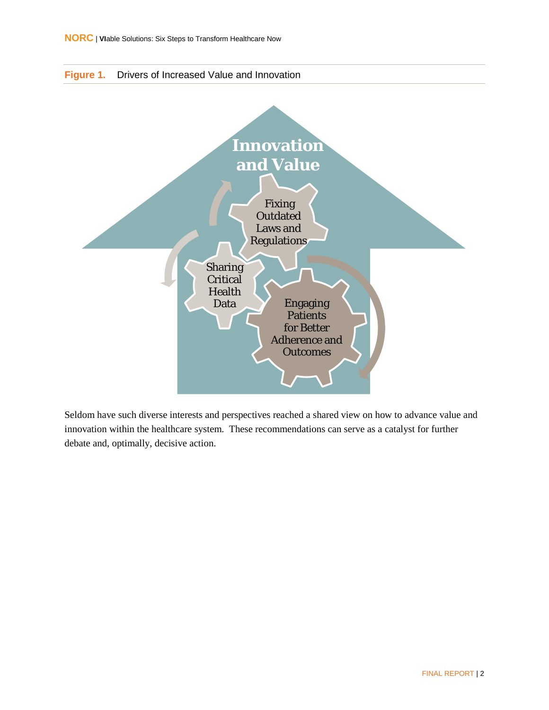<span id="page-10-0"></span>



Seldom have such diverse interests and perspectives reached a shared view on how to advance value and innovation within the healthcare system. These recommendations can serve as a catalyst for further debate and, optimally, decisive action.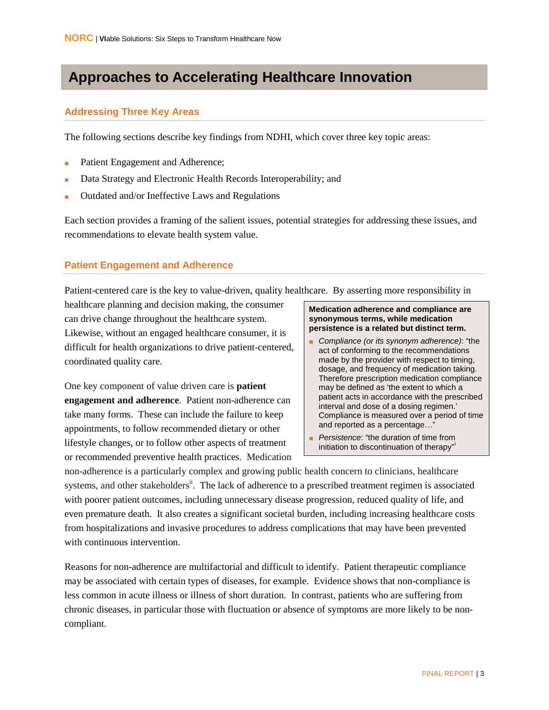### <span id="page-11-0"></span>**Approaches to Accelerating Healthcare Innovation**

#### <span id="page-11-1"></span>**Addressing Three Key Areas**

The following sections describe key findings from NDHI, which cover three key topic areas:

- Patient Engagement and Adherence;
- Data Strategy and Electronic Health Records Interoperability; and
- Outdated and/or Ineffective Laws and Regulations

Each section provides a framing of the salient issues, potential strategies for addressing these issues, and recommendations to elevate health system value.

#### <span id="page-11-2"></span>**Patient Engagement and Adherence**

Patient-centered care is the key to value-driven, quality healthcare. By asserting more responsibility in

healthcare planning and decision making, the consumer can drive change throughout the healthcare system. Likewise, without an engaged healthcare consumer, it is difficult for health organizations to drive patient-centered, coordinated quality care.

One key component of value driven care is **patient engagement and adherence**. Patient non-adherence can take many forms. These can include the failure to keep appointments, to follow recommended dietary or other lifestyle changes, or to follow other aspects of treatment or recommended preventive health practices. Medication

#### **Medication adherence and compliance are synonymous terms, while medication persistence is a related but distinct term.**

- *Compliance (or its synonym adherence)*: "the act of conforming to the recommendations made by the provider with respect to timing, dosage, and frequency of medication taking. Therefore prescription medication compliance may be defined as 'the extent to which a patient acts in accordance with the prescribed interval and dose of a dosing regimen.' Compliance is measured over a period of time and reported as a percentage…"
- *Persistence*: "the duration of time from [i](#page-50-1)nitiation to discontinuation of therapy"

non-adherence is a particularly complex and growing public health concern to clinicians, healthcare systems, and other stakeholders<sup>ii</sup>. The lack of adherence to a prescribed treatment regimen is associated with poorer patient outcomes, including unnecessary disease progression, reduced quality of life, and even premature death. It also creates a significant societal burden, including increasing healthcare costs from hospitalizations and invasive procedures to address complications that may have been prevented with continuous intervention.

Reasons for non-adherence are multifactorial and difficult to identify. Patient therapeutic compliance may be associated with certain types of diseases, for example. Evidence shows that non-compliance is less common in acute illness or illness of short duration. In contrast, patients who are suffering from chronic diseases, in particular those with fluctuation or absence of symptoms are more likely to be noncompliant.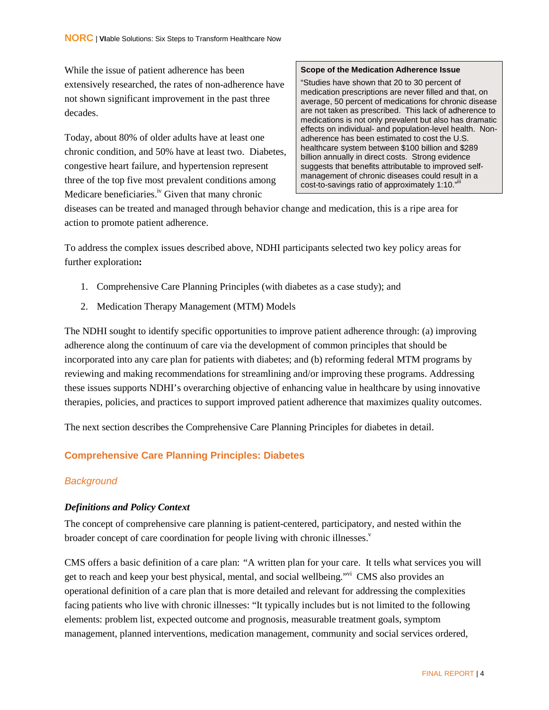While the issue of patient adherence has been extensively researched, the rates of non-adherence have not shown significant improvement in the past three decades.

Today, about 80% of older adults have at least one chronic condition, and 50% have at least two. Diabetes, congestive heart failure, and hypertension represent three of the top five most prevalent conditions among Medicare beneficiaries.<sup>iv</sup> Given that many chronic

#### **Scope of the Medication Adherence Issue**

"Studies have shown that 20 to 30 percent of medication prescriptions are never filled and that, on average, 50 percent of medications for chronic disease are not taken as prescribed. This lack of adherence to medications is not only prevalent but also has dramatic effects on individual- and population-level health. Nonadherence has been estimated to cost the U.S. healthcare system between \$100 billion and \$289 billion annually in direct costs. Strong evidence suggests that benefits attributable to improved selfmanagement of chronic diseases could result in a cost-to-savings ratio of approximately 1:10."<sup>iii</sup>

diseases can be treated and managed through behavior change and medication, this is a ripe area for action to promote patient adherence.

To address the complex issues described above, NDHI participants selected two key policy areas for further exploration**:**

- 1. Comprehensive Care Planning Principles (with diabetes as a case study); and
- 2. Medication Therapy Management (MTM) Models

The NDHI sought to identify specific opportunities to improve patient adherence through: (a) improving adherence along the continuum of care via the development of common principles that should be incorporated into any care plan for patients with diabetes; and (b) reforming federal MTM programs by reviewing and making recommendations for streamlining and/or improving these programs. Addressing these issues supports NDHI's overarching objective of enhancing value in healthcare by using innovative therapies, policies, and practices to support improved patient adherence that maximizes quality outcomes.

The next section describes the Comprehensive Care Planning Principles for diabetes in detail.

#### <span id="page-12-0"></span>**Comprehensive Care Planning Principles: Diabetes**

#### <span id="page-12-1"></span>*Background*

#### *Definitions and Policy Context*

The concept of comprehensive care planning is patient-centered, participatory, and nested within the broader concept of care coordination for people living with chronic illnesses.<sup>v</sup>

CMS offers a basic definition of a care plan: *"*A written plan for your care. It tells what services you will get to reach and keep your best physical, mental, and social wellbeing."vi CMS also provides an operational definition of a care plan that is more detailed and relevant for addressing the complexities facing patients who live with chronic illnesses: "It typically includes but is not limited to the following elements: problem list, expected outcome and prognosis, measurable treatment goals, symptom management, planned interventions, medication management, community and social services ordered,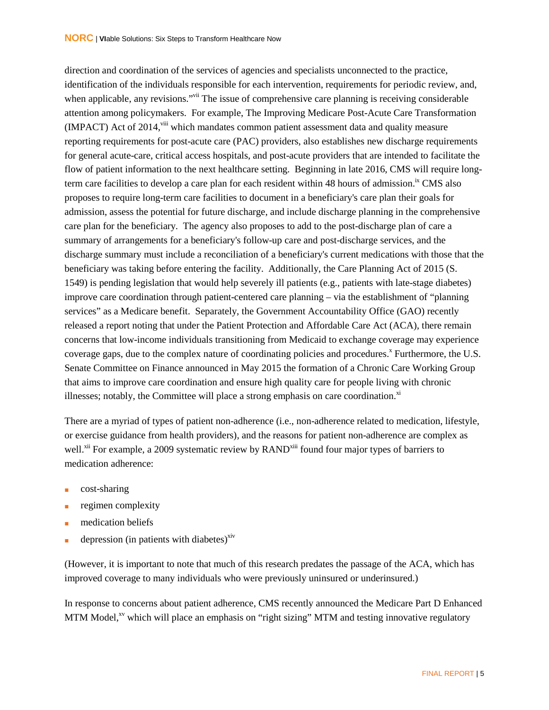direction and coordination of the services of agencies and specialists unconnected to the practice, identification of the individuals responsible for each intervention, requirements for periodic review, and, when applicable, any revisions."<sup>vii</sup> The issue of comprehensive care planning is receiving considerable attention among policymakers. For example, The Improving Medicare Post-Acute Care Transformation (IMPACT) Act of 2014,<sup>viii</sup> which mandates common patient assessment data and quality measure reporting requirements for post-acute care (PAC) providers, also establishes new discharge requirements for general acute-care, critical access hospitals, and post-acute providers that are intended to facilitate the flow of patient information to the next healthcare setting. Beginning in late 2016, CMS will require longterm care facilities to develop a care plan for each resident within 48 hours of admission.<sup>ix</sup> CMS also proposes to require long-term care facilities to document in a beneficiary's care plan their goals for admission, assess the potential for future discharge, and include discharge planning in the comprehensive care plan for the beneficiary. The agency also proposes to add to the post-discharge plan of care a summary of arrangements for a beneficiary's follow-up care and post-discharge services, and the discharge summary must include a reconciliation of a beneficiary's current medications with those that the beneficiary was taking before entering the facility. Additionally, the Care Planning Act of 2015 (S. 1549) is pending legislation that would help severely ill patients (e.g., patients with late-stage diabetes) improve care coordination through patient-centered care planning – via the establishment of "planning services" as a Medicare benefit. Separately, the Government Accountability Office (GAO) recently released a report noting that under the Patient Protection and Affordable Care Act (ACA), there remain concerns that low-income individuals transitioning from Medicaid to exchange coverage may experience coverage gaps, due to the complex nature of coordinating policies and procedures.<sup>x</sup> Furthermore, the U.S. Senate Committee on Finance announced in May 2015 the formation of a Chronic Care Working Group that aims to improve care coordination and ensure high quality care for people living with chronic illnesses; notably, the Committee will place a strong emphasis on care coordination. $x<sup>i</sup>$ 

There are a myriad of types of patient non-adherence (i.e., non-adherence related to medication, lifestyle, or exercise guidance from health providers), and the reasons for patient non-adherence are complex as well.<sup>xii</sup> For example, a 2009 systematic review by RAND<sup>xiii</sup> found four major types of barriers to medication adherence:

- cost-sharing
- regimen complexity
- medication beliefs
- depression (in patients with diabetes) $x<sup>xiv</sup>$

(However, it is important to note that much of this research predates the passage of the ACA, which has improved coverage to many individuals who were previously uninsured or underinsured.)

In response to concerns about patient adherence, CMS recently announced the Medicare Part D Enhanced MTM Model,<sup>xv</sup> which will place an emphasis on "right sizing" MTM and testing innovative regulatory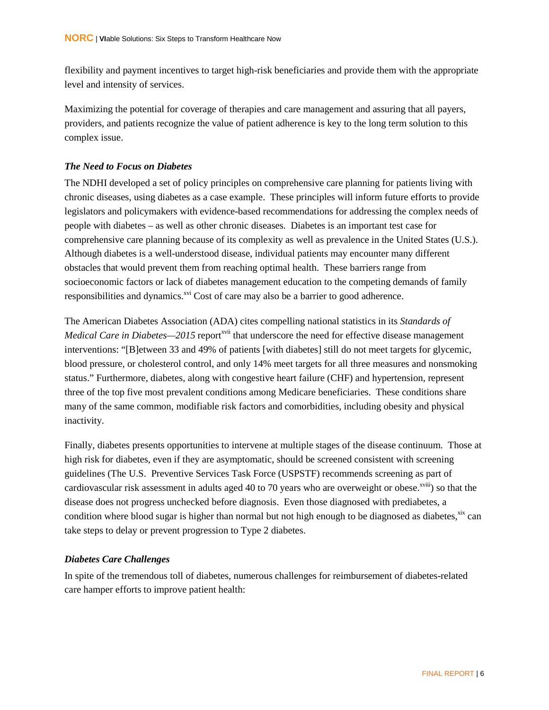flexibility and payment incentives to target high-risk beneficiaries and provide them with the appropriate level and intensity of services.

Maximizing the potential for coverage of therapies and care management and assuring that all payers, providers, and patients recognize the value of patient adherence is key to the long term solution to this complex issue.

#### *The Need to Focus on Diabetes*

The NDHI developed a set of policy principles on comprehensive care planning for patients living with chronic diseases, using diabetes as a case example. These principles will inform future efforts to provide legislators and policymakers with evidence-based recommendations for addressing the complex needs of people with diabetes – as well as other chronic diseases. Diabetes is an important test case for comprehensive care planning because of its complexity as well as prevalence in the United States (U.S.). Although diabetes is a well-understood disease, individual patients may encounter many different obstacles that would prevent them from reaching optimal health. These barriers range from socioeconomic factors or lack of diabetes management education to the competing demands of family responsibilities and dynamics.<sup>xvi</sup> Cost of care may also be a barrier to good adherence.

The American Diabetes Association (ADA) cites compelling national statistics in its *Standards of Medical Care in Diabetes—2015* report<sup>xvii</sup> that underscore the need for effective disease management interventions: "[B]etween 33 and 49% of patients [with diabetes] still do not meet targets for glycemic, blood pressure, or cholesterol control, and only 14% meet targets for all three measures and nonsmoking status." Furthermore, diabetes, along with congestive heart failure (CHF) and hypertension, represent three of the top five most prevalent conditions among Medicare beneficiaries. These conditions share many of the same common, modifiable risk factors and comorbidities, including obesity and physical inactivity.

Finally, diabetes presents opportunities to intervene at multiple stages of the disease continuum. Those at high risk for diabetes, even if they are asymptomatic, should be screened consistent with screening guidelines (The U.S. Preventive Services Task Force (USPSTF) recommends screening as part of cardiovascular risk assessment in adults aged 40 to 70 years who are overweight or obese.<sup>xviii</sup>) so that the disease does not progress unchecked before diagnosis. Even those diagnosed with prediabetes, a condition where blood sugar is higher than normal but not high enough to be diagnosed as diabetes, xix can take steps to delay or prevent progression to Type 2 diabetes.

#### *Diabetes Care Challenges*

In spite of the tremendous toll of diabetes, numerous challenges for reimbursement of diabetes-related care hamper efforts to improve patient health: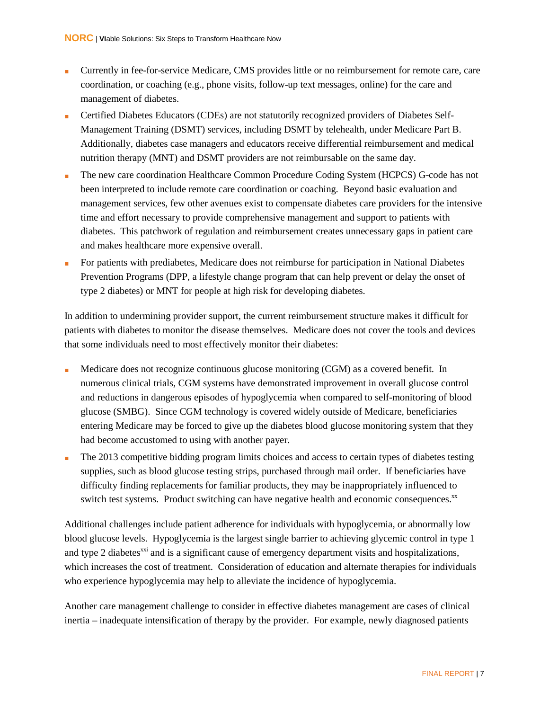- Currently in fee-for-service Medicare, CMS provides little or no reimbursement for remote care, care coordination, or coaching (e.g., phone visits, follow-up text messages, online) for the care and management of diabetes.
- Certified Diabetes Educators (CDEs) are not statutorily recognized providers of Diabetes Self-Management Training (DSMT) services, including DSMT by telehealth, under Medicare Part B. Additionally, diabetes case managers and educators receive differential reimbursement and medical nutrition therapy (MNT) and DSMT providers are not reimbursable on the same day.
- The new care coordination Healthcare Common Procedure Coding System (HCPCS) G-code has not been interpreted to include remote care coordination or coaching. Beyond basic evaluation and management services, few other avenues exist to compensate diabetes care providers for the intensive time and effort necessary to provide comprehensive management and support to patients with diabetes. This patchwork of regulation and reimbursement creates unnecessary gaps in patient care and makes healthcare more expensive overall.
- For patients with prediabetes, Medicare does not reimburse for participation in National Diabetes Prevention Programs (DPP, a lifestyle change program that can help prevent or delay the onset of type 2 diabetes) or MNT for people at high risk for developing diabetes.

In addition to undermining provider support, the current reimbursement structure makes it difficult for patients with diabetes to monitor the disease themselves. Medicare does not cover the tools and devices that some individuals need to most effectively monitor their diabetes:

- Medicare does not recognize continuous glucose monitoring (CGM) as a covered benefit. In numerous clinical trials, CGM systems have demonstrated improvement in overall glucose control and reductions in dangerous episodes of hypoglycemia when compared to self-monitoring of blood glucose (SMBG). Since CGM technology is covered widely outside of Medicare, beneficiaries entering Medicare may be forced to give up the diabetes blood glucose monitoring system that they had become accustomed to using with another payer.
- The 2013 competitive bidding program limits choices and access to certain types of diabetes testing supplies, such as blood glucose testing strips, purchased through mail order. If beneficiaries have difficulty finding replacements for familiar products, they may be inappropriately influenced to switch test systems. Product switching can have negative health and economic consequences.<sup>xx</sup>

Additional challenges include patient adherence for individuals with hypoglycemia, or abnormally low blood glucose levels. Hypoglycemia is the largest single barrier to achieving glycemic control in type 1 and type 2 diabetes<sup>xxi</sup> and is a significant cause of emergency department visits and hospitalizations, which increases the cost of treatment. Consideration of education and alternate therapies for individuals who experience hypoglycemia may help to alleviate the incidence of hypoglycemia.

Another care management challenge to consider in effective diabetes management are cases of clinical inertia – inadequate intensification of therapy by the provider. For example, newly diagnosed patients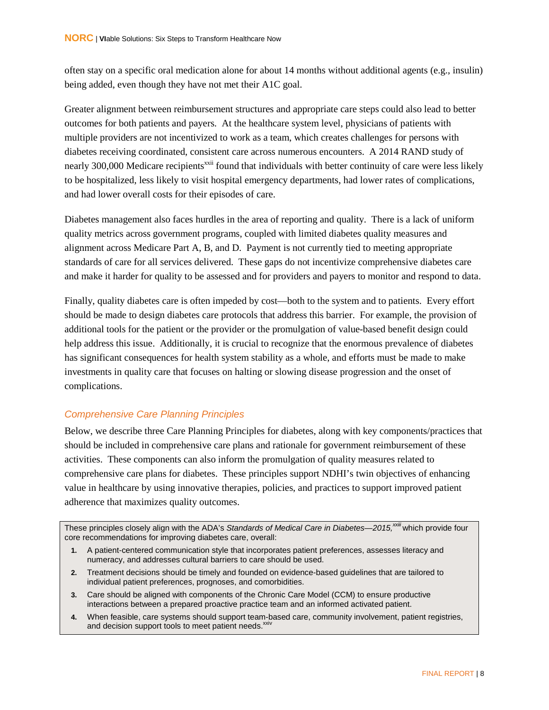often stay on a specific oral medication alone for about 14 months without additional agents (e.g., insulin) being added, even though they have not met their A1C goal.

Greater alignment between reimbursement structures and appropriate care steps could also lead to better outcomes for both patients and payers. At the healthcare system level, physicians of patients with multiple providers are not incentivized to work as a team, which creates challenges for persons with diabetes receiving coordinated, consistent care across numerous encounters. A 2014 RAND study of nearly 300,000 Medicare recipients<sup>xxii</sup> found that individuals with better continuity of care were less likely to be hospitalized, less likely to visit hospital emergency departments, had lower rates of complications, and had lower overall costs for their episodes of care.

Diabetes management also faces hurdles in the area of reporting and quality. There is a lack of uniform quality metrics across government programs, coupled with limited diabetes quality measures and alignment across Medicare Part A, B, and D. Payment is not currently tied to meeting appropriate standards of care for all services delivered. These gaps do not incentivize comprehensive diabetes care and make it harder for quality to be assessed and for providers and payers to monitor and respond to data.

Finally, quality diabetes care is often impeded by cost—both to the system and to patients. Every effort should be made to design diabetes care protocols that address this barrier. For example, the provision of additional tools for the patient or the provider or the promulgation of value-based benefit design could help address this issue. Additionally, it is crucial to recognize that the enormous prevalence of diabetes has significant consequences for health system stability as a whole, and efforts must be made to make investments in quality care that focuses on halting or slowing disease progression and the onset of complications.

#### <span id="page-16-0"></span>*Comprehensive Care Planning Principles*

Below, we describe three Care Planning Principles for diabetes, along with key components/practices that should be included in comprehensive care plans and rationale for government reimbursement of these activities. These components can also inform the promulgation of quality measures related to comprehensive care plans for diabetes. These principles support NDHI's twin objectives of enhancing value in healthcare by using innovative therapies, policies, and practices to support improved patient adherence that maximizes quality outcomes.

These principles closely align with the ADA's *Standards of Medical Care in Diabetes—2015,xxiii* which provide four core recommendations for improving diabetes care, overall:

- **1.** A patient-centered communication style that incorporates patient preferences, assesses literacy and numeracy, and addresses cultural barriers to care should be used.
- **2.** Treatment decisions should be timely and founded on evidence-based guidelines that are tailored to individual patient preferences, prognoses, and comorbidities.
- **3.** Care should be aligned with components of the Chronic Care Model (CCM) to ensure productive interactions between a prepared proactive practice team and an informed activated patient.
- **4.** When feasible, care systems should support team-based care, community involvement, patient registries, and decision support tools to meet patient needs.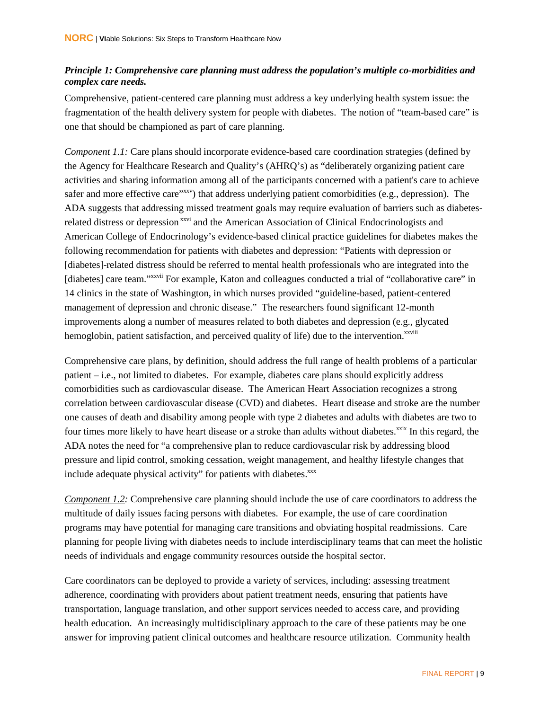#### *Principle 1: Comprehensive care planning must address the population's multiple co-morbidities and complex care needs.*

Comprehensive, patient-centered care planning must address a key underlying health system issue: the fragmentation of the health delivery system for people with diabetes. The notion of "team-based care" is one that should be championed as part of care planning.

*Component 1.1 :* Care plans should incorporate evidence-based care coordination strategies (defined by the Agency for Healthcare Research and Quality's (AHRQ's) as "deliberately organizing patient care activities and sharing information among all of the participants concerned with a patient's care to achieve safer and more effective care<sup>"xxv</sup>) that address underlying patient comorbidities (e.g., depression). The ADA suggests that addressing missed treatment goals may require evaluation of barriers such as diabetesrelated distress or depression<sup>xxvi</sup> and the American Association of Clinical Endocrinologists and American College of Endocrinology's evidence-based clinical practice guidelines for diabetes makes the following recommendation for patients with diabetes and depression: "Patients with depression or [diabetes]-related distress should be referred to mental health professionals who are integrated into the [diabetes] care team."<sup>xxvii</sup> For example, Katon and colleagues conducted a trial of "collaborative care" in 14 clinics in the state of Washington, in which nurses provided "guideline-based, patient-centered management of depression and chronic disease." The researchers found significant 12-month improvements along a number of measures related to both diabetes and depression (e.g., glycated hemoglobin, patient satisfaction, and perceived quality of life) due to the intervention.<sup>xxviii</sup>

Comprehensive care plans, by definition, should address the full range of health problems of a particular patient – i.e., not limited to diabetes. For example, diabetes care plans should explicitly address comorbidities such as cardiovascular disease. The American Heart Association recognizes a strong correlation between cardiovascular disease (CVD) and diabetes. Heart disease and stroke are the number one causes of death and disability among people with type 2 diabetes and adults with diabetes are two to four times more likely to have heart disease or a stroke than adults without diabetes.<sup>xxix</sup> In this regard, the ADA notes the need for "a comprehensive plan to reduce cardiovascular risk by addressing blood pressure and lipid control, smoking cessation, weight management, and healthy lifestyle changes that include adequate physical activity" for patients with diabetes. XXX

*Component 1.2 :* Comprehensive care planning should include the use of care coordinators to address the multitude of daily issues facing persons with diabetes. For example, the use of care coordination programs may have potential for managing care transitions and obviating hospital readmissions. Care planning for people living with diabetes needs to include interdisciplinary teams that can meet the holistic needs of individuals and engage community resources outside the hospital sector.

Care coordinators can be deployed to provide a variety of services, including: assessing treatment adherence, coordinating with providers about patient treatment needs, ensuring that patients have transportation, language translation, and other support services needed to access care, and providing health education. An increasingly multidisciplinary approach to the care of these patients may be one answer for improving patient clinical outcomes and healthcare resource utilization. Community health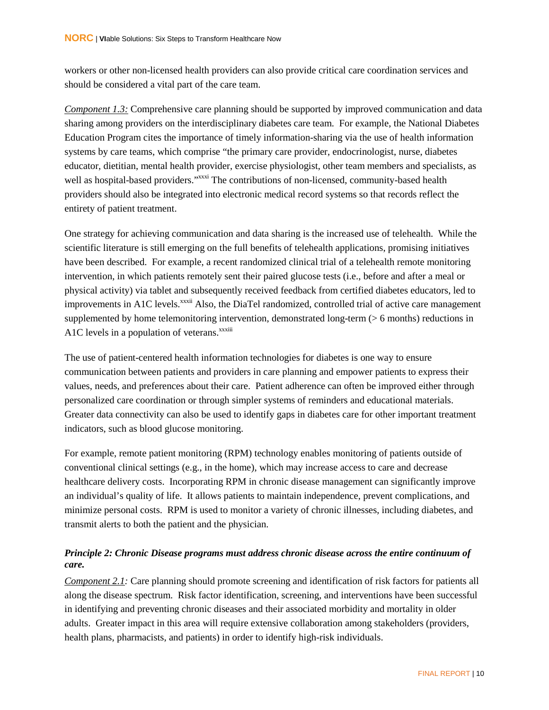workers or other non-licensed health providers can also provide critical care coordination services and should be considered a vital part of the care team.

Component 1.3: Comprehensive care planning should be supported by improved communication and data sharing among providers on the interdisciplinary diabetes care team. For example, the National Diabetes Education Program cites the importance of timely information-sharing via the use of health information systems by care teams, which comprise "the primary care provider, endocrinologist, nurse, diabetes educator, dietitian, mental health provider, exercise physiologist, other team members and specialists, as well as hospital-based providers."<sup>xxxi</sup> The contributions of non-licensed, community-based health providers should also be integrated into electronic medical record systems so that records reflect the entirety of patient treatment.

One strategy for achieving communication and data sharing is the increased use of telehealth. While the scientific literature is still emerging on the full benefits of telehealth applications, promising initiatives have been described. For example, a recent randomized clinical trial of a telehealth remote monitoring intervention, in which patients remotely sent their paired glucose tests (i.e., before and after a meal or physical activity) via tablet and subsequently received feedback from certified diabetes educators, led to improvements in A1C levels.<sup>xxxii</sup> Also, the DiaTel randomized, controlled trial of active care management supplemented by home telemonitoring intervention, demonstrated long-term (> 6 months) reductions in A1C levels in a population of veterans.<sup>xxxiii</sup>

The use of patient-centered health information technologies for diabetes is one way to ensure communication between patients and providers in care planning and empower patients to express their values, needs, and preferences about their care. Patient adherence can often be improved either through personalized care coordination or through simpler systems of reminders and educational materials. Greater data connectivity can also be used to identify gaps in diabetes care for other important treatment indicators, such as blood glucose monitoring.

For example, remote patient monitoring (RPM) technology enables monitoring of patients outside of conventional clinical settings (e.g., in the home), which may increase access to care and decrease healthcare delivery costs. Incorporating RPM in chronic disease management can significantly improve an individual's quality of life. It allows patients to maintain independence, prevent complications, and minimize personal costs. RPM is used to monitor a variety of chronic illnesses, including diabetes, and transmit alerts to both the patient and the physician.

#### *Principle 2: Chronic Disease programs must address chronic disease across the entire continuum of care.*

*Component 2.1:* Care planning should promote screening and identification of risk factors for patients all along the disease spectrum. Risk factor identification, screening, and interventions have been successful in identifying and preventing chronic diseases and their associated morbidity and mortality in older adults. Greater impact in this area will require extensive collaboration among stakeholders (providers, health plans, pharmacists, and patients) in order to identify high-risk individuals.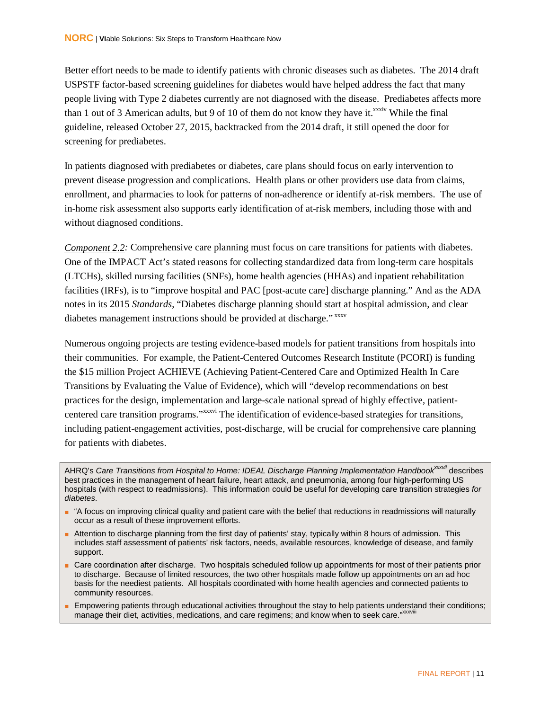Better effort needs to be made to identify patients with chronic diseases such as diabetes. The 2014 draft USPSTF factor-based screening guidelines for diabetes would have helped address the fact that many people living with Type 2 diabetes currently are not diagnosed with the disease. Prediabetes affects more than 1 out of 3 American adults, but 9 of 10 of them do not know they have it.<sup>xxxiv</sup> While the final guideline, released October 27, 2015, backtracked from the 2014 draft, it still opened the door for screening for prediabetes.

In patients diagnosed with prediabetes or diabetes, care plans should focus on early intervention to prevent disease progression and complications. Health plans or other providers use data from claims, enrollment, and pharmacies to look for patterns of non-adherence or identify at-risk members. The use of in-home risk assessment also supports early identification of at-risk members, including those with and without diagnosed conditions.

*Component 2.2 :* Comprehensive care planning must focus on care transitions for patients with diabetes. One of the IMPACT Act's stated reasons for collecting standardized data from long-term care hospitals (LTCHs), skilled nursing facilities (SNFs), home health agencies (HHAs) and inpatient rehabilitation facilities (IRFs), is to "improve hospital and PAC [post-acute care] discharge planning." And as the ADA notes in its 2015 *Standards*, "Diabetes discharge planning should start at hospital admission, and clear diabetes management instructions should be provided at discharge." xxxv

Numerous ongoing projects are testing evidence-based models for patient transitions from hospitals into their communities. For example, the Patient-Centered Outcomes Research Institute (PCORI) is funding the \$15 million Project ACHIEVE (Achieving Patient-Centered Care and Optimized Health In Care Transitions by Evaluating the Value of Evidence), which will "develop recommendations on best practices for the design, implementation and large-scale national spread of highly effective, patientcentered care transition programs."xxxvi The identification of evidence-based strategies for transitions, including patient-engagement activities, post-discharge, will be crucial for comprehensive care planning for patients with diabetes.

AHRQ's Care Transitions from Hospital to Home: IDEAL Discharge Planning Implementation Handbook<sup>xxxvii</sup> describes best practices in the management of heart failure, heart attack, and pneumonia, among four high-performing US hospitals (with respect to readmissions). This information could be useful for developing care transition strategies *for diabetes*.

- "A focus on improving clinical quality and patient care with the belief that reductions in readmissions will naturally occur as a result of these improvement efforts.
- Attention to discharge planning from the first day of patients' stay, typically within 8 hours of admission. This includes staff assessment of patients' risk factors, needs, available resources, knowledge of disease, and family support.
- Care coordination after discharge. Two hospitals scheduled follow up appointments for most of their patients prior to discharge. Because of limited resources, the two other hospitals made follow up appointments on an ad hoc basis for the neediest patients. All hospitals coordinated with home health agencies and connected patients to community resources.
- Empowering patients through educational activities throughout the stay to help patients understand their conditions; manage their diet, activities, medications, and care regimens; and know when to seek care."XXXVIII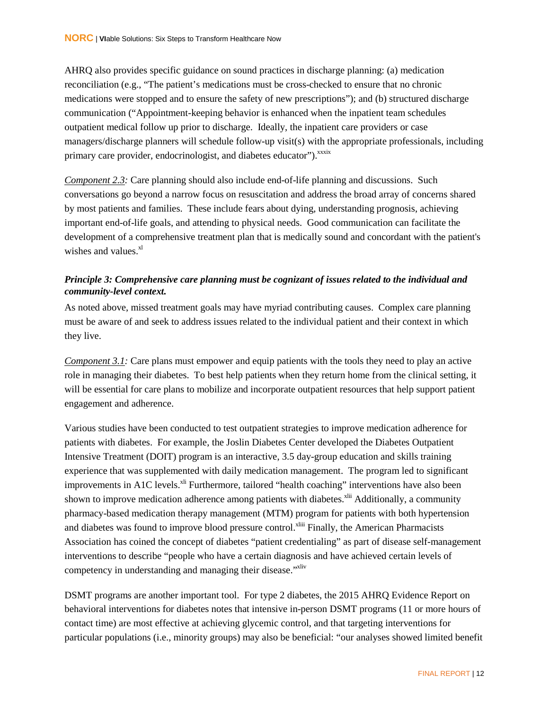AHRQ also provides specific guidance on sound practices in discharge planning: (a) medication reconciliation (e.g., "The patient's medications must be cross-checked to ensure that no chronic medications were stopped and to ensure the safety of new prescriptions"); and (b) structured discharge communication ("Appointment-keeping behavior is enhanced when the inpatient team schedules outpatient medical follow up prior to discharge. Ideally, the inpatient care providers or case managers/discharge planners will schedule follow-up visit(s) with the appropriate professionals, including primary care provider, endocrinologist, and diabetes educator").<sup>xxxix</sup>

*Component 2.3 :* Care planning should also include end-of-life planning and discussions. Such conversations go beyond a narrow focus on resuscitation and address the broad array of concerns shared by most patients and families. These include fears about dying, understanding prognosis, achieving important end-of-life goals, and attending to physical needs. Good communication can facilitate the development of a comprehensive treatment plan that is medically sound and concordant with the patient's wishes and values. $x^{1}$ 

#### *Principle 3: Comprehensive care planning must be cognizant of issues related to the individual and community-level context.*

As noted above, missed treatment goals may have myriad contributing causes. Complex care planning must be aware of and seek to address issues related to the individual patient and their context in which they live.

*Component 3.1*: Care plans must empower and equip patients with the tools they need to play an active role in managing their diabetes. To best help patients when they return home from the clinical setting, it will be essential for care plans to mobilize and incorporate outpatient resources that help support patient engagement and adherence.

Various studies have been conducted to test outpatient strategies to improve medication adherence for patients with diabetes. For example, the Joslin Diabetes Center developed the Diabetes Outpatient Intensive Treatment (DOIT) program is an interactive, 3.5 day-group education and skills training experience that was supplemented with daily medication management. The program led to significant improvements in A1C levels.<sup> $xli$ </sup> Furthermore, tailored "health coaching" interventions have also been shown to improve medication adherence among patients with diabetes.<sup>xlii</sup> Additionally, a community pharmacy-based medication therapy management (MTM) program for patients with both hypertension and diabetes was found to improve blood pressure control.<sup>xliii</sup> Finally, the American Pharmacists Association has coined the concept of diabetes "patient credentialing" as part of disease self-management interventions to describe "people who have a certain diagnosis and have achieved certain levels of competency in understanding and managing their disease."<sup>xliv</sup>

DSMT programs are another important tool. For type 2 diabetes, the 2015 AHRQ Evidence Report on behavioral interventions for diabetes notes that intensive in-person DSMT programs (11 or more hours of contact time) are most effective at achieving glycemic control, and that targeting interventions for particular populations (i.e., minority groups) may also be beneficial: "our analyses showed limited benefit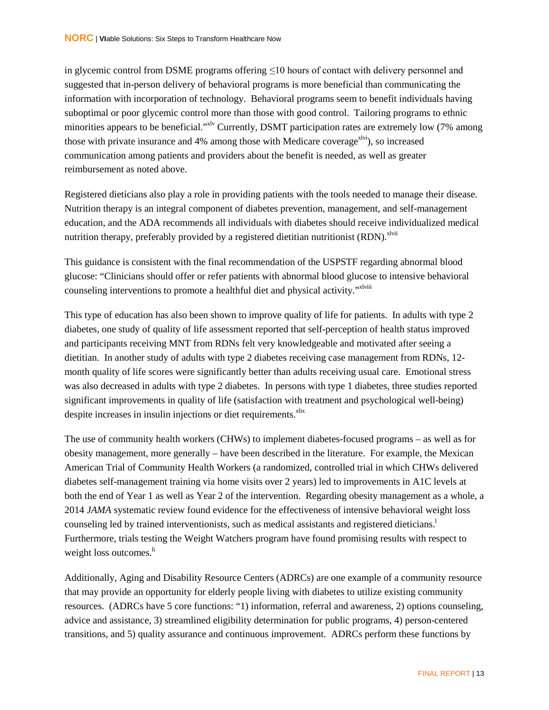in glycemic control from DSME programs offering ≤10 hours of contact with delivery personnel and suggested that in-person delivery of behavioral programs is more beneficial than communicating the information with incorporation of technology. Behavioral programs seem to benefit individuals having suboptimal or poor glycemic control more than those with good control. Tailoring programs to ethnic minorities appears to be beneficial."<sup>xlv</sup> Currently, DSMT participation rates are extremely low (7% among those with private insurance and 4% among those with Medicare coverage<sup> $x$ lvi</sup>), so increased communication among patients and providers about the benefit is needed, as well as greater reimbursement as noted above.

Registered dieticians also play a role in providing patients with the tools needed to manage their disease. Nutrition therapy is an integral component of diabetes prevention, management, and self-management education, and the ADA recommends all individuals with diabetes should receive individualized medical nutrition therapy, preferably provided by a registered dietitian nutritionist (RDN).<sup>xlvii</sup>

This guidance is consistent with the final recommendation of the USPSTF regarding abnormal blood glucose: "Clinicians should offer or refer patients with abnormal blood glucose to intensive behavioral counseling interventions to promote a healthful diet and physical activity."<sup>xlviii</sup>

This type of education has also been shown to improve quality of life for patients. In adults with type 2 diabetes, one study of quality of life assessment reported that self-perception of health status improved and participants receiving MNT from RDNs felt very knowledgeable and motivated after seeing a dietitian. In another study of adults with type 2 diabetes receiving case management from RDNs, 12 month quality of life scores were significantly better than adults receiving usual care. Emotional stress was also decreased in adults with type 2 diabetes. In persons with type 1 diabetes, three studies reported significant improvements in quality of life (satisfaction with treatment and psychological well-being) despite increases in insulin injections or diet requirements.<sup>xlix</sup>

The use of community health workers (CHWs) to implement diabetes-focused programs – as well as for obesity management, more generally – have been described in the literature. For example, the Mexican American Trial of Community Health Workers (a randomized, controlled trial in which CHWs delivered diabetes self-management training via home visits over 2 years) led to improvements in A1C levels at both the end of Year 1 as well as Year 2 of the intervention. Regarding obesity management as a whole, a 2014 *JAMA* systematic review found evidence for the effectiveness of intensive behavioral weight loss counseling led by trained interventionists, such as medical assistants and registered dieticians. Furthermore, trials testing the Weight Watchers program have found promising results with respect to weight loss outcomes.<sup>li</sup>

Additionally, Aging and Disability Resource Centers (ADRCs) are one example of a community resource that may provide an opportunity for elderly people living with diabetes to utilize existing community resources. (ADRCs have 5 core functions: "1) information, referral and awareness, 2) options counseling, advice and assistance, 3) streamlined eligibility determination for public programs, 4) person-centered transitions, and 5) quality assurance and continuous improvement. ADRCs perform these functions by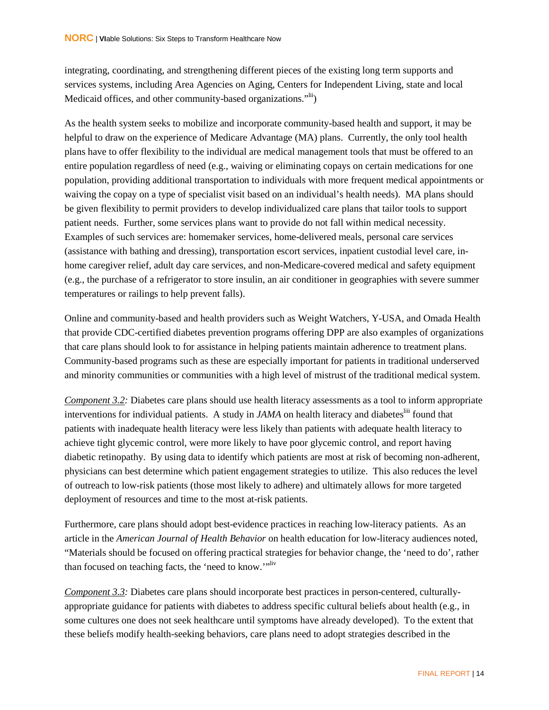integrating, coordinating, and strengthening different pieces of the existing long term supports and services systems, including Area Agencies on Aging, Centers for Independent Living, state and local Medicaid offices, and other community-based organizations."<sup>lii</sup>)

As the health system seeks to mobilize and incorporate community-based health and support, it may be helpful to draw on the experience of Medicare Advantage (MA) plans. Currently, the only tool health plans have to offer flexibility to the individual are medical management tools that must be offered to an entire population regardless of need (e.g., waiving or eliminating copays on certain medications for one population, providing additional transportation to individuals with more frequent medical appointments or waiving the copay on a type of specialist visit based on an individual's health needs). MA plans should be given flexibility to permit providers to develop individualized care plans that tailor tools to support patient needs. Further, some services plans want to provide do not fall within medical necessity. Examples of such services are: homemaker services, home-delivered meals, personal care services (assistance with bathing and dressing), transportation escort services, inpatient custodial level care, inhome caregiver relief, adult day care services, and non-Medicare-covered medical and safety equipment (e.g., the purchase of a refrigerator to store insulin, an air conditioner in geographies with severe summer temperatures or railings to help prevent falls).

Online and community-based and health providers such as Weight Watchers, Y-USA, and Omada Health that provide CDC-certified diabetes prevention programs offering DPP are also examples of organizations that care plans should look to for assistance in helping patients maintain adherence to treatment plans. Community-based programs such as these are especially important for patients in traditional underserved and minority communities or communities with a high level of mistrust of the traditional medical system.

*Component 3.2 :* Diabetes care plans should use health literacy assessments as a tool to inform appropriate interventions for individual patients. A study in *JAMA* on health literacy and diabetes<sup>liii</sup> found that patients with inadequate health literacy were less likely than patients with adequate health literacy to achieve tight glycemic control, were more likely to have poor glycemic control, and report having diabetic retinopathy. By using data to identify which patients are most at risk of becoming non-adherent, physicians can best determine which patient engagement strategies to utilize. This also reduces the level of outreach to low-risk patients (those most likely to adhere) and ultimately allows for more targeted deployment of resources and time to the most at-risk patients.

Furthermore, care plans should adopt best-evidence practices in reaching low-literacy patients. As an article in the *American Journal of Health Behavior* on health education for low-literacy audiences noted, "Materials should be focused on offering practical strategies for behavior change, the 'need to do', rather than focused on teaching facts, the 'need to know.'"

*Component 3.3:* Diabetes care plans should incorporate best practices in person-centered, culturallyappropriate guidance for patients with diabetes to address specific cultural beliefs about health (e.g., in some cultures one does not seek healthcare until symptoms have already developed). To the extent that these beliefs modify health-seeking behaviors, care plans need to adopt strategies described in the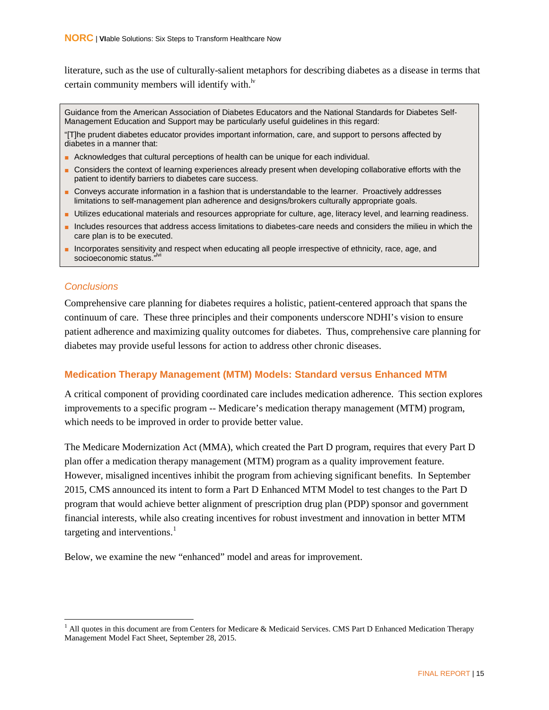literature, such as the use of culturally-salient metaphors for describing diabetes as a disease in terms that certain community members will identify with. $\frac{dv}{dt}$ 

Guidance from the American Association of Diabetes Educators and the National Standards for Diabetes Self-Management Education and Support may be particularly useful guidelines in this regard:

"[T]he prudent diabetes educator provides important information, care, and support to persons affected by diabetes in a manner that:

- Acknowledges that cultural perceptions of health can be unique for each individual.
- Considers the context of learning experiences already present when developing collaborative efforts with the patient to identify barriers to diabetes care success.
- Conveys accurate information in a fashion that is understandable to the learner. Proactively addresses limitations to self-management plan adherence and designs/brokers culturally appropriate goals.
- Utilizes educational materials and resources appropriate for culture, age, literacy level, and learning readiness.
- Includes resources that address access limitations to diabetes-care needs and considers the milieu in which the care plan is to be executed.
- Incorporates sensitivity and respect when educating all people irrespective of ethnicity, race, age, and socioeconomic status."

#### <span id="page-23-0"></span>*Conclusions*

Comprehensive care planning for diabetes requires a holistic, patient-centered approach that spans the continuum of care. These three principles and their components underscore NDHI's vision to ensure patient adherence and maximizing quality outcomes for diabetes. Thus, comprehensive care planning for diabetes may provide useful lessons for action to address other chronic diseases.

#### <span id="page-23-1"></span>**Medication Therapy Management (MTM) Models: Standard versus Enhanced MTM**

A critical component of providing coordinated care includes medication adherence. This section explores improvements to a specific program -- Medicare's medication therapy management (MTM) program, which needs to be improved in order to provide better value.

The Medicare Modernization Act (MMA), which created the Part D program, requires that every Part D plan offer a medication therapy management (MTM) program as a quality improvement feature. However, misaligned incentives inhibit the program from achieving significant benefits. In September 2015, CMS announced its intent to form a Part D Enhanced MTM Model to test changes to the Part D program that would achieve better alignment of prescription drug plan (PDP) sponsor and government financial interests, while also creating incentives for robust investment and innovation in better MTM targeting and interventions. $<sup>1</sup>$  $<sup>1</sup>$  $<sup>1</sup>$ </sup>

Below, we examine the new "enhanced" model and areas for improvement.

<span id="page-23-2"></span> $<sup>1</sup>$  All quotes in this document are from Centers for Medicare & Medicaid Services. CMS Part D Enhanced Medication Therapy</sup> Management Model Fact Sheet, September 28, 2015.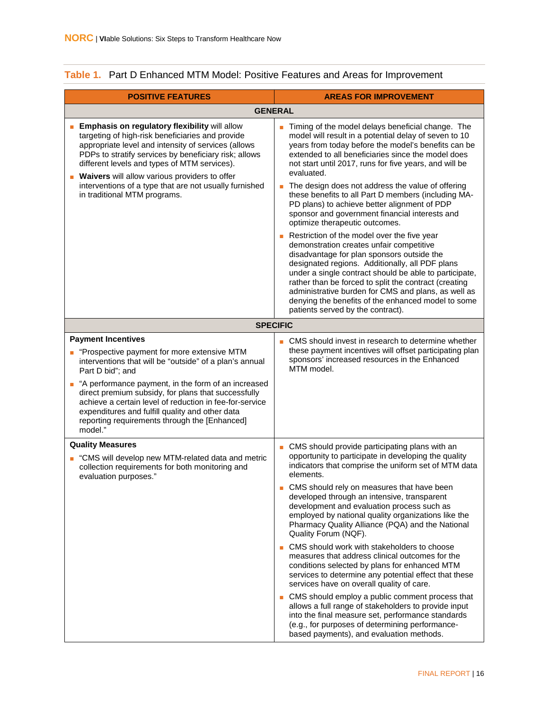| Timing of the model delays beneficial change. The<br>model will result in a potential delay of seven to 10<br>years from today before the model's benefits can be<br>extended to all beneficiaries since the model does<br>not start until 2017, runs for five years, and will be                                                                                                                                                                                                                                                                                                                                                                                                                                                                                                                                                                                     |
|-----------------------------------------------------------------------------------------------------------------------------------------------------------------------------------------------------------------------------------------------------------------------------------------------------------------------------------------------------------------------------------------------------------------------------------------------------------------------------------------------------------------------------------------------------------------------------------------------------------------------------------------------------------------------------------------------------------------------------------------------------------------------------------------------------------------------------------------------------------------------|
| The design does not address the value of offering<br>these benefits to all Part D members (including MA-<br>PD plans) to achieve better alignment of PDP<br>sponsor and government financial interests and<br>optimize therapeutic outcomes.                                                                                                                                                                                                                                                                                                                                                                                                                                                                                                                                                                                                                          |
| Restriction of the model over the five year<br>demonstration creates unfair competitive<br>disadvantage for plan sponsors outside the<br>designated regions. Additionally, all PDF plans<br>under a single contract should be able to participate,<br>rather than be forced to split the contract (creating<br>administrative burden for CMS and plans, as well as<br>denying the benefits of the enhanced model to some<br>patients served by the contract).                                                                                                                                                                                                                                                                                                                                                                                                         |
|                                                                                                                                                                                                                                                                                                                                                                                                                                                                                                                                                                                                                                                                                                                                                                                                                                                                       |
| ■ CMS should invest in research to determine whether<br>these payment incentives will offset participating plan<br>sponsors' increased resources in the Enhanced                                                                                                                                                                                                                                                                                                                                                                                                                                                                                                                                                                                                                                                                                                      |
| CMS should provide participating plans with an<br>opportunity to participate in developing the quality<br>indicators that comprise the uniform set of MTM data<br>CMS should rely on measures that have been<br>developed through an intensive, transparent<br>development and evaluation process such as<br>employed by national quality organizations like the<br>Pharmacy Quality Alliance (PQA) and the National<br>Quality Forum (NQF).<br>CMS should work with stakeholders to choose<br>measures that address clinical outcomes for the<br>conditions selected by plans for enhanced MTM<br>services to determine any potential effect that these<br>services have on overall quality of care.<br>CMS should employ a public comment process that<br>allows a full range of stakeholders to provide input<br>into the final measure set, performance standards |
| (e.g., for purposes of determining performance-<br>based payments), and evaluation methods.                                                                                                                                                                                                                                                                                                                                                                                                                                                                                                                                                                                                                                                                                                                                                                           |

#### <span id="page-24-0"></span>**Table 1.** Part D Enhanced MTM Model: Positive Features and Areas for Improvement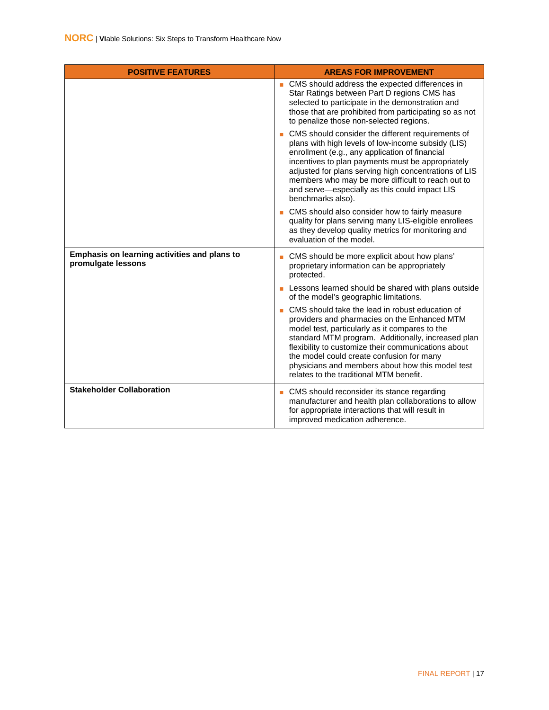<span id="page-25-0"></span>

| <b>POSITIVE FEATURES</b>                                           | <b>AREAS FOR IMPROVEMENT</b>                                                                                                                                                                                                                                                                                                                                                                               |
|--------------------------------------------------------------------|------------------------------------------------------------------------------------------------------------------------------------------------------------------------------------------------------------------------------------------------------------------------------------------------------------------------------------------------------------------------------------------------------------|
|                                                                    | ■ CMS should address the expected differences in<br>Star Ratings between Part D regions CMS has<br>selected to participate in the demonstration and<br>those that are prohibited from participating so as not<br>to penalize those non-selected regions.                                                                                                                                                   |
|                                                                    | CMS should consider the different requirements of<br>plans with high levels of low-income subsidy (LIS)<br>enrollment (e.g., any application of financial<br>incentives to plan payments must be appropriately<br>adjusted for plans serving high concentrations of LIS<br>members who may be more difficult to reach out to<br>and serve-especially as this could impact LIS<br>benchmarks also).         |
|                                                                    | CMS should also consider how to fairly measure<br>quality for plans serving many LIS-eligible enrollees<br>as they develop quality metrics for monitoring and<br>evaluation of the model.                                                                                                                                                                                                                  |
| Emphasis on learning activities and plans to<br>promulgate lessons | CMS should be more explicit about how plans'<br>proprietary information can be appropriately<br>protected.                                                                                                                                                                                                                                                                                                 |
|                                                                    | Lessons learned should be shared with plans outside<br>of the model's geographic limitations.                                                                                                                                                                                                                                                                                                              |
|                                                                    | CMS should take the lead in robust education of<br>providers and pharmacies on the Enhanced MTM<br>model test, particularly as it compares to the<br>standard MTM program. Additionally, increased plan<br>flexibility to customize their communications about<br>the model could create confusion for many<br>physicians and members about how this model test<br>relates to the traditional MTM benefit. |
| <b>Stakeholder Collaboration</b>                                   | • CMS should reconsider its stance regarding<br>manufacturer and health plan collaborations to allow<br>for appropriate interactions that will result in<br>improved medication adherence.                                                                                                                                                                                                                 |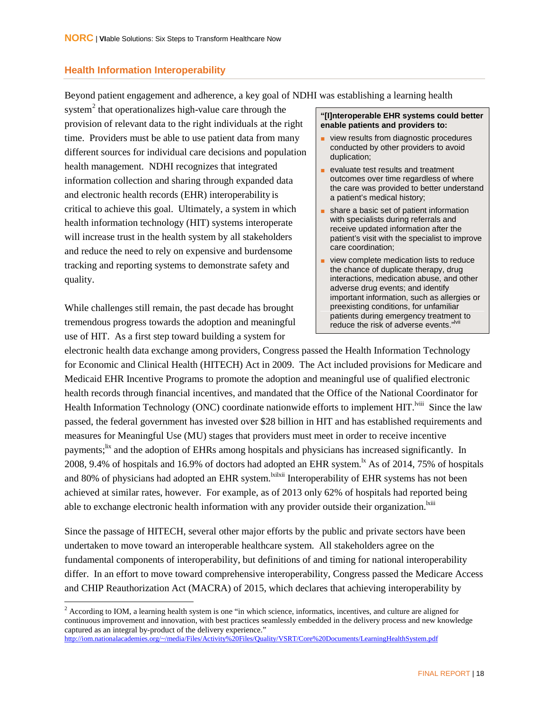#### **Health Information Interoperability**

Beyond patient engagement and adherence, a key goal of NDHI was establishing a learning health

system<sup>[2](#page-26-0)</sup> that operationalizes high-value care through the provision of relevant data to the right individuals at the right time. Providers must be able to use patient data from many different sources for individual care decisions and population health management. NDHI recognizes that integrated information collection and sharing through expanded data and electronic health records (EHR) interoperability is critical to achieve this goal. Ultimately, a system in which health information technology (HIT) systems interoperate will increase trust in the health system by all stakeholders and reduce the need to rely on expensive and burdensome tracking and reporting systems to demonstrate safety and quality.

While challenges still remain, the past decade has brought tremendous progress towards the adoption and meaningful use of HIT. As a first step toward building a system for

#### **"[I]nteroperable EHR systems could better enable patients and providers to:**

- view results from diagnostic procedures conducted by other providers to avoid duplication;
- evaluate test results and treatment outcomes over time regardless of where the care was provided to better understand a patient's medical history;
- share a basic set of patient information with specialists during referrals and receive updated information after the patient's visit with the specialist to improve care coordination;
- view complete medication lists to reduce the chance of duplicate therapy, drug interactions, medication abuse, and other adverse drug events; and identify important information, such as allergies or preexisting conditions, for unfamiliar patients during emergency treatment to reduce the risk of adverse events."<sup>Ivii</sup>

electronic health data exchange among providers, Congress passed the Health Information Technology for Economic and Clinical Health (HITECH) Act in 2009. The Act included provisions for Medicare and Medicaid EHR Incentive Programs to promote the adoption and meaningful use of qualified electronic health records through financial incentives, and mandated that the Office of the National Coordinator for Health Information Technology (ONC) coordinate nationwide efforts to implement HIT.<sup>Iviii</sup> Since the law passed, the federal government has invested over \$28 billion in HIT and has established requirements and measures for Meaningful Use (MU) stages that providers must meet in order to receive incentive payments;<sup>lix</sup> and the adoption of EHRs among hospitals and physicians has increased significantly. In 2008, 9.4% of hospitals and 16.9% of doctors had adopted an EHR system.<sup>1x</sup> As of 2014, 75% of hospitals and 80% of physicians had adopted an EHR system.<sup>kilxii</sup> Interoperability of EHR systems has not been achieved at similar rates, however. For example, as of 2013 only 62% of hospitals had reported being able to exchange electronic health information with any provider outside their organization.<sup>Ixiii</sup>

Since the passage of HITECH, several other major efforts by the public and private sectors have been undertaken to move toward an interoperable healthcare system. All stakeholders agree on the fundamental components of interoperability, but definitions of and timing for national interoperability differ. In an effort to move toward comprehensive interoperability, Congress passed the Medicare Access and CHIP Reauthorization Act (MACRA) of 2015, which declares that achieving interoperability by

<span id="page-26-0"></span> $2$  According to IOM, a learning health system is one "in which science, informatics, incentives, and culture are aligned for continuous improvement and innovation, with best practices seamlessly embedded in the delivery process and new knowledge captured as an integral by-product of the delivery experience." <http://iom.nationalacademies.org/~/media/Files/Activity%20Files/Quality/VSRT/Core%20Documents/LearningHealthSystem.pdf>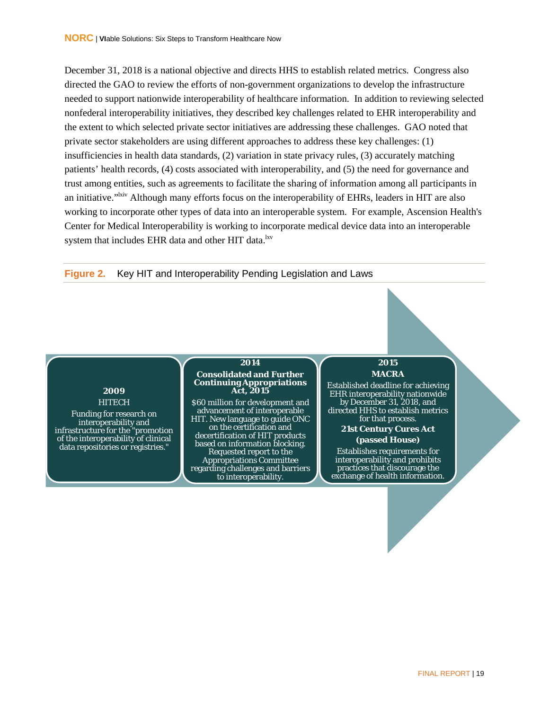December 31, 2018 is a national objective and directs HHS to establish related metrics. Congress also directed the GAO to review the efforts of non-government organizations to develop the infrastructure needed to support nationwide interoperability of healthcare information. In addition to reviewing selected nonfederal interoperability initiatives, they described key challenges related to EHR interoperability and the extent to which selected private sector initiatives are addressing these challenges. GAO noted that private sector stakeholders are using different approaches to address these key challenges: (1) insufficiencies in health data standards, (2) variation in state privacy rules, (3) accurately matching patients' health records, (4) costs associated with interoperability, and (5) the need for governance and trust among entities, such as agreements to facilitate the sharing of information among all participants in an initiative."<sup>Ixiv</sup> Although many efforts focus on the interoperability of EHRs, leaders in HIT are also working to incorporate other types of data into an interoperable system. For example, Ascension Health's Center for Medical Interoperability is working to incorporate medical device data into an interoperable system that includes EHR data and other HIT data.<sup>lxv</sup>

<span id="page-27-0"></span>

#### **2009 HITECH**

Funding for research on interoperability and infrastructure for the "promotion of the interoperability of clinical data repositories or registries."

#### **Consolidated and Further Continuing Appropriations Act, 2015**

**2014**

**\$60 million for development and** advancement of interoperable HIT. New language to guide ONC on the certification and decertification of HIT products based on information blocking. Requested report to the Appropriations Committee regarding challenges and barriers to interoperability.

#### **2015 MACRA**

Established deadline for achieving EHR interoperability nationwide by December 31, 2018, and directed HHS to establish metrics for that process.

> **21st Century Cures Act (passed House)**

Establishes requirements for interoperability and prohibits practices that discourage the exchange of health information.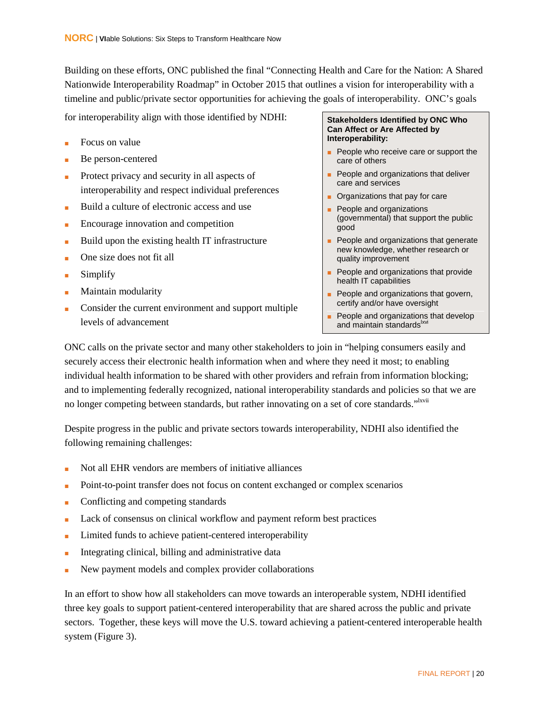Building on these efforts, ONC published the final "Connecting Health and Care for the Nation: A Shared Nationwide Interoperability Roadmap" in October 2015 that outlines a vision for interoperability with a timeline and public/private sector opportunities for achieving the goals of interoperability. ONC's goals

for interoperability align with those identified by NDHI:

- Focus on value
- Be person-centered
- Protect privacy and security in all aspects of interoperability and respect individual preferences
- Build a culture of electronic access and use
- Encourage innovation and competition
- Build upon the existing health IT infrastructure
- One size does not fit all
- **Simplify**
- Maintain modularity
- Consider the current environment and support multiple levels of advancement

#### **Stakeholders Identified by ONC Who Can Affect or Are Affected by Interoperability:**

- People who receive care or support the care of others
- People and organizations that deliver care and services
- Organizations that pay for care
- People and organizations (governmental) that support the public good
- People and organizations that generate new knowledge, whether research or quality improvement
- People and organizations that provide health IT capabilities
- People and organizations that govern, certify and/or have oversight
- People and organizations that develop and maintain standards xvi

ONC calls on the private sector and many other stakeholders to join in "helping consumers easily and securely access their electronic health information when and where they need it most; to enabling individual health information to be shared with other providers and refrain from information blocking; and to implementing federally recognized, national interoperability standards and policies so that we are no longer competing between standards, but rather innovating on a set of core standards."<sup>Ixvii</sup>

Despite progress in the public and private sectors towards interoperability, NDHI also identified the following remaining challenges:

- Not all EHR vendors are members of initiative alliances
- Point-to-point transfer does not focus on content exchanged or complex scenarios
- Conflicting and competing standards
- Lack of consensus on clinical workflow and payment reform best practices
- Limited funds to achieve patient-centered interoperability
- Integrating clinical, billing and administrative data
- New payment models and complex provider collaborations

In an effort to show how all stakeholders can move towards an interoperable system, NDHI identified three key goals to support patient-centered interoperability that are shared across the public and private sectors. Together, these keys will move the U.S. toward achieving a patient-centered interoperable health system (Figure 3).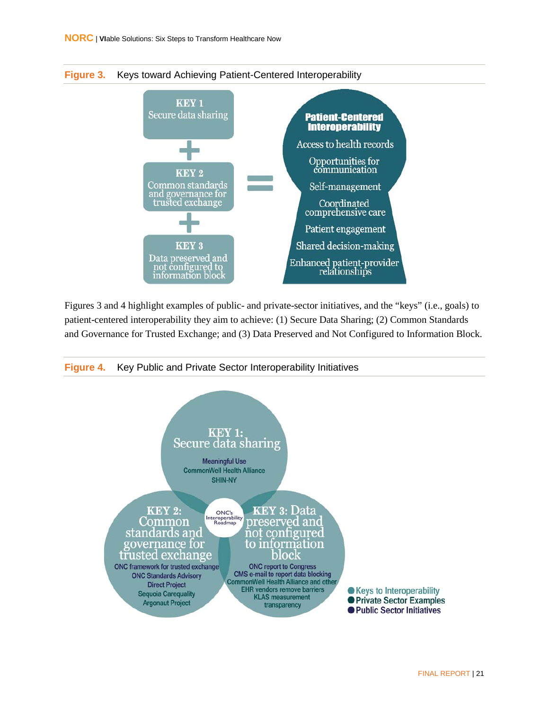<span id="page-29-0"></span>



Figures 3 and 4 highlight examples of public- and private-sector initiatives, and the "keys" (i.e., goals) to patient-centered interoperability they aim to achieve: (1) Secure Data Sharing; (2) Common Standards and Governance for Trusted Exchange; and (3) Data Preserved and Not Configured to Information Block.

<span id="page-29-1"></span>

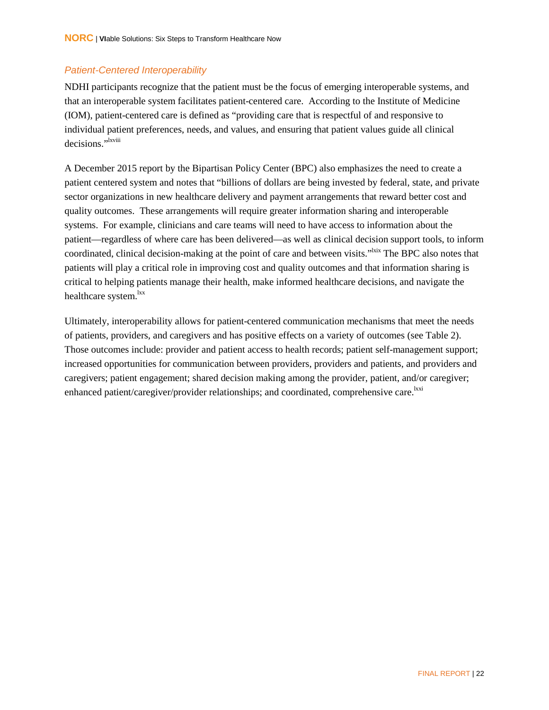#### <span id="page-30-0"></span>*Patient-Centered Interoperability*

NDHI participants recognize that the patient must be the focus of emerging interoperable systems, and that an interoperable system facilitates patient-centered care. According to the Institute of Medicine (IOM), patient-centered care is defined as "providing care that is respectful of and responsive to individual patient preferences, needs, and values, and ensuring that patient values guide all clinical decisions."<sup>Ixviii</sup>

A December 2015 report by the Bipartisan Policy Center (BPC) also emphasizes the need to create a patient centered system and notes that "billions of dollars are being invested by federal, state, and private sector organizations in new healthcare delivery and payment arrangements that reward better cost and quality outcomes. These arrangements will require greater information sharing and interoperable systems. For example, clinicians and care teams will need to have access to information about the patient—regardless of where care has been delivered—as well as clinical decision support tools, to inform coordinated, clinical decision-making at the point of care and between visits."<sup>Ixix</sup> The BPC also notes that patients will play a critical role in improving cost and quality outcomes and that information sharing is critical to helping patients manage their health, make informed healthcare decisions, and navigate the healthcare system.<sup>lxx</sup>

Ultimately, interoperability allows for patient-centered communication mechanisms that meet the needs of patients, providers, and caregivers and has positive effects on a variety of outcomes (see Table 2). Those outcomes include: provider and patient access to health records; patient self-management support; increased opportunities for communication between providers, providers and patients, and providers and caregivers; patient engagement; shared decision making among the provider, patient, and/or caregiver; enhanced patient/caregiver/provider relationships; and coordinated, comprehensive care.<sup>lxxi</sup>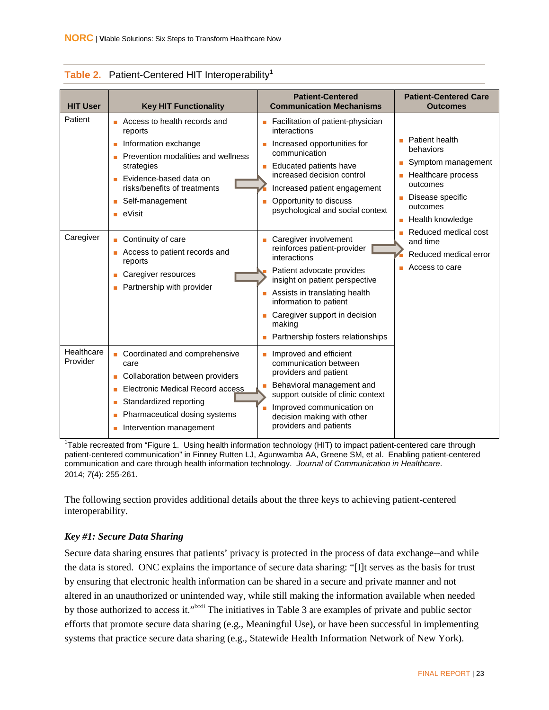| <b>HIT User</b>        | <b>Key HIT Functionality</b>                                                                                                                                                                                     | <b>Patient-Centered</b><br><b>Communication Mechanisms</b>                                                                                                                                                                                                                     | <b>Patient-Centered Care</b><br><b>Outcomes</b>                                                                                                                                                                                      |
|------------------------|------------------------------------------------------------------------------------------------------------------------------------------------------------------------------------------------------------------|--------------------------------------------------------------------------------------------------------------------------------------------------------------------------------------------------------------------------------------------------------------------------------|--------------------------------------------------------------------------------------------------------------------------------------------------------------------------------------------------------------------------------------|
| Patient                | Access to health records and<br>m.<br>reports<br>Information exchange<br>Prevention modalities and wellness<br>strategies<br>Evidence-based data on<br>risks/benefits of treatments<br>Self-management<br>eVisit | Facilitation of patient-physician<br>interactions<br>Increased opportunities for<br>communication<br>Educated patients have<br>increased decision control<br>Increased patient engagement<br>Opportunity to discuss<br>٠<br>psychological and social context                   | Patient health<br>behaviors<br>Symptom management<br><b>Healthcare process</b><br>outcomes<br>Disease specific<br>outcomes<br><b>Health knowledge</b><br>Reduced medical cost<br>and time<br>Reduced medical error<br>Access to care |
| Caregiver              | Continuity of care<br>Access to patient records and<br>reports<br>Caregiver resources<br>Partnership with provider                                                                                               | Caregiver involvement<br>reinforces patient-provider<br>interactions<br>Patient advocate provides<br>insight on patient perspective<br>Assists in translating health<br>information to patient<br>Caregiver support in decision<br>making<br>Partnership fosters relationships |                                                                                                                                                                                                                                      |
| Healthcare<br>Provider | Coordinated and comprehensive<br>care<br>Collaboration between providers<br>Electronic Medical Record access<br>Standardized reporting<br>Pharmaceutical dosing systems<br>Intervention management               | Improved and efficient<br>communication between<br>providers and patient<br>Behavioral management and<br>support outside of clinic context<br>Improved communication on<br>decision making with other<br>providers and patients                                                |                                                                                                                                                                                                                                      |

<span id="page-31-0"></span>

|  |  | Table 2. Patient-Centered HIT Interoperability <sup>1</sup> |  |
|--|--|-------------------------------------------------------------|--|
|--|--|-------------------------------------------------------------|--|

<sup>1</sup>Table recreated from "Figure 1. Using health information technology (HIT) to impact patient-centered care through patient-centered communication" in Finney Rutten LJ, Agunwamba AA, Greene SM, et al. Enabling patient-centered communication and care through health information technology. *Journal of Communication in Healthcare*. 2014; *7*(4): 255-261.

The following section provides additional details about the three keys to achieving patient-centered interoperability.

#### *Key #1: Secure Data Sharing*

Secure data sharing ensures that patients' privacy is protected in the process of data exchange--and while the data is stored. ONC explains the importance of secure data sharing: "[I]t serves as the basis for trust by ensuring that electronic health information can be shared in a secure and private manner and not altered in an unauthorized or unintended way, while still making the information available when needed by those authorized to access it."<sup>Ixxii</sup> The initiatives in Table 3 are examples of private and public sector efforts that promote secure data sharing (e.g., Meaningful Use), or have been successful in implementing systems that practice secure data sharing (e.g., Statewide Health Information Network of New York).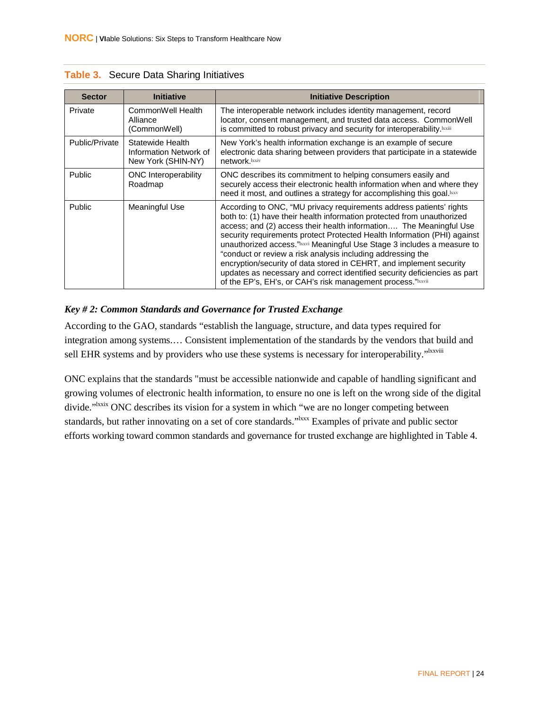| <b>Sector</b>  | <b>Initiative</b>                                                | <b>Initiative Description</b>                                                                                                                                                                                                                                                                                                                                                                                                                                                                                                                                                                                                                                |
|----------------|------------------------------------------------------------------|--------------------------------------------------------------------------------------------------------------------------------------------------------------------------------------------------------------------------------------------------------------------------------------------------------------------------------------------------------------------------------------------------------------------------------------------------------------------------------------------------------------------------------------------------------------------------------------------------------------------------------------------------------------|
| Private        | CommonWell Health<br>Alliance<br>(CommonWell)                    | The interoperable network includes identity management, record<br>locator, consent management, and trusted data access. CommonWell<br>is committed to robust privacy and security for interoperability. Ixxiii                                                                                                                                                                                                                                                                                                                                                                                                                                               |
| Public/Private | Statewide Health<br>Information Network of<br>New York (SHIN-NY) | New York's health information exchange is an example of secure<br>electronic data sharing between providers that participate in a statewide<br>network.lxxiv                                                                                                                                                                                                                                                                                                                                                                                                                                                                                                 |
| Public         | <b>ONC</b> Interoperability<br>Roadmap                           | ONC describes its commitment to helping consumers easily and<br>securely access their electronic health information when and where they<br>need it most, and outlines a strategy for accomplishing this goal. Ixxv                                                                                                                                                                                                                                                                                                                                                                                                                                           |
| Public         | Meaningful Use                                                   | According to ONC, "MU privacy requirements address patients' rights<br>both to: (1) have their health information protected from unauthorized<br>access; and (2) access their health information The Meaningful Use<br>security requirements protect Protected Health Information (PHI) against<br>unauthorized access."Ixxvi Meaningful Use Stage 3 includes a measure to<br>"conduct or review a risk analysis including addressing the<br>encryption/security of data stored in CEHRT, and implement security<br>updates as necessary and correct identified security deficiencies as part<br>of the EP's, EH's, or CAH's risk management process."Ixxvii |

<span id="page-32-0"></span>

#### *Key # 2: Common Standards and Governance for Trusted Exchange*

According to the GAO, standards "establish the language, structure, and data types required for integration among systems.… Consistent implementation of the standards by the vendors that build and sell EHR systems and by providers who use these systems is necessary for interoperability."<sup>Ixxviii</sup>

ONC explains that the standards "must be accessible nationwide and capable of handling significant and growing volumes of electronic health information, to ensure no one is left on the wrong side of the digital divide."<sup>Ixxix</sup> ONC describes its vision for a system in which "we are no longer competing between standards, but rather innovating on a set of core standards."<sup>Ixxx</sup> Examples of private and public sector efforts working toward common standards and governance for trusted exchange are highlighted in Table 4.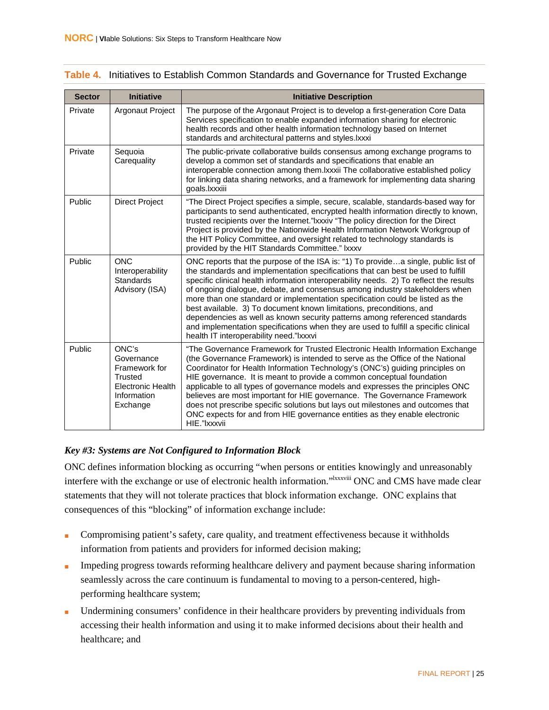#### <span id="page-33-0"></span>**Table 4.** Initiatives to Establish Common Standards and Governance for Trusted Exchange

| <b>Sector</b> | <b>Initiative</b>                                                                                             | <b>Initiative Description</b>                                                                                                                                                                                                                                                                                                                                                                                                                                                                                                                                                                                                                                                                                            |
|---------------|---------------------------------------------------------------------------------------------------------------|--------------------------------------------------------------------------------------------------------------------------------------------------------------------------------------------------------------------------------------------------------------------------------------------------------------------------------------------------------------------------------------------------------------------------------------------------------------------------------------------------------------------------------------------------------------------------------------------------------------------------------------------------------------------------------------------------------------------------|
| Private       | Argonaut Project                                                                                              | The purpose of the Argonaut Project is to develop a first-generation Core Data<br>Services specification to enable expanded information sharing for electronic<br>health records and other health information technology based on Internet<br>standards and architectural patterns and styles. Ixxxi                                                                                                                                                                                                                                                                                                                                                                                                                     |
| Private       | Sequoia<br>Carequality                                                                                        | The public-private collaborative builds consensus among exchange programs to<br>develop a common set of standards and specifications that enable an<br>interoperable connection among them. Ixxxii The collaborative established policy<br>for linking data sharing networks, and a framework for implementing data sharing<br>goals.lxxxiii                                                                                                                                                                                                                                                                                                                                                                             |
| Public        | <b>Direct Project</b>                                                                                         | "The Direct Project specifies a simple, secure, scalable, standards-based way for<br>participants to send authenticated, encrypted health information directly to known,<br>trusted recipients over the Internet."Ixxxiv "The policy direction for the Direct<br>Project is provided by the Nationwide Health Information Network Workgroup of<br>the HIT Policy Committee, and oversight related to technology standards is<br>provided by the HIT Standards Committee." Ixxxv                                                                                                                                                                                                                                          |
| Public        | <b>ONC</b><br>Interoperability<br>Standards<br>Advisory (ISA)                                                 | ONC reports that the purpose of the ISA is: "1) To providea single, public list of<br>the standards and implementation specifications that can best be used to fulfill<br>specific clinical health information interoperability needs. 2) To reflect the results<br>of ongoing dialogue, debate, and consensus among industry stakeholders when<br>more than one standard or implementation specification could be listed as the<br>best available. 3) To document known limitations, preconditions, and<br>dependencies as well as known security patterns among referenced standards<br>and implementation specifications when they are used to fulfill a specific clinical<br>health IT interoperability need."Ixxxvi |
| Public        | ONC's<br>Governance<br>Framework for<br><b>Trusted</b><br><b>Electronic Health</b><br>Information<br>Exchange | "The Governance Framework for Trusted Electronic Health Information Exchange<br>(the Governance Framework) is intended to serve as the Office of the National<br>Coordinator for Health Information Technology's (ONC's) guiding principles on<br>HIE governance. It is meant to provide a common conceptual foundation<br>applicable to all types of governance models and expresses the principles ONC<br>believes are most important for HIE governance. The Governance Framework<br>does not prescribe specific solutions but lays out milestones and outcomes that<br>ONC expects for and from HIE governance entities as they enable electronic<br>HIE."Ixxxvii                                                    |

#### *Key #3: Systems are Not Configured to Information Block*

ONC defines information blocking as occurring "when persons or entities knowingly and unreasonably interfere with the exchange or use of electronic health information."<sup>IXXXViii</sup> ONC and CMS have made clear statements that they will not tolerate practices that block information exchange. ONC explains that consequences of this "blocking" of information exchange include:

- Compromising patient's safety, care quality, and treatment effectiveness because it withholds information from patients and providers for informed decision making;
- Impeding progress towards reforming healthcare delivery and payment because sharing information seamlessly across the care continuum is fundamental to moving to a person-centered, highperforming healthcare system;
- Undermining consumers' confidence in their healthcare providers by preventing individuals from accessing their health information and using it to make informed decisions about their health and healthcare; and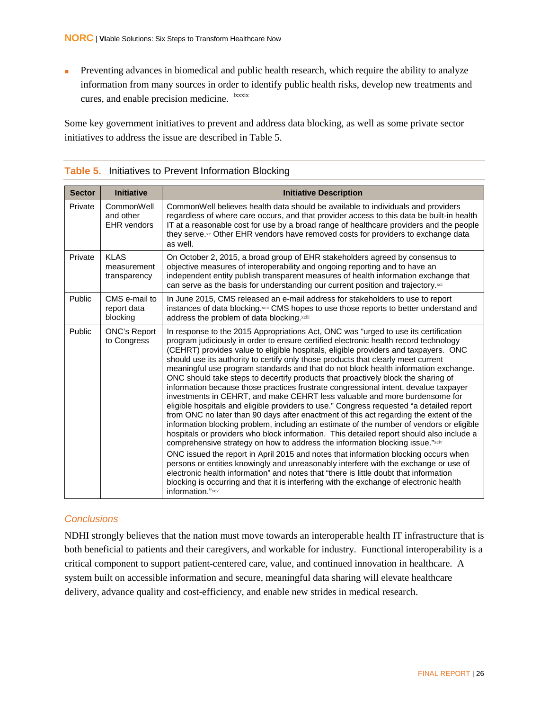■ Preventing advances in biomedical and public health research, which require the ability to analyze information from many sources in order to identify public health risks, develop new treatments and cures, and enable precision medicine. lxxxix

Some key government initiatives to prevent and address data blocking, as well as some private sector initiatives to address the issue are described in Table 5.

| <b>Sector</b> | <b>Initiative</b>                             | <b>Initiative Description</b>                                                                                                                                                                                                                                                                                                                                                                                                                                                                                                                                                                                                                                                                                                                                                                                                                                                                                                                                                                                                                                                                                                                                                                                                                                                                                                                                                                                                                                                                                                                                   |
|---------------|-----------------------------------------------|-----------------------------------------------------------------------------------------------------------------------------------------------------------------------------------------------------------------------------------------------------------------------------------------------------------------------------------------------------------------------------------------------------------------------------------------------------------------------------------------------------------------------------------------------------------------------------------------------------------------------------------------------------------------------------------------------------------------------------------------------------------------------------------------------------------------------------------------------------------------------------------------------------------------------------------------------------------------------------------------------------------------------------------------------------------------------------------------------------------------------------------------------------------------------------------------------------------------------------------------------------------------------------------------------------------------------------------------------------------------------------------------------------------------------------------------------------------------------------------------------------------------------------------------------------------------|
| Private       | CommonWell<br>and other<br><b>EHR</b> vendors | CommonWell believes health data should be available to individuals and providers<br>regardless of where care occurs, and that provider access to this data be built-in health<br>IT at a reasonable cost for use by a broad range of healthcare providers and the people<br>they serve.xc Other EHR vendors have removed costs for providers to exchange data<br>as well.                                                                                                                                                                                                                                                                                                                                                                                                                                                                                                                                                                                                                                                                                                                                                                                                                                                                                                                                                                                                                                                                                                                                                                                       |
| Private       | <b>KLAS</b><br>measurement<br>transparency    | On October 2, 2015, a broad group of EHR stakeholders agreed by consensus to<br>objective measures of interoperability and ongoing reporting and to have an<br>independent entity publish transparent measures of health information exchange that<br>can serve as the basis for understanding our current position and trajectory.xci                                                                                                                                                                                                                                                                                                                                                                                                                                                                                                                                                                                                                                                                                                                                                                                                                                                                                                                                                                                                                                                                                                                                                                                                                          |
| Public        | CMS e-mail to<br>report data<br>blocking      | In June 2015, CMS released an e-mail address for stakeholders to use to report<br>instances of data blocking.xdi CMS hopes to use those reports to better understand and<br>address the problem of data blocking.xciii                                                                                                                                                                                                                                                                                                                                                                                                                                                                                                                                                                                                                                                                                                                                                                                                                                                                                                                                                                                                                                                                                                                                                                                                                                                                                                                                          |
| Public        | <b>ONC's Report</b><br>to Congress            | In response to the 2015 Appropriations Act, ONC was "urged to use its certification<br>program judiciously in order to ensure certified electronic health record technology<br>(CEHRT) provides value to eligible hospitals, eligible providers and taxpayers. ONC<br>should use its authority to certify only those products that clearly meet current<br>meaningful use program standards and that do not block health information exchange.<br>ONC should take steps to decertify products that proactively block the sharing of<br>information because those practices frustrate congressional intent, devalue taxpayer<br>investments in CEHRT, and make CEHRT less valuable and more burdensome for<br>eligible hospitals and eligible providers to use." Congress requested "a detailed report<br>from ONC no later than 90 days after enactment of this act regarding the extent of the<br>information blocking problem, including an estimate of the number of vendors or eligible<br>hospitals or providers who block information. This detailed report should also include a<br>comprehensive strategy on how to address the information blocking issue."xciv<br>ONC issued the report in April 2015 and notes that information blocking occurs when<br>persons or entities knowingly and unreasonably interfere with the exchange or use of<br>electronic health information" and notes that "there is little doubt that information<br>blocking is occurring and that it is interfering with the exchange of electronic health<br>information."xcv |

#### <span id="page-34-1"></span>**Table 5.** Initiatives to Prevent Information Blocking

#### <span id="page-34-0"></span>*Conclusions*

NDHI strongly believes that the nation must move towards an interoperable health IT infrastructure that is both beneficial to patients and their caregivers, and workable for industry. Functional interoperability is a critical component to support patient-centered care, value, and continued innovation in healthcare. A system built on accessible information and secure, meaningful data sharing will elevate healthcare delivery, advance quality and cost-efficiency, and enable new strides in medical research.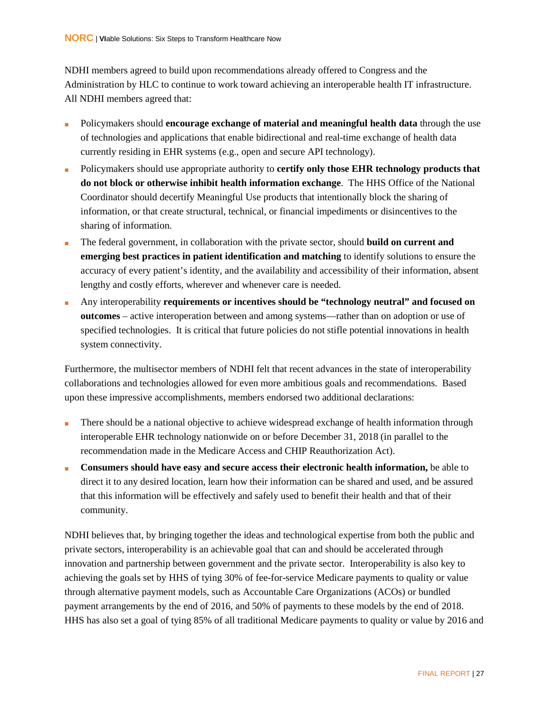NDHI members agreed to build upon recommendations already offered to Congress and the Administration by HLC to continue to work toward achieving an interoperable health IT infrastructure. All NDHI members agreed that:

- Policymakers should **encourage exchange of material and meaningful health data** through the use of technologies and applications that enable bidirectional and real-time exchange of health data currently residing in EHR systems (e.g., open and secure API technology).
- Policymakers should use appropriate authority to **certify only those EHR technology products that do not block or otherwise inhibit health information exchange**. The HHS Office of the National Coordinator should decertify Meaningful Use products that intentionally block the sharing of information, or that create structural, technical, or financial impediments or disincentives to the sharing of information.
- The federal government, in collaboration with the private sector, should **build on current and emerging best practices in patient identification and matching** to identify solutions to ensure the accuracy of every patient's identity, and the availability and accessibility of their information, absent lengthy and costly efforts, wherever and whenever care is needed.
- Any interoperability **requirements or incentives should be "technology neutral" and focused on outcomes** – active interoperation between and among systems—rather than on adoption or use of specified technologies. It is critical that future policies do not stifle potential innovations in health system connectivity.

Furthermore, the multisector members of NDHI felt that recent advances in the state of interoperability collaborations and technologies allowed for even more ambitious goals and recommendations. Based upon these impressive accomplishments, members endorsed two additional declarations:

- There should be a national objective to achieve widespread exchange of health information through interoperable EHR technology nationwide on or before December 31, 2018 (in parallel to the recommendation made in the Medicare Access and CHIP Reauthorization Act).
- **Consumers should have easy and secure access their electronic health information, be able to** direct it to any desired location, learn how their information can be shared and used, and be assured that this information will be effectively and safely used to benefit their health and that of their community.

NDHI believes that, by bringing together the ideas and technological expertise from both the public and private sectors, interoperability is an achievable goal that can and should be accelerated through innovation and partnership between government and the private sector. Interoperability is also key to achieving the goals set by HHS of tying 30% of fee-for-service Medicare payments to quality or value through alternative payment models, such as Accountable Care Organizations (ACOs) or bundled payment arrangements by the end of 2016, and 50% of payments to these models by the end of 2018. HHS has also set a goal of tying 85% of all traditional Medicare payments to quality or value by 2016 and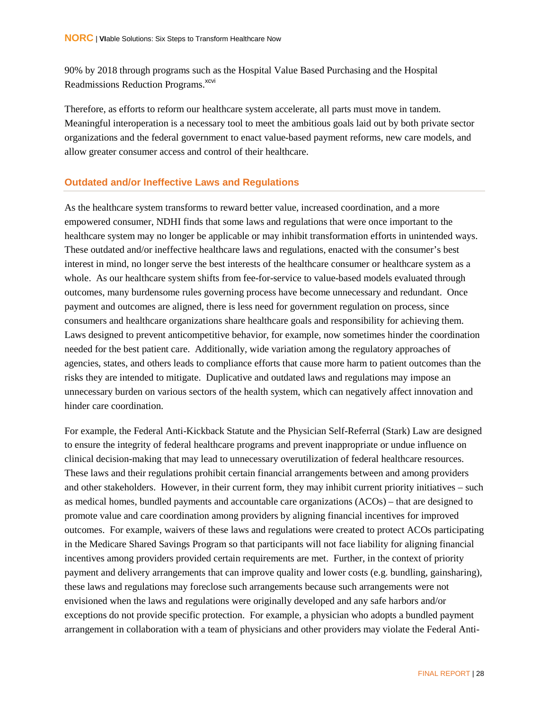90% by 2018 through programs such as the Hospital Value Based Purchasing and the Hospital Readmissions Reduction Programs.<sup>xcvi</sup>

Therefore, as efforts to reform our healthcare system accelerate, all parts must move in tandem. Meaningful interoperation is a necessary tool to meet the ambitious goals laid out by both private sector organizations and the federal government to enact value-based payment reforms, new care models, and allow greater consumer access and control of their healthcare.

#### <span id="page-36-0"></span>**Outdated and/or Ineffective Laws and Regulations**

As the healthcare system transforms to reward better value, increased coordination, and a more empowered consumer, NDHI finds that some laws and regulations that were once important to the healthcare system may no longer be applicable or may inhibit transformation efforts in unintended ways. These outdated and/or ineffective healthcare laws and regulations, enacted with the consumer's best interest in mind, no longer serve the best interests of the healthcare consumer or healthcare system as a whole. As our healthcare system shifts from fee-for-service to value-based models evaluated through outcomes, many burdensome rules governing process have become unnecessary and redundant. Once payment and outcomes are aligned, there is less need for government regulation on process, since consumers and healthcare organizations share healthcare goals and responsibility for achieving them. Laws designed to prevent anticompetitive behavior, for example, now sometimes hinder the coordination needed for the best patient care. Additionally, wide variation among the regulatory approaches of agencies, states, and others leads to compliance efforts that cause more harm to patient outcomes than the risks they are intended to mitigate. Duplicative and outdated laws and regulations may impose an unnecessary burden on various sectors of the health system, which can negatively affect innovation and hinder care coordination.

For example, the Federal Anti-Kickback Statute and the Physician Self-Referral (Stark) Law are designed to ensure the integrity of federal healthcare programs and prevent inappropriate or undue influence on clinical decision-making that may lead to unnecessary overutilization of federal healthcare resources. These laws and their regulations prohibit certain financial arrangements between and among providers and other stakeholders. However, in their current form, they may inhibit current priority initiatives – such as medical homes, bundled payments and accountable care organizations (ACOs) – that are designed to promote value and care coordination among providers by aligning financial incentives for improved outcomes. For example, waivers of these laws and regulations were created to protect ACOs participating in the Medicare Shared Savings Program so that participants will not face liability for aligning financial incentives among providers provided certain requirements are met. Further, in the context of priority payment and delivery arrangements that can improve quality and lower costs (e.g. bundling, gainsharing), these laws and regulations may foreclose such arrangements because such arrangements were not envisioned when the laws and regulations were originally developed and any safe harbors and/or exceptions do not provide specific protection. For example, a physician who adopts a bundled payment arrangement in collaboration with a team of physicians and other providers may violate the Federal Anti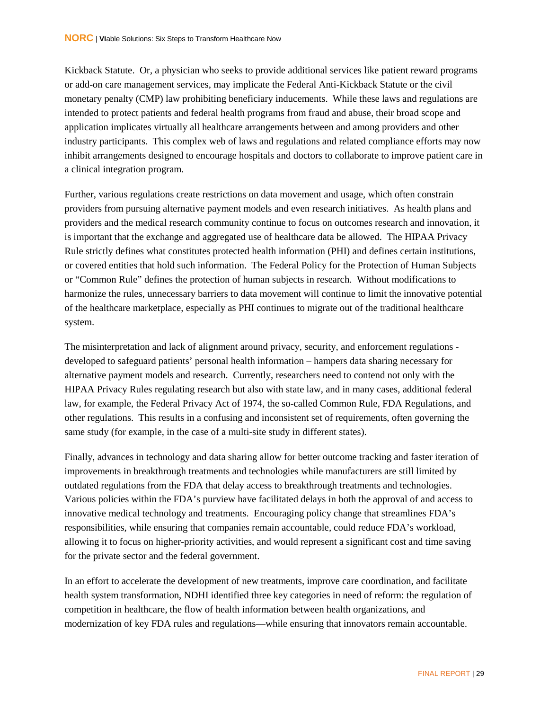Kickback Statute. Or, a physician who seeks to provide additional services like patient reward programs or add-on care management services, may implicate the Federal Anti-Kickback Statute or the civil monetary penalty (CMP) law prohibiting beneficiary inducements. While these laws and regulations are intended to protect patients and federal health programs from fraud and abuse, their broad scope and application implicates virtually all healthcare arrangements between and among providers and other industry participants. This complex web of laws and regulations and related compliance efforts may now inhibit arrangements designed to encourage hospitals and doctors to collaborate to improve patient care in a clinical integration program.

Further, various regulations create restrictions on data movement and usage, which often constrain providers from pursuing alternative payment models and even research initiatives. As health plans and providers and the medical research community continue to focus on outcomes research and innovation, it is important that the exchange and aggregated use of healthcare data be allowed. The HIPAA Privacy Rule strictly defines what constitutes protected health information (PHI) and defines certain institutions, or covered entities that hold such information. The Federal Policy for the Protection of Human Subjects or "Common Rule" defines the protection of human subjects in research. Without modifications to harmonize the rules, unnecessary barriers to data movement will continue to limit the innovative potential of the healthcare marketplace, especially as PHI continues to migrate out of the traditional healthcare system.

The misinterpretation and lack of alignment around privacy, security, and enforcement regulations developed to safeguard patients' personal health information – hampers data sharing necessary for alternative payment models and research. Currently, researchers need to contend not only with the HIPAA Privacy Rules regulating research but also with state law, and in many cases, additional federal law, for example, the Federal Privacy Act of 1974, the so-called Common Rule, FDA Regulations, and other regulations. This results in a confusing and inconsistent set of requirements, often governing the same study (for example, in the case of a multi-site study in different states).

Finally, advances in technology and data sharing allow for better outcome tracking and faster iteration of improvements in breakthrough treatments and technologies while manufacturers are still limited by outdated regulations from the FDA that delay access to breakthrough treatments and technologies. Various policies within the FDA's purview have facilitated delays in both the approval of and access to innovative medical technology and treatments. Encouraging policy change that streamlines FDA's responsibilities, while ensuring that companies remain accountable, could reduce FDA's workload, allowing it to focus on higher-priority activities, and would represent a significant cost and time saving for the private sector and the federal government.

In an effort to accelerate the development of new treatments, improve care coordination, and facilitate health system transformation, NDHI identified three key categories in need of reform: the regulation of competition in healthcare, the flow of health information between health organizations, and modernization of key FDA rules and regulations—while ensuring that innovators remain accountable.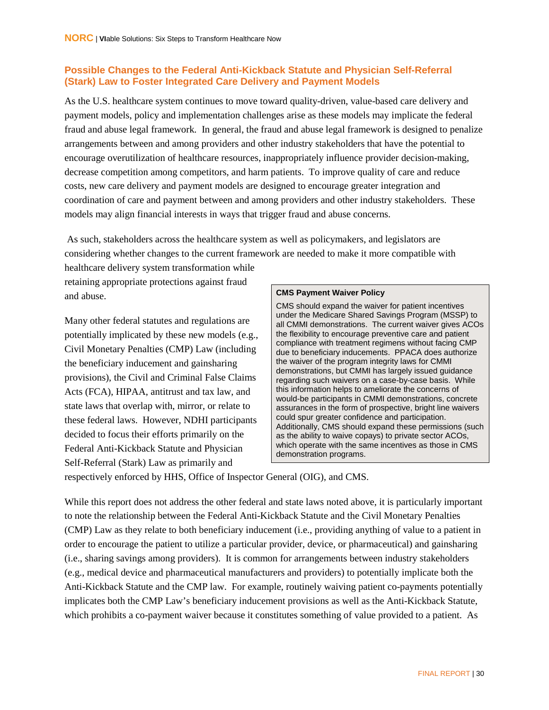#### <span id="page-38-0"></span>**Possible Changes to the Federal Anti-Kickback Statute and Physician Self-Referral (Stark) Law to Foster Integrated Care Delivery and Payment Models**

As the U.S. healthcare system continues to move toward quality-driven, value-based care delivery and payment models, policy and implementation challenges arise as these models may implicate the federal fraud and abuse legal framework. In general, the fraud and abuse legal framework is designed to penalize arrangements between and among providers and other industry stakeholders that have the potential to encourage overutilization of healthcare resources, inappropriately influence provider decision-making, decrease competition among competitors, and harm patients. To improve quality of care and reduce costs, new care delivery and payment models are designed to encourage greater integration and coordination of care and payment between and among providers and other industry stakeholders. These models may align financial interests in ways that trigger fraud and abuse concerns.

As such, stakeholders across the healthcare system as well as policymakers, and legislators are considering whether changes to the current framework are needed to make it more compatible with healthcare delivery system transformation while

retaining appropriate protections against fraud and abuse.

Many other federal statutes and regulations are potentially implicated by these new models (e.g., Civil Monetary Penalties (CMP) Law (including the beneficiary inducement and gainsharing provisions), the Civil and Criminal False Claims Acts (FCA), HIPAA, antitrust and tax law, and state laws that overlap with, mirror, or relate to these federal laws. However, NDHI participants decided to focus their efforts primarily on the Federal Anti-Kickback Statute and Physician Self-Referral (Stark) Law as primarily and

#### **CMS Payment Waiver Policy**

CMS should expand the waiver for patient incentives under the Medicare Shared Savings Program (MSSP) to all CMMI demonstrations. The current waiver gives ACOs the flexibility to encourage preventive care and patient compliance with treatment regimens without facing CMP due to beneficiary inducements. PPACA does authorize the waiver of the program integrity laws for CMMI demonstrations, but CMMI has largely issued guidance regarding such waivers on a case-by-case basis. While this information helps to ameliorate the concerns of would-be participants in CMMI demonstrations, concrete assurances in the form of prospective, bright line waivers could spur greater confidence and participation. Additionally, CMS should expand these permissions (such as the ability to waive copays) to private sector ACOs, which operate with the same incentives as those in CMS demonstration programs.

respectively enforced by HHS, Office of Inspector General (OIG), and CMS.

While this report does not address the other federal and state laws noted above, it is particularly important to note the relationship between the Federal Anti-Kickback Statute and the Civil Monetary Penalties (CMP) Law as they relate to both beneficiary inducement (i.e., providing anything of value to a patient in order to encourage the patient to utilize a particular provider, device, or pharmaceutical) and gainsharing (i.e., sharing savings among providers). It is common for arrangements between industry stakeholders (e.g., medical device and pharmaceutical manufacturers and providers) to potentially implicate both the Anti-Kickback Statute and the CMP law. For example, routinely waiving patient co-payments potentially implicates both the CMP Law's beneficiary inducement provisions as well as the Anti-Kickback Statute, which prohibits a co-payment waiver because it constitutes something of value provided to a patient. As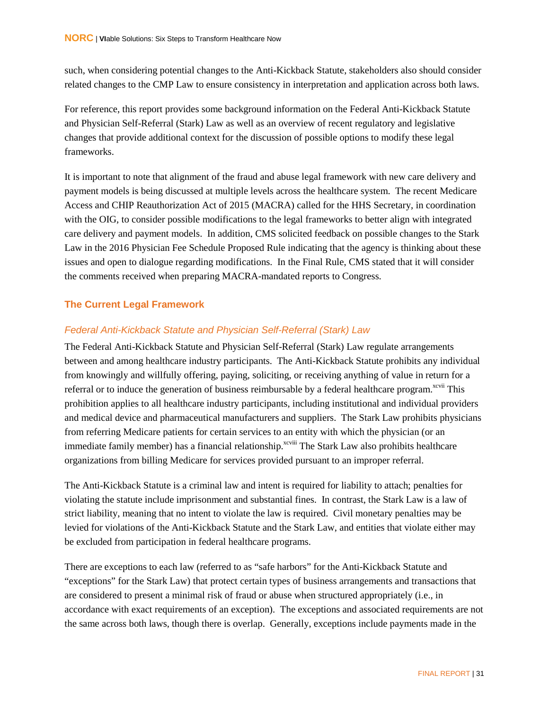such, when considering potential changes to the Anti-Kickback Statute, stakeholders also should consider related changes to the CMP Law to ensure consistency in interpretation and application across both laws.

For reference, this report provides some background information on the Federal Anti-Kickback Statute and Physician Self-Referral (Stark) Law as well as an overview of recent regulatory and legislative changes that provide additional context for the discussion of possible options to modify these legal frameworks.

It is important to note that alignment of the fraud and abuse legal framework with new care delivery and payment models is being discussed at multiple levels across the healthcare system. The recent Medicare Access and CHIP Reauthorization Act of 2015 (MACRA) called for the HHS Secretary, in coordination with the OIG, to consider possible modifications to the legal frameworks to better align with integrated care delivery and payment models. In addition, CMS solicited feedback on possible changes to the Stark Law in the 2016 Physician Fee Schedule Proposed Rule indicating that the agency is thinking about these issues and open to dialogue regarding modifications. In the Final Rule, CMS stated that it will consider the comments received when preparing MACRA-mandated reports to Congress.

#### <span id="page-39-0"></span>**The Current Legal Framework**

#### <span id="page-39-1"></span>*Federal Anti-Kickback Statute and Physician Self-Referral (Stark) Law*

The Federal Anti-Kickback Statute and Physician Self-Referral (Stark) Law regulate arrangements between and among healthcare industry participants. The Anti-Kickback Statute prohibits any individual from knowingly and willfully offering, paying, soliciting, or receiving anything of value in return for a referral or to induce the generation of business reimbursable by a federal healthcare program.<sup>xcvii</sup> This prohibition applies to all healthcare industry participants, including institutional and individual providers and medical device and pharmaceutical manufacturers and suppliers. The Stark Law prohibits physicians from referring Medicare patients for certain services to an entity with which the physician (or an immediate family member) has a financial relationship.<sup>xcviii</sup> The Stark Law also prohibits healthcare organizations from billing Medicare for services provided pursuant to an improper referral.

The Anti-Kickback Statute is a criminal law and intent is required for liability to attach; penalties for violating the statute include imprisonment and substantial fines. In contrast, the Stark Law is a law of strict liability, meaning that no intent to violate the law is required. Civil monetary penalties may be levied for violations of the Anti-Kickback Statute and the Stark Law, and entities that violate either may be excluded from participation in federal healthcare programs.

There are exceptions to each law (referred to as "safe harbors" for the Anti-Kickback Statute and "exceptions" for the Stark Law) that protect certain types of business arrangements and transactions that are considered to present a minimal risk of fraud or abuse when structured appropriately (i.e., in accordance with exact requirements of an exception). The exceptions and associated requirements are not the same across both laws, though there is overlap. Generally, exceptions include payments made in the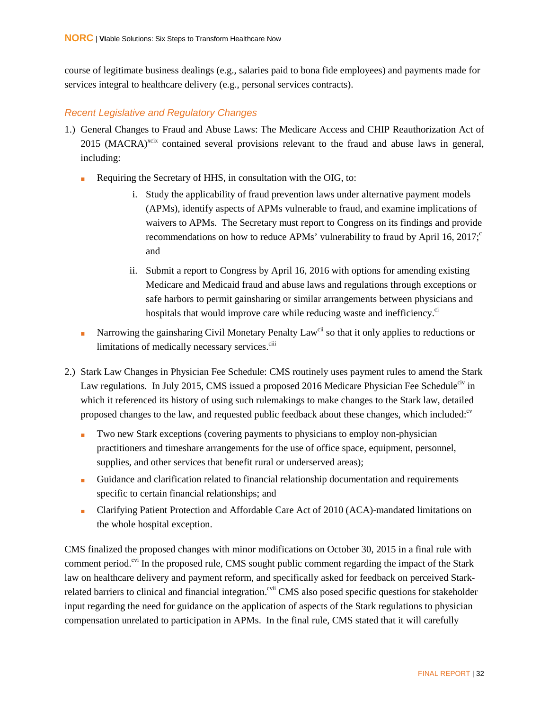course of legitimate business dealings (e.g., salaries paid to bona fide employees) and payments made for services integral to healthcare delivery (e.g., personal services contracts).

#### <span id="page-40-0"></span>*Recent Legislative and Regulatory Changes*

- 1.) General Changes to Fraud and Abuse Laws: The Medicare Access and CHIP Reauthorization Act of 2015 (MACRA)<sup>xcix</sup> contained several provisions relevant to the fraud and abuse laws in general, including:
	- Requiring the Secretary of HHS, in consultation with the OIG, to:
		- i. Study the applicability of fraud prevention laws under alternative payment models (APMs), identify aspects of APMs vulnerable to fraud, and examine implications of waivers to APMs. The Secretary must report to Congress on its findings and provide recommendations on how to reduce APMs' vulnerability to fraud by April 16, 2017; $\degree$ and
		- ii. Submit a report to Congress by April 16, 2016 with options for amending existing Medicare and Medicaid fraud and abuse laws and regulations through exceptions or safe harbors to permit gainsharing or similar arrangements between physicians and hospitals that would improve care while reducing waste and inefficiency.<sup>ci</sup>
	- Narrowing the gainsharing Civil Monetary Penalty Law<sup>cii</sup> so that it only applies to reductions or limitations of medically necessary services.<sup>ciii</sup>
- 2.) Stark Law Changes in Physician Fee Schedule: CMS routinely uses payment rules to amend the Stark Law regulations. In July 2015, CMS issued a proposed 2016 Medicare Physician Fee Schedule<sup>civ</sup> in which it referenced its history of using such rulemakings to make changes to the Stark law, detailed proposed changes to the law, and requested public feedback about these changes, which included:<sup>cv</sup>
	- Two new Stark exceptions (covering payments to physicians to employ non-physician practitioners and timeshare arrangements for the use of office space, equipment, personnel, supplies, and other services that benefit rural or underserved areas);
	- Guidance and clarification related to financial relationship documentation and requirements specific to certain financial relationships; and
	- Clarifying Patient Protection and Affordable Care Act of 2010 (ACA)-mandated limitations on the whole hospital exception.

CMS finalized the proposed changes with minor modifications on October 30, 2015 in a final rule with comment period.<sup>cvi</sup> In the proposed rule, CMS sought public comment regarding the impact of the Stark law on healthcare delivery and payment reform, and specifically asked for feedback on perceived Starkrelated barriers to clinical and financial integration.<sup>cvii</sup> CMS also posed specific questions for stakeholder input regarding the need for guidance on the application of aspects of the Stark regulations to physician compensation unrelated to participation in APMs. In the final rule, CMS stated that it will carefully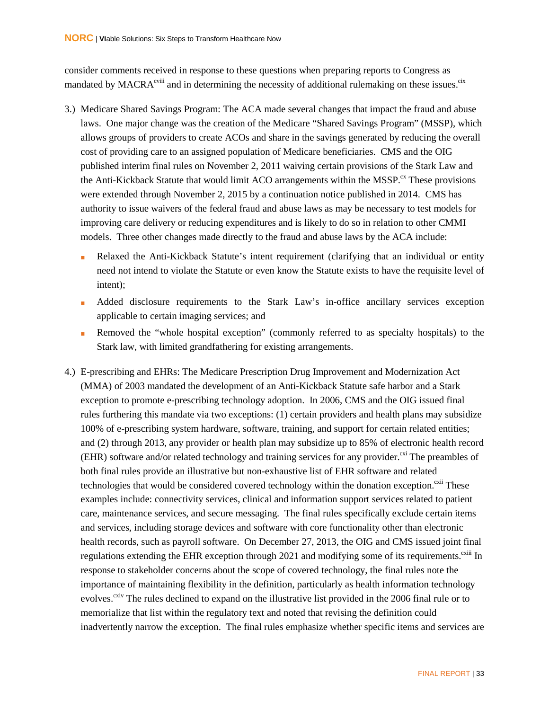consider comments received in response to these questions when preparing reports to Congress as mandated by  $MACRA^{cviii}$  and in determining the necessity of additional rulemaking on these issues.<sup>cix</sup>

- 3.) Medicare Shared Savings Program: The ACA made several changes that impact the fraud and abuse laws. One major change was the creation of the Medicare "Shared Savings Program" (MSSP), which allows groups of providers to create ACOs and share in the savings generated by reducing the overall cost of providing care to an assigned population of Medicare beneficiaries. CMS and the OIG published interim final rules on November 2, 2011 waiving certain provisions of the Stark Law and the Anti-Kickback Statute that would limit ACO arrangements within the MSSP.<sup>cx</sup> These provisions were extended through November 2, 2015 by a continuation notice published in 2014. CMS has authority to issue waivers of the federal fraud and abuse laws as may be necessary to test models for improving care delivery or reducing expenditures and is likely to do so in relation to other CMMI models. Three other changes made directly to the fraud and abuse laws by the ACA include:
	- Relaxed the Anti-Kickback Statute's intent requirement (clarifying that an individual or entity need not intend to violate the Statute or even know the Statute exists to have the requisite level of intent);
	- Added disclosure requirements to the Stark Law's in-office ancillary services exception applicable to certain imaging services; and
	- Removed the "whole hospital exception" (commonly referred to as specialty hospitals) to the Stark law, with limited grandfathering for existing arrangements.
- 4.) E-prescribing and EHRs: The Medicare Prescription Drug Improvement and Modernization Act (MMA) of 2003 mandated the development of an Anti-Kickback Statute safe harbor and a Stark exception to promote e-prescribing technology adoption. In 2006, CMS and the OIG issued final rules furthering this mandate via two exceptions: (1) certain providers and health plans may subsidize 100% of e-prescribing system hardware, software, training, and support for certain related entities; and (2) through 2013, any provider or health plan may subsidize up to 85% of electronic health record (EHR) software and/or related technology and training services for any provider.<sup> $\alpha$ i</sup> The preambles of both final rules provide an illustrative but non-exhaustive list of EHR software and related technologies that would be considered covered technology within the donation exception. $\frac{c}{}$ <sup>xii</sup> These examples include: connectivity services, clinical and information support services related to patient care, maintenance services, and secure messaging. The final rules specifically exclude certain items and services, including storage devices and software with core functionality other than electronic health records, such as payroll software. On December 27, 2013, the OIG and CMS issued joint final regulations extending the EHR exception through 2021 and modifying some of its requirements.<sup>cxiii</sup> In response to stakeholder concerns about the scope of covered technology, the final rules note the importance of maintaining flexibility in the definition, particularly as health information technology evolves.<sup>cxiv</sup> The rules declined to expand on the illustrative list provided in the 2006 final rule or to memorialize that list within the regulatory text and noted that revising the definition could inadvertently narrow the exception. The final rules emphasize whether specific items and services are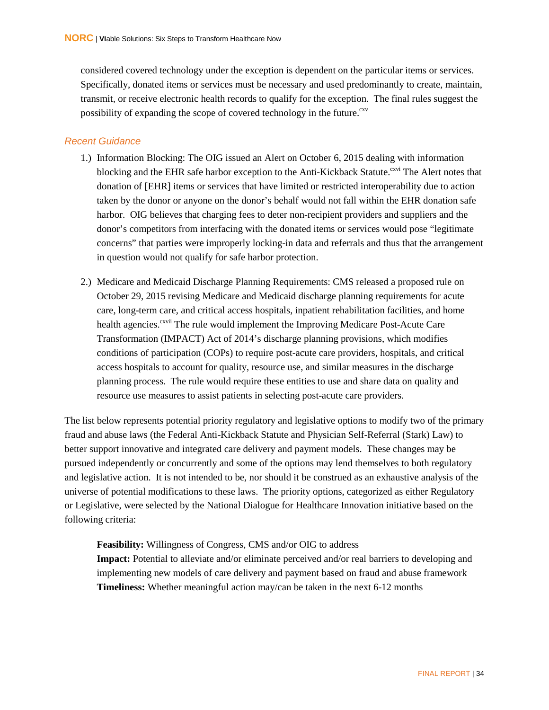considered covered technology under the exception is dependent on the particular items or services. Specifically, donated items or services must be necessary and used predominantly to create, maintain, transmit, or receive electronic health records to qualify for the exception. The final rules suggest the possibility of expanding the scope of covered technology in the future.<sup>cxv</sup>

#### <span id="page-42-0"></span>*Recent Guidance*

- 1.) Information Blocking: The OIG issued an Alert on October 6, 2015 dealing with information blocking and the EHR safe harbor exception to the Anti-Kickback Statute.<sup>cxvi</sup> The Alert notes that donation of [EHR] items or services that have limited or restricted interoperability due to action taken by the donor or anyone on the donor's behalf would not fall within the EHR donation safe harbor. OIG believes that charging fees to deter non-recipient providers and suppliers and the donor's competitors from interfacing with the donated items or services would pose "legitimate concerns" that parties were improperly locking-in data and referrals and thus that the arrangement in question would not qualify for safe harbor protection.
- 2.) Medicare and Medicaid Discharge Planning Requirements: CMS released a proposed rule on October 29, 2015 revising Medicare and Medicaid discharge planning requirements for acute care, long-term care, and critical access hospitals, inpatient rehabilitation facilities, and home health agencies.<sup>cxvii</sup> The rule would implement the Improving Medicare Post-Acute Care Transformation (IMPACT) Act of 2014's discharge planning provisions, which modifies conditions of participation (COPs) to require post-acute care providers, hospitals, and critical access hospitals to account for quality, resource use, and similar measures in the discharge planning process. The rule would require these entities to use and share data on quality and resource use measures to assist patients in selecting post-acute care providers.

The list below represents potential priority regulatory and legislative options to modify two of the primary fraud and abuse laws (the Federal Anti-Kickback Statute and Physician Self-Referral (Stark) Law) to better support innovative and integrated care delivery and payment models. These changes may be pursued independently or concurrently and some of the options may lend themselves to both regulatory and legislative action. It is not intended to be, nor should it be construed as an exhaustive analysis of the universe of potential modifications to these laws. The priority options, categorized as either Regulatory or Legislative, were selected by the National Dialogue for Healthcare Innovation initiative based on the following criteria:

**Feasibility:** Willingness of Congress, CMS and/or OIG to address

**Impact:** Potential to alleviate and/or eliminate perceived and/or real barriers to developing and implementing new models of care delivery and payment based on fraud and abuse framework **Timeliness:** Whether meaningful action may/can be taken in the next 6-12 months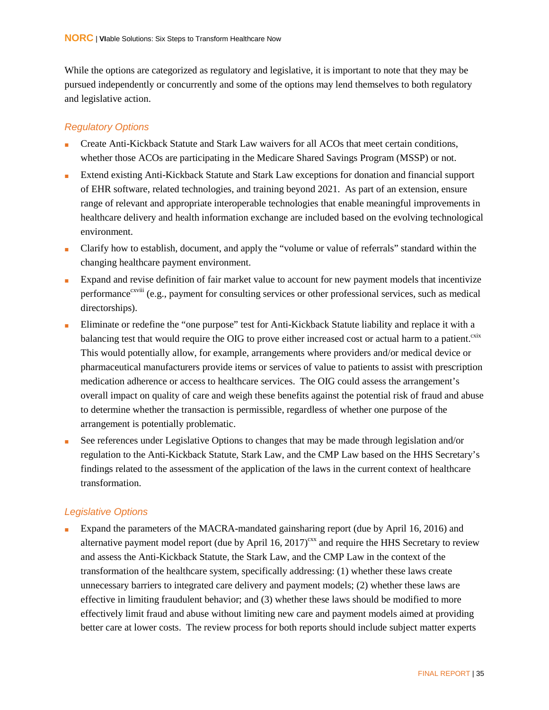While the options are categorized as regulatory and legislative, it is important to note that they may be pursued independently or concurrently and some of the options may lend themselves to both regulatory and legislative action.

#### <span id="page-43-0"></span>*Regulatory Options*

- Create Anti-Kickback Statute and Stark Law waivers for all ACOs that meet certain conditions, whether those ACOs are participating in the Medicare Shared Savings Program (MSSP) or not.
- Extend existing Anti-Kickback Statute and Stark Law exceptions for donation and financial support of EHR software, related technologies, and training beyond 2021. As part of an extension, ensure range of relevant and appropriate interoperable technologies that enable meaningful improvements in healthcare delivery and health information exchange are included based on the evolving technological environment.
- Clarify how to establish, document, and apply the "volume or value of referrals" standard within the changing healthcare payment environment.
- Expand and revise definition of fair market value to account for new payment models that incentivize performance<sup>cxviii</sup> (e.g., payment for consulting services or other professional services, such as medical directorships).
- Eliminate or redefine the "one purpose" test for Anti-Kickback Statute liability and replace it with a balancing test that would require the OIG to prove either increased cost or actual harm to a patient.<sup>cxix</sup> This would potentially allow, for example, arrangements where providers and/or medical device or pharmaceutical manufacturers provide items or services of value to patients to assist with prescription medication adherence or access to healthcare services. The OIG could assess the arrangement's overall impact on quality of care and weigh these benefits against the potential risk of fraud and abuse to determine whether the transaction is permissible, regardless of whether one purpose of the arrangement is potentially problematic.
- See references under Legislative Options to changes that may be made through legislation and/or regulation to the Anti-Kickback Statute, Stark Law, and the CMP Law based on the HHS Secretary's findings related to the assessment of the application of the laws in the current context of healthcare transformation.

#### <span id="page-43-1"></span>*Legislative Options*

Expand the parameters of the MACRA-mandated gainsharing report (due by April 16, 2016) and alternative payment model report (due by April 16,  $2017)^{cx}$  and require the HHS Secretary to review and assess the Anti-Kickback Statute, the Stark Law, and the CMP Law in the context of the transformation of the healthcare system, specifically addressing: (1) whether these laws create unnecessary barriers to integrated care delivery and payment models; (2) whether these laws are effective in limiting fraudulent behavior; and (3) whether these laws should be modified to more effectively limit fraud and abuse without limiting new care and payment models aimed at providing better care at lower costs. The review process for both reports should include subject matter experts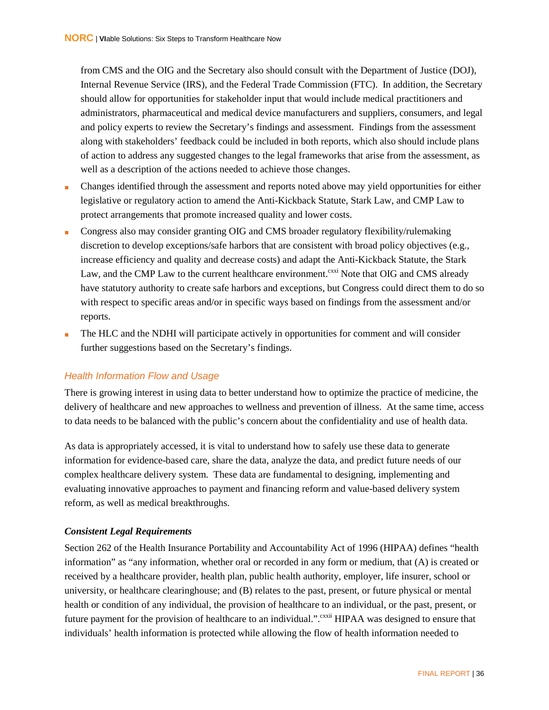from CMS and the OIG and the Secretary also should consult with the Department of Justice (DOJ), Internal Revenue Service (IRS), and the Federal Trade Commission (FTC). In addition, the Secretary should allow for opportunities for stakeholder input that would include medical practitioners and administrators, pharmaceutical and medical device manufacturers and suppliers, consumers, and legal and policy experts to review the Secretary's findings and assessment. Findings from the assessment along with stakeholders' feedback could be included in both reports, which also should include plans of action to address any suggested changes to the legal frameworks that arise from the assessment, as well as a description of the actions needed to achieve those changes.

- Changes identified through the assessment and reports noted above may yield opportunities for either legislative or regulatory action to amend the Anti-Kickback Statute, Stark Law, and CMP Law to protect arrangements that promote increased quality and lower costs.
- Congress also may consider granting OIG and CMS broader regulatory flexibility/rulemaking discretion to develop exceptions/safe harbors that are consistent with broad policy objectives (e.g., increase efficiency and quality and decrease costs) and adapt the Anti-Kickback Statute, the Stark Law, and the CMP Law to the current healthcare environment.<sup>cxxi</sup> Note that OIG and CMS already have statutory authority to create safe harbors and exceptions, but Congress could direct them to do so with respect to specific areas and/or in specific ways based on findings from the assessment and/or reports.
- The HLC and the NDHI will participate actively in opportunities for comment and will consider further suggestions based on the Secretary's findings.

#### <span id="page-44-0"></span>*Health Information Flow and Usage*

There is growing interest in using data to better understand how to optimize the practice of medicine, the delivery of healthcare and new approaches to wellness and prevention of illness. At the same time, access to data needs to be balanced with the public's concern about the confidentiality and use of health data.

As data is appropriately accessed, it is vital to understand how to safely use these data to generate information for evidence-based care, share the data, analyze the data, and predict future needs of our complex healthcare delivery system. These data are fundamental to designing, implementing and evaluating innovative approaches to payment and financing reform and value-based delivery system reform, as well as medical breakthroughs.

#### *Consistent Legal Requirements*

Section 262 of the Health Insurance Portability and Accountability Act of 1996 (HIPAA) defines "health information" as "any information, whether oral or recorded in any form or medium, that (A) is created or received by a healthcare provider, health plan, public health authority, employer, life insurer, school or university, or healthcare clearinghouse; and (B) relates to the past, present, or future physical or mental health or condition of any individual, the provision of healthcare to an individual, or the past, present, or future payment for the provision of healthcare to an individual.". <sup>exxii</sup> HIPAA was designed to ensure that individuals' health information is protected while allowing the flow of health information needed to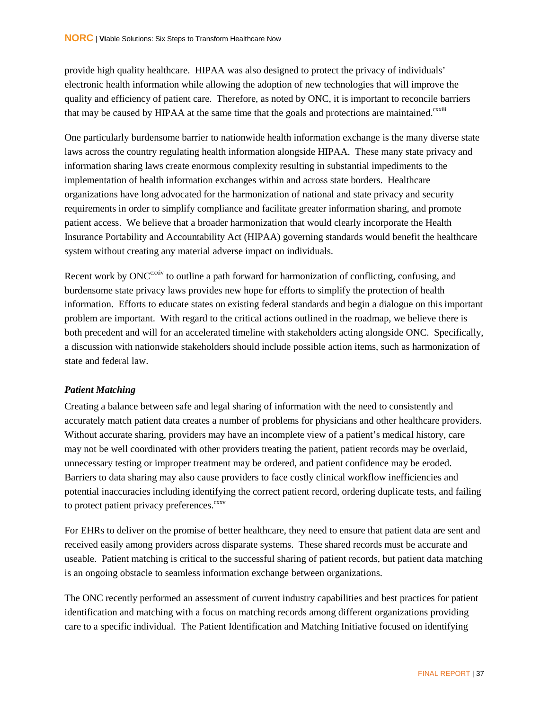provide high quality healthcare. HIPAA was also designed to protect the privacy of individuals' electronic health information while allowing the adoption of new technologies that will improve the quality and efficiency of patient care. Therefore, as noted by ONC, it is important to reconcile barriers that may be caused by HIPAA at the same time that the goals and protections are maintained.<sup>cxxiii</sup>

One particularly burdensome barrier to nationwide health information exchange is the many diverse state laws across the country regulating health information alongside HIPAA. These many state privacy and information sharing laws create enormous complexity resulting in substantial impediments to the implementation of health information exchanges within and across state borders. Healthcare organizations have long advocated for the harmonization of national and state privacy and security requirements in order to simplify compliance and facilitate greater information sharing, and promote patient access. We believe that a broader harmonization that would clearly incorporate the Health Insurance Portability and Accountability Act (HIPAA) governing standards would benefit the healthcare system without creating any material adverse impact on individuals.

Recent work by ONC<sup>cxxiv</sup> to outline a path forward for harmonization of conflicting, confusing, and burdensome state privacy laws provides new hope for efforts to simplify the protection of health information. Efforts to educate states on existing federal standards and begin a dialogue on this important problem are important. With regard to the critical actions outlined in the roadmap, we believe there is both precedent and will for an accelerated timeline with stakeholders acting alongside ONC. Specifically, a discussion with nationwide stakeholders should include possible action items, such as harmonization of state and federal law.

#### *Patient Matching*

Creating a balance between safe and legal sharing of information with the need to consistently and accurately match patient data creates a number of problems for physicians and other healthcare providers. Without accurate sharing, providers may have an incomplete view of a patient's medical history, care may not be well coordinated with other providers treating the patient, patient records may be overlaid, unnecessary testing or improper treatment may be ordered, and patient confidence may be eroded. Barriers to data sharing may also cause providers to face costly clinical workflow inefficiencies and potential inaccuracies including identifying the correct patient record, ordering duplicate tests, and failing to protect patient privacy preferences.<sup>cxxv</sup>

For EHRs to deliver on the promise of better healthcare, they need to ensure that patient data are sent and received easily among providers across disparate systems. These shared records must be accurate and useable. Patient matching is critical to the successful sharing of patient records, but patient data matching is an ongoing obstacle to seamless information exchange between organizations.

The ONC recently performed an assessment of current industry capabilities and best practices for patient identification and matching with a focus on matching records among different organizations providing care to a specific individual. The Patient Identification and Matching Initiative focused on identifying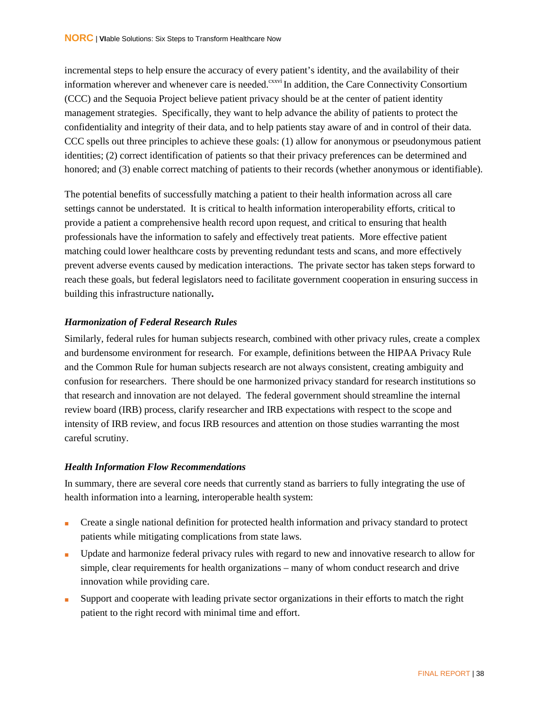incremental steps to help ensure the accuracy of every patient's identity, and the availability of their information wherever and whenever care is needed.<sup>cxxvi</sup> In addition, the Care Connectivity Consortium (CCC) and the Sequoia Project believe patient privacy should be at the center of patient identity management strategies. Specifically, they want to help advance the ability of patients to protect the confidentiality and integrity of their data, and to help patients stay aware of and in control of their data. CCC spells out three principles to achieve these goals: (1) allow for anonymous or pseudonymous patient identities; (2) correct identification of patients so that their privacy preferences can be determined and honored; and (3) enable correct matching of patients to their records (whether anonymous or identifiable).

The potential benefits of successfully matching a patient to their health information across all care settings cannot be understated. It is critical to health information interoperability efforts, critical to provide a patient a comprehensive health record upon request, and critical to ensuring that health professionals have the information to safely and effectively treat patients. More effective patient matching could lower healthcare costs by preventing redundant tests and scans, and more effectively prevent adverse events caused by medication interactions. The private sector has taken steps forward to reach these goals, but federal legislators need to facilitate government cooperation in ensuring success in building this infrastructure nationally*.* 

#### *Harmonization of Federal Research Rules*

Similarly, federal rules for human subjects research, combined with other privacy rules, create a complex and burdensome environment for research. For example, definitions between the HIPAA Privacy Rule and the Common Rule for human subjects research are not always consistent, creating ambiguity and confusion for researchers. There should be one harmonized privacy standard for research institutions so that research and innovation are not delayed. The federal government should streamline the internal review board (IRB) process, clarify researcher and IRB expectations with respect to the scope and intensity of IRB review, and focus IRB resources and attention on those studies warranting the most careful scrutiny.

#### *Health Information Flow Recommendations*

In summary, there are several core needs that currently stand as barriers to fully integrating the use of health information into a learning, interoperable health system:

- Create a single national definition for protected health information and privacy standard to protect patients while mitigating complications from state laws.
- Update and harmonize federal privacy rules with regard to new and innovative research to allow for simple, clear requirements for health organizations – many of whom conduct research and drive innovation while providing care.
- Support and cooperate with leading private sector organizations in their efforts to match the right patient to the right record with minimal time and effort.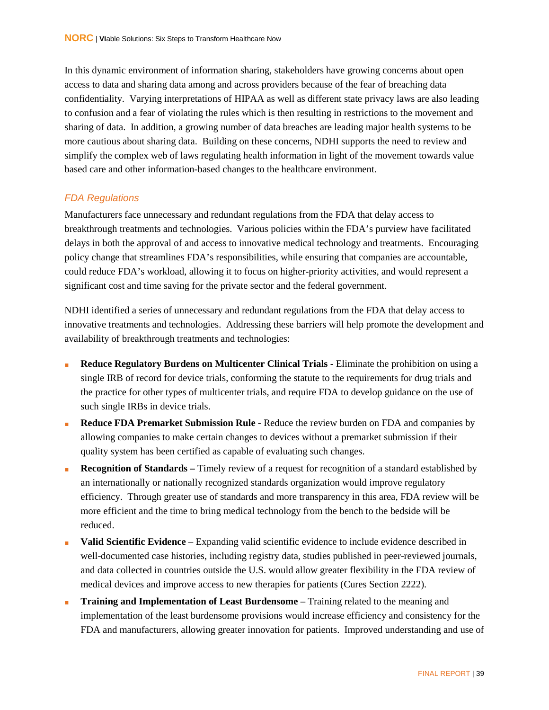In this dynamic environment of information sharing, stakeholders have growing concerns about open access to data and sharing data among and across providers because of the fear of breaching data confidentiality. Varying interpretations of HIPAA as well as different state privacy laws are also leading to confusion and a fear of violating the rules which is then resulting in restrictions to the movement and sharing of data. In addition, a growing number of data breaches are leading major health systems to be more cautious about sharing data. Building on these concerns, NDHI supports the need to review and simplify the complex web of laws regulating health information in light of the movement towards value based care and other information-based changes to the healthcare environment.

#### <span id="page-47-0"></span>*FDA Regulations*

Manufacturers face unnecessary and redundant regulations from the FDA that delay access to breakthrough treatments and technologies. Various policies within the FDA's purview have facilitated delays in both the approval of and access to innovative medical technology and treatments. Encouraging policy change that streamlines FDA's responsibilities, while ensuring that companies are accountable, could reduce FDA's workload, allowing it to focus on higher-priority activities, and would represent a significant cost and time saving for the private sector and the federal government.

NDHI identified a series of unnecessary and redundant regulations from the FDA that delay access to innovative treatments and technologies. Addressing these barriers will help promote the development and availability of breakthrough treatments and technologies:

- **Reduce Regulatory Burdens on Multicenter Clinical Trials -** Eliminate the prohibition on using a single IRB of record for device trials, conforming the statute to the requirements for drug trials and the practice for other types of multicenter trials, and require FDA to develop guidance on the use of such single IRBs in device trials.
- **Reduce FDA Premarket Submission Rule -** Reduce the review burden on FDA and companies by allowing companies to make certain changes to devices without a premarket submission if their quality system has been certified as capable of evaluating such changes.
- **Recognition of Standards** Timely review of a request for recognition of a standard established by an internationally or nationally recognized standards organization would improve regulatory efficiency. Through greater use of standards and more transparency in this area, FDA review will be more efficient and the time to bring medical technology from the bench to the bedside will be reduced.
- **Valid Scientific Evidence** Expanding valid scientific evidence to include evidence described in well-documented case histories, including registry data, studies published in peer-reviewed journals, and data collected in countries outside the U.S. would allow greater flexibility in the FDA review of medical devices and improve access to new therapies for patients (Cures Section 2222).
- **Training and Implementation of Least Burdensome** Training related to the meaning and implementation of the least burdensome provisions would increase efficiency and consistency for the FDA and manufacturers, allowing greater innovation for patients. Improved understanding and use of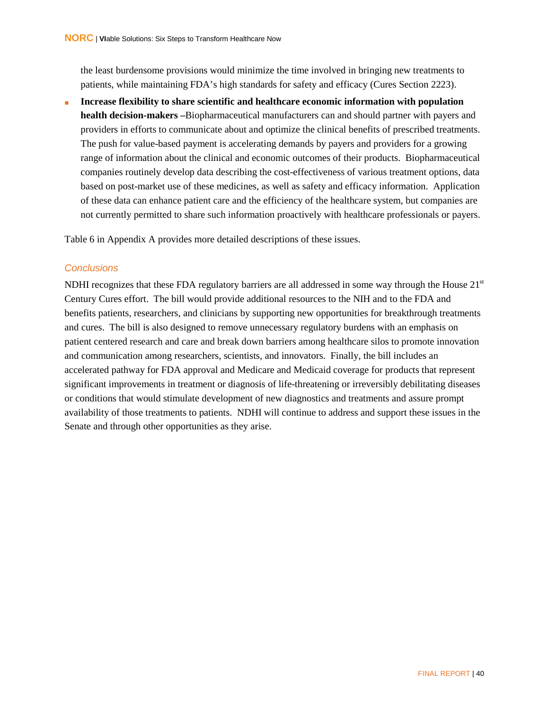the least burdensome provisions would minimize the time involved in bringing new treatments to patients, while maintaining FDA's high standards for safety and efficacy (Cures Section 2223).

**Increase flexibility to share scientific and healthcare economic information with population health decision-makers –**Biopharmaceutical manufacturers can and should partner with payers and providers in efforts to communicate about and optimize the clinical benefits of prescribed treatments. The push for value-based payment is accelerating demands by payers and providers for a growing range of information about the clinical and economic outcomes of their products. Biopharmaceutical companies routinely develop data describing the cost-effectiveness of various treatment options, data based on post-market use of these medicines, as well as safety and efficacy information. Application of these data can enhance patient care and the efficiency of the healthcare system, but companies are not currently permitted to share such information proactively with healthcare professionals or payers.

Table 6 in Appendix A provides more detailed descriptions of these issues.

#### <span id="page-48-0"></span>*Conclusions*

NDHI recognizes that these FDA regulatory barriers are all addressed in some way through the House  $21<sup>st</sup>$ Century Cures effort. The bill would provide additional resources to the NIH and to the FDA and benefits patients, researchers, and clinicians by supporting new opportunities for breakthrough treatments and cures. The bill is also designed to remove unnecessary regulatory burdens with an emphasis on patient centered research and care and break down barriers among healthcare silos to promote innovation and communication among researchers, scientists, and innovators. Finally, the bill includes an accelerated pathway for FDA approval and Medicare and Medicaid coverage for products that represent significant improvements in treatment or diagnosis of life-threatening or irreversibly debilitating diseases or conditions that would stimulate development of new diagnostics and treatments and assure prompt availability of those treatments to patients. NDHI will continue to address and support these issues in the Senate and through other opportunities as they arise.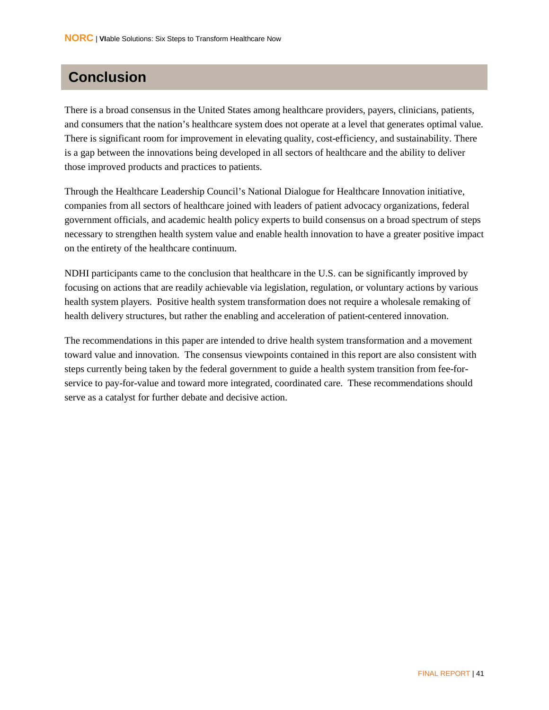## <span id="page-49-0"></span>**Conclusion**

There is a broad consensus in the United States among healthcare providers, payers, clinicians, patients, and consumers that the nation's healthcare system does not operate at a level that generates optimal value. There is significant room for improvement in elevating quality, cost-efficiency, and sustainability. There is a gap between the innovations being developed in all sectors of healthcare and the ability to deliver those improved products and practices to patients.

Through the Healthcare Leadership Council's National Dialogue for Healthcare Innovation initiative, companies from all sectors of healthcare joined with leaders of patient advocacy organizations, federal government officials, and academic health policy experts to build consensus on a broad spectrum of steps necessary to strengthen health system value and enable health innovation to have a greater positive impact on the entirety of the healthcare continuum.

NDHI participants came to the conclusion that healthcare in the U.S. can be significantly improved by focusing on actions that are readily achievable via legislation, regulation, or voluntary actions by various health system players. Positive health system transformation does not require a wholesale remaking of health delivery structures, but rather the enabling and acceleration of patient-centered innovation.

The recommendations in this paper are intended to drive health system transformation and a movement toward value and innovation. The consensus viewpoints contained in this report are also consistent with steps currently being taken by the federal government to guide a health system transition from fee-forservice to pay-for-value and toward more integrated, coordinated care. These recommendations should serve as a catalyst for further debate and decisive action.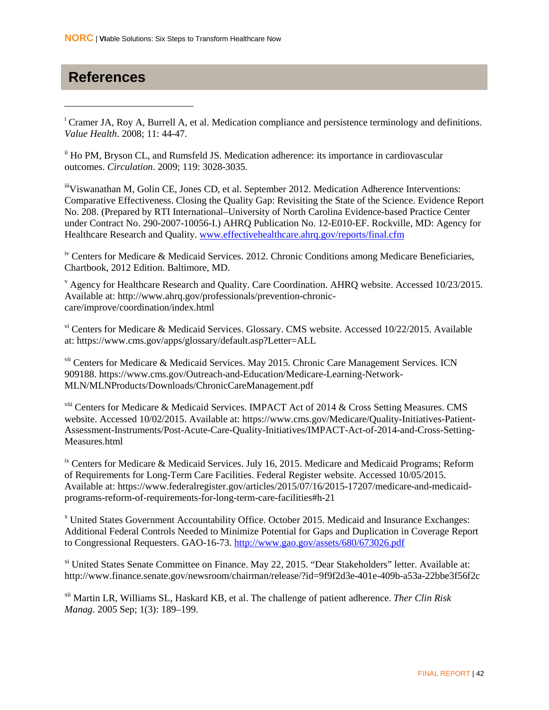### <span id="page-50-0"></span>**References**

 $\overline{a}$ 

<span id="page-50-1"></span><sup>i</sup> Cramer JA, Roy A, Burrell A, et al. Medication compliance and persistence terminology and definitions. *Value Health*. 2008; 11: 44-47.

<sup>ii</sup> Ho PM, Bryson CL, and Rumsfeld JS. Medication adherence: its importance in cardiovascular outcomes. *Circulation*. 2009; 119: 3028-3035.

iiiViswanathan M, Golin CE, Jones CD, et al. September 2012. Medication Adherence Interventions: Comparative Effectiveness. Closing the Quality Gap: Revisiting the State of the Science. Evidence Report No. 208. (Prepared by RTI International–University of North Carolina Evidence-based Practice Center under Contract No. 290-2007-10056-I.) AHRQ Publication No. 12-E010-EF. Rockville, MD: Agency for Healthcare Research and Quality. [www.effectivehealthcare.ahrq.gov/reports/final.cfm](http://www.effectivehealthcare.ahrq.gov/reports/final.cfm)

<sup>iv</sup> Centers for Medicare & Medicaid Services. 2012. Chronic Conditions among Medicare Beneficiaries, Chartbook, 2012 Edition. Baltimore, MD.

<sup>v</sup> Agency for Healthcare Research and Quality. Care Coordination. AHRQ website. Accessed 10/23/2015. Available at: http://www.ahrq.gov/professionals/prevention-chroniccare/improve/coordination/index.html

vi Centers for Medicare & Medicaid Services. Glossary. CMS website. Accessed 10/22/2015. Available at: https://www.cms.gov/apps/glossary/default.asp?Letter=ALL

<sup>vii</sup> Centers for Medicare & Medicaid Services. May 2015. Chronic Care Management Services. ICN 909188. https://www.cms.gov/Outreach-and-Education/Medicare-Learning-Network-MLN/MLNProducts/Downloads/ChronicCareManagement.pdf

viii Centers for Medicare & Medicaid Services. IMPACT Act of 2014 & Cross Setting Measures. CMS website. Accessed 10/02/2015. Available at: https://www.cms.gov/Medicare/Quality-Initiatives-Patient-Assessment-Instruments/Post-Acute-Care-Quality-Initiatives/IMPACT-Act-of-2014-and-Cross-Setting-Measures.html

<sup>ix</sup> Centers for Medicare & Medicaid Services. July 16, 2015. Medicare and Medicaid Programs; Reform of Requirements for Long-Term Care Facilities. Federal Register website. Accessed 10/05/2015. Available at: https://www.federalregister.gov/articles/2015/07/16/2015-17207/medicare-and-medicaidprograms-reform-of-requirements-for-long-term-care-facilities#h-21

<sup>x</sup> United States Government Accountability Office. October 2015. Medicaid and Insurance Exchanges: Additional Federal Controls Needed to Minimize Potential for Gaps and Duplication in Coverage Report to Congressional Requesters. GAO-16-73.<http://www.gao.gov/assets/680/673026.pdf>

<sup>xi</sup> United States Senate Committee on Finance. May 22, 2015. "Dear Stakeholders" letter. Available at: http://www.finance.senate.gov/newsroom/chairman/release/?id=9f9f2d3e-401e-409b-a53a-22bbe3f56f2c

xii Martin LR, Williams SL, Haskard KB, et al. The challenge of patient adherence. *Ther Clin Risk Manag*. 2005 Sep; 1(3): 189–199.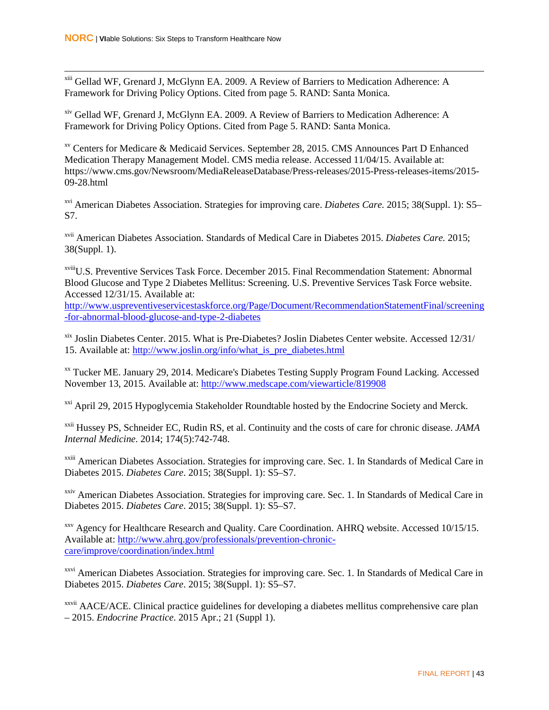xiii Gellad WF, Grenard J, McGlynn EA. 2009. A Review of Barriers to Medication Adherence: A Framework for Driving Policy Options. Cited from page 5. RAND: Santa Monica.

xiv Gellad WF, Grenard J, McGlynn EA. 2009. A Review of Barriers to Medication Adherence: A Framework for Driving Policy Options. Cited from Page 5. RAND: Santa Monica.

xv Centers for Medicare & Medicaid Services. September 28, 2015. CMS Announces Part D Enhanced Medication Therapy Management Model. CMS media release. Accessed 11/04/15. Available at: https://www.cms.gov/Newsroom/MediaReleaseDatabase/Press-releases/2015-Press-releases-items/2015- 09-28.html

xvi American Diabetes Association. Strategies for improving care. *Diabetes Care.* 2015; 38(Suppl. 1): S5– S7.

xvii American Diabetes Association. Standards of Medical Care in Diabetes 2015. *Diabetes Care.* 2015; 38(Suppl. 1).

xviiiU.S. Preventive Services Task Force. December 2015. Final Recommendation Statement: Abnormal Blood Glucose and Type 2 Diabetes Mellitus: Screening. U.S. Preventive Services Task Force website. Accessed 12/31/15. Available at:

[http://www.uspreventiveservicestaskforce.org/Page/Document/RecommendationStatementFinal/screening](http://www.uspreventiveservicestaskforce.org/Page/Document/RecommendationStatementFinal/screening-for-abnormal-blood-glucose-and-type-2-diabetes) [-for-abnormal-blood-glucose-and-type-2-diabetes](http://www.uspreventiveservicestaskforce.org/Page/Document/RecommendationStatementFinal/screening-for-abnormal-blood-glucose-and-type-2-diabetes)

xix Joslin Diabetes Center. 2015. What is Pre-Diabetes? Joslin Diabetes Center website. Accessed 12/31/ 15. Available at: [http://www.joslin.org/info/what\\_is\\_pre\\_diabetes.html](http://www.joslin.org/info/what_is_pre_diabetes.html)

<sup>xx</sup> Tucker ME. January 29, 2014. Medicare's Diabetes Testing Supply Program Found Lacking. Accessed November 13, 2015. Available at: <http://www.medscape.com/viewarticle/819908>

<sup>xxi</sup> April 29, 2015 Hypoglycemia Stakeholder Roundtable hosted by the Endocrine Society and Merck.

xxii Hussey PS, Schneider EC, Rudin RS, et al. Continuity and the costs of care for chronic disease. *JAMA Internal Medicine*. 2014; 174(5):742-748.

<sup>xxiii</sup> American Diabetes Association. Strategies for improving care. Sec. 1. In Standards of Medical Care in Diabetes 2015. *Diabetes Care*. 2015; 38(Suppl. 1): S5–S7.

<sup>xxiv</sup> American Diabetes Association. Strategies for improving care. Sec. 1. In Standards of Medical Care in Diabetes 2015. *Diabetes Care*. 2015; 38(Suppl. 1): S5–S7.

xxv Agency for Healthcare Research and Quality. Care Coordination. AHRQ website. Accessed 10/15/15. Available at: [http://www.ahrq.gov/professionals/prevention-chronic](http://www.ahrq.gov/professionals/prevention-chronic-care/improve/coordination/index.html)[care/improve/coordination/index.html](http://www.ahrq.gov/professionals/prevention-chronic-care/improve/coordination/index.html)

<sup>xxvi</sup> American Diabetes Association. Strategies for improving care. Sec. 1. In Standards of Medical Care in Diabetes 2015. *Diabetes Care*. 2015; 38(Suppl. 1): S5–S7.

xxvii AACE/ACE. Clinical practice guidelines for developing a diabetes mellitus comprehensive care plan – 2015. *Endocrine Practice*. 2015 Apr.; 21 (Suppl 1).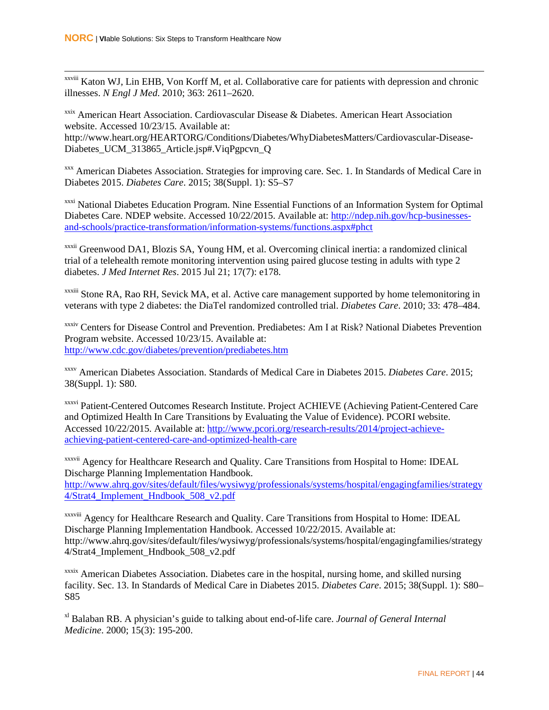xxviii Katon WJ, Lin EHB, Von Korff M, et al. Collaborative care for patients with depression and chronic illnesses. *N Engl J Med*. 2010; 363: 2611–2620.

xxix American Heart Association. Cardiovascular Disease & Diabetes. American Heart Association website. Accessed 10/23/15. Available at: http://www.heart.org/HEARTORG/Conditions/Diabetes/WhyDiabetesMatters/Cardiovascular-Disease-Diabetes\_UCM\_313865\_Article.jsp#.ViqPgpcvn\_Q

xxx American Diabetes Association. Strategies for improving care. Sec. 1. In Standards of Medical Care in Diabetes 2015. *Diabetes Care*. 2015; 38(Suppl. 1): S5–S7

<sup>xxxi</sup> National Diabetes Education Program. Nine Essential Functions of an Information System for Optimal Diabetes Care. NDEP website. Accessed 10/22/2015. Available at: [http://ndep.nih.gov/hcp-businesses](http://ndep.nih.gov/hcp-businesses-and-schools/practice-transformation/information-systems/functions.aspx#phct)[and-schools/practice-transformation/information-systems/functions.aspx#phct](http://ndep.nih.gov/hcp-businesses-and-schools/practice-transformation/information-systems/functions.aspx#phct)

xxxii Greenwood DA1, Blozis SA, Young HM, et al. Overcoming clinical inertia: a randomized clinical trial of a telehealth remote monitoring intervention using paired glucose testing in adults with type 2 diabetes. *J Med Internet Res*. 2015 Jul 21; 17(7): e178.

xxxiii Stone RA, Rao RH, Sevick MA, et al. Active care management supported by home telemonitoring in veterans with type 2 diabetes: the DiaTel randomized controlled trial. *Diabetes Care*. 2010; 33: 478–484.

xxxiv Centers for Disease Control and Prevention. Prediabetes: Am I at Risk? National Diabetes Prevention Program website. Accessed 10/23/15. Available at: <http://www.cdc.gov/diabetes/prevention/prediabetes.htm>

xxxv American Diabetes Association. Standards of Medical Care in Diabetes 2015. *Diabetes Care*. 2015; 38(Suppl. 1): S80.

xxxvi Patient-Centered Outcomes Research Institute. Project ACHIEVE (Achieving Patient-Centered Care and Optimized Health In Care Transitions by Evaluating the Value of Evidence). PCORI website. Accessed 10/22/2015. Available at: [http://www.pcori.org/research-results/2014/project-achieve](http://www.pcori.org/research-results/2014/project-achieve-achieving-patient-centered-care-and-optimized-health-care)[achieving-patient-centered-care-and-optimized-health-care](http://www.pcori.org/research-results/2014/project-achieve-achieving-patient-centered-care-and-optimized-health-care)

xxxvii Agency for Healthcare Research and Quality. Care Transitions from Hospital to Home: IDEAL Discharge Planning Implementation Handbook. [http://www.ahrq.gov/sites/default/files/wysiwyg/professionals/systems/hospital/engagingfamilies/strategy](http://www.ahrq.gov/sites/default/files/wysiwyg/professionals/systems/hospital/engagingfamilies/strategy4/Strat4_Implement_Hndbook_508_v2.pdf) [4/Strat4\\_Implement\\_Hndbook\\_508\\_v2.pdf](http://www.ahrq.gov/sites/default/files/wysiwyg/professionals/systems/hospital/engagingfamilies/strategy4/Strat4_Implement_Hndbook_508_v2.pdf)

xxxviii Agency for Healthcare Research and Quality. Care Transitions from Hospital to Home: IDEAL Discharge Planning Implementation Handbook. Accessed 10/22/2015. Available at: http://www.ahrq.gov/sites/default/files/wysiwyg/professionals/systems/hospital/engagingfamilies/strategy 4/Strat4\_Implement\_Hndbook\_508\_v2.pdf

<sup>xxxix</sup> American Diabetes Association. Diabetes care in the hospital, nursing home, and skilled nursing facility. Sec. 13. In Standards of Medical Care in Diabetes 2015. *Diabetes Care*. 2015; 38(Suppl. 1): S80– S85

xl Balaban RB. A physician's guide to talking about end-of-life care. *Journal of General Internal Medicine*. 2000; 15(3): 195-200.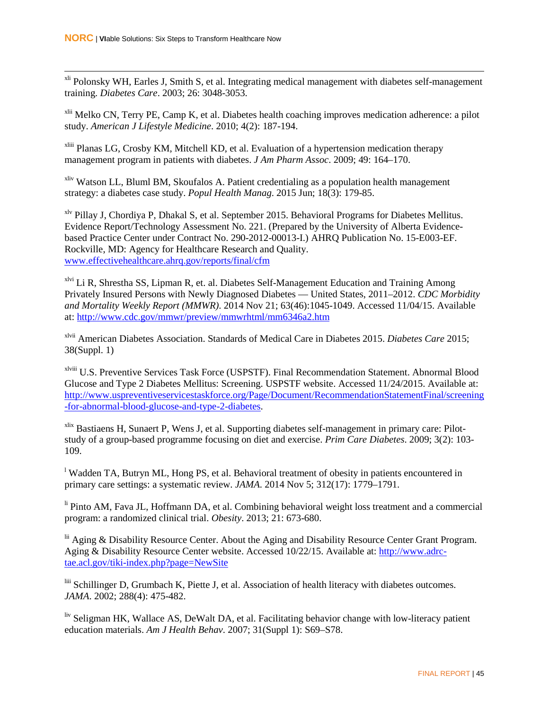<sup>xli</sup> Polonsky WH, Earles J, Smith S, et al. Integrating medical management with diabetes self-management training. *Diabetes Care*. 2003; 26: 3048-3053.

<sup>xlii</sup> Melko CN, Terry PE, Camp K, et al. Diabetes health coaching improves medication adherence: a pilot study. *American J Lifestyle Medicine*. 2010; 4(2): 187-194.

xliii Planas LG, Crosby KM, Mitchell KD, et al. Evaluation of a hypertension medication therapy management program in patients with diabetes. *J Am Pharm Assoc*. 2009; 49: 164–170.

<sup>xliv</sup> Watson LL, Bluml BM, Skoufalos A. Patient credentialing as a population health management strategy: a diabetes case study. *Popul Health Manag*. 2015 Jun; 18(3): 179-85.

xlv Pillay J, Chordiya P, Dhakal S, et al. September 2015. Behavioral Programs for Diabetes Mellitus. Evidence Report/Technology Assessment No. 221. (Prepared by the University of Alberta Evidencebased Practice Center under Contract No. 290-2012-00013-I.) AHRQ Publication No. 15-E003-EF. Rockville, MD: Agency for Healthcare Research and Quality. [www.effectivehealthcare.ahrq.gov/reports/final/cfm](http://www.effectivehealthcare.ahrq.gov/reports/final/cfm)

<sup>xlvi</sup> Li R, Shrestha SS, Lipman R, et. al. Diabetes Self-Management Education and Training Among Privately Insured Persons with Newly Diagnosed Diabetes — United States, 2011–2012. *CDC Morbidity and Mortality Weekly Report (MMWR)*. 2014 Nov 21; 63(46):1045-1049. Accessed 11/04/15. Available at[: http://www.cdc.gov/mmwr/preview/mmwrhtml/mm6346a2.htm](http://www.cdc.gov/mmwr/preview/mmwrhtml/mm6346a2.htm)

xlvii American Diabetes Association. Standards of Medical Care in Diabetes 2015. *Diabetes Care* 2015; 38(Suppl. 1)

xlviii U.S. Preventive Services Task Force (USPSTF). Final Recommendation Statement. Abnormal Blood Glucose and Type 2 Diabetes Mellitus: Screening. USPSTF website. Accessed 11/24/2015. Available at: [http://www.uspreventiveservicestaskforce.org/Page/Document/RecommendationStatementFinal/screening](http://www.uspreventiveservicestaskforce.org/Page/Document/RecommendationStatementFinal/screening-for-abnormal-blood-glucose-and-type-2-diabetes) [-for-abnormal-blood-glucose-and-type-2-diabetes.](http://www.uspreventiveservicestaskforce.org/Page/Document/RecommendationStatementFinal/screening-for-abnormal-blood-glucose-and-type-2-diabetes)

xlix Bastiaens H, Sunaert P, Wens J, et al. Supporting diabetes self-management in primary care: Pilotstudy of a group-based programme focusing on diet and exercise. *Prim Care Diabetes*. 2009; 3(2): 103- 109.

<sup>1</sup> Wadden TA, Butryn ML, Hong PS, et al. Behavioral treatment of obesity in patients encountered in primary care settings: a systematic review. *JAMA*. 2014 Nov 5; 312(17): 1779–1791.

<sup>li</sup> Pinto AM, Fava JL, Hoffmann DA, et al. Combining behavioral weight loss treatment and a commercial program: a randomized clinical trial. *Obesity*. 2013; 21: 673-680.

<sup>lii</sup> Aging & Disability Resource Center. About the Aging and Disability Resource Center Grant Program. Aging & Disability Resource Center website. Accessed 10/22/15. Available at[: http://www.adrc](http://www.adrc-tae.acl.gov/tiki-index.php?page=NewSite)[tae.acl.gov/tiki-index.php?page=NewSite](http://www.adrc-tae.acl.gov/tiki-index.php?page=NewSite)

liii Schillinger D, Grumbach K, Piette J, et al. Association of health literacy with diabetes outcomes. *JAMA*. 2002; 288(4): 475-482.

liv Seligman HK, Wallace AS, DeWalt DA, et al. Facilitating behavior change with low-literacy patient education materials. *Am J Health Behav*. 2007; 31(Suppl 1): S69–S78.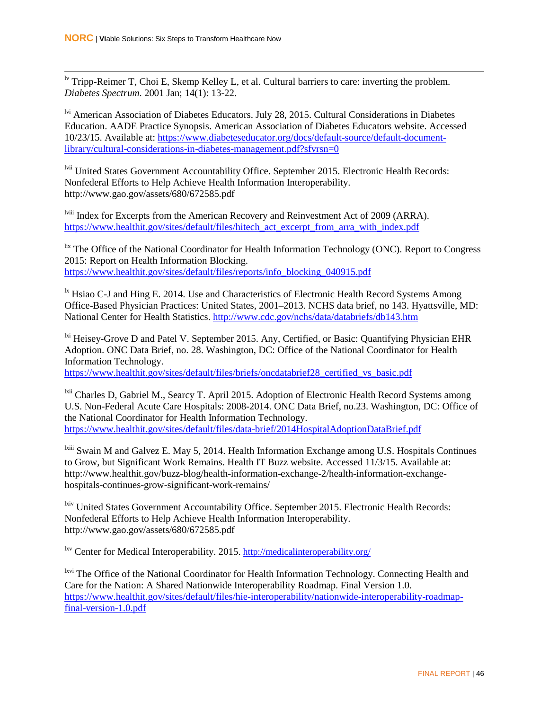<sup>lv</sup> Tripp-Reimer T, Choi E, Skemp Kelley L, et al. Cultural barriers to care: inverting the problem. *Diabetes Spectrum*. 2001 Jan; 14(1): 13-22.

<sup>lvi</sup> American Association of Diabetes Educators. July 28, 2015. Cultural Considerations in Diabetes Education. AADE Practice Synopsis. American Association of Diabetes Educators website. Accessed 10/23/15. Available at: [https://www.diabeteseducator.org/docs/default-source/default-document](https://www.diabeteseducator.org/docs/default-source/default-document-library/cultural-considerations-in-diabetes-management.pdf?sfvrsn=0)[library/cultural-considerations-in-diabetes-management.pdf?sfvrsn=0](https://www.diabeteseducator.org/docs/default-source/default-document-library/cultural-considerations-in-diabetes-management.pdf?sfvrsn=0)

lvii United States Government Accountability Office. September 2015. Electronic Health Records: Nonfederal Efforts to Help Achieve Health Information Interoperability. http://www.gao.gov/assets/680/672585.pdf

lviii Index for Excerpts from the American Recovery and Reinvestment Act of 2009 (ARRA). [https://www.healthit.gov/sites/default/files/hitech\\_act\\_excerpt\\_from\\_arra\\_with\\_index.pdf](https://www.healthit.gov/sites/default/files/hitech_act_excerpt_from_arra_with_index.pdf)

lix The Office of the National Coordinator for Health Information Technology (ONC). Report to Congress 2015: Report on Health Information Blocking. [https://www.healthit.gov/sites/default/files/reports/info\\_blocking\\_040915.pdf](https://www.healthit.gov/sites/default/files/reports/info_blocking_040915.pdf)

<sup>1x</sup> Hsiao C-J and Hing E. 2014. Use and Characteristics of Electronic Health Record Systems Among Office-Based Physician Practices: United States, 2001–2013. NCHS data brief, no 143. Hyattsville, MD: National Center for Health Statistics[. http://www.cdc.gov/nchs/data/databriefs/db143.htm](http://www.cdc.gov/nchs/data/databriefs/db143.htm)

<sup>lxi</sup> Heisey-Grove D and Patel V. September 2015. Any, Certified, or Basic: Quantifying Physician EHR Adoption. ONC Data Brief, no. 28. Washington, DC: Office of the National Coordinator for Health Information Technology.

[https://www.healthit.gov/sites/default/files/briefs/oncdatabrief28\\_certified\\_vs\\_basic.pdf](https://www.healthit.gov/sites/default/files/briefs/oncdatabrief28_certified_vs_basic.pdf)

<sup>1xii</sup> Charles D, Gabriel M., Searcy T. April 2015. Adoption of Electronic Health Record Systems among U.S. Non-Federal Acute Care Hospitals: 2008-2014. ONC Data Brief, no.23. Washington, DC: Office of the National Coordinator for Health Information Technology. <https://www.healthit.gov/sites/default/files/data-brief/2014HospitalAdoptionDataBrief.pdf>

<sup>lxiii</sup> Swain M and Galvez E. May 5, 2014. Health Information Exchange among U.S. Hospitals Continues to Grow, but Significant Work Remains. Health IT Buzz website. Accessed 11/3/15. Available at: http://www.healthit.gov/buzz-blog/health-information-exchange-2/health-information-exchangehospitals-continues-grow-significant-work-remains/

<sup>1xiv</sup> United States Government Accountability Office. September 2015. Electronic Health Records: Nonfederal Efforts to Help Achieve Health Information Interoperability. http://www.gao.gov/assets/680/672585.pdf

lxv Center for Medical Interoperability. 2015.<http://medicalinteroperability.org/>

<sup>lxvi</sup> The Office of the National Coordinator for Health Information Technology. Connecting Health and Care for the Nation: A Shared Nationwide Interoperability Roadmap. Final Version 1.0. [https://www.healthit.gov/sites/default/files/hie-interoperability/nationwide-interoperability-roadmap](https://www.healthit.gov/sites/default/files/hie-interoperability/nationwide-interoperability-roadmap-final-version-1.0.pdf)[final-version-1.0.pdf](https://www.healthit.gov/sites/default/files/hie-interoperability/nationwide-interoperability-roadmap-final-version-1.0.pdf)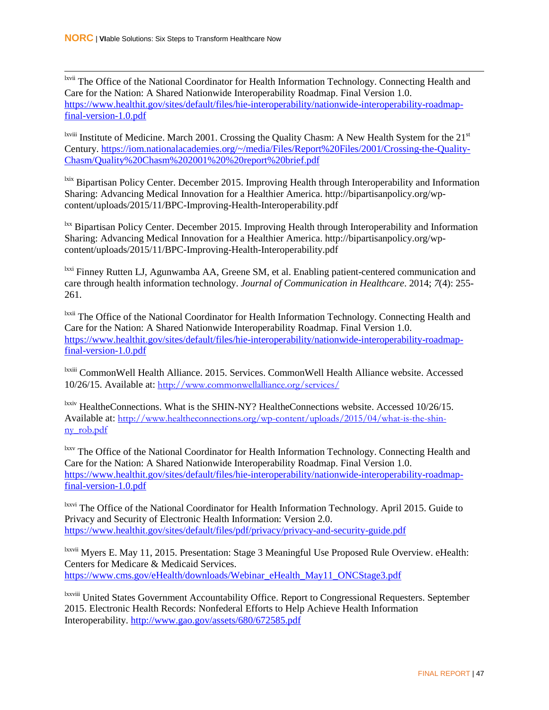lxvii The Office of the National Coordinator for Health Information Technology. Connecting Health and Care for the Nation: A Shared Nationwide Interoperability Roadmap. Final Version 1.0. [https://www.healthit.gov/sites/default/files/hie-interoperability/nationwide-interoperability-roadmap](https://www.healthit.gov/sites/default/files/hie-interoperability/nationwide-interoperability-roadmap-final-version-1.0.pdf)[final-version-1.0.pdf](https://www.healthit.gov/sites/default/files/hie-interoperability/nationwide-interoperability-roadmap-final-version-1.0.pdf)

<sup>lxviii</sup> Institute of Medicine. March 2001. Crossing the Quality Chasm: A New Health System for the 21<sup>st</sup> Century. [https://iom.nationalacademies.org/~/media/Files/Report%20Files/2001/Crossing-the-Quality-](https://iom.nationalacademies.org/~/media/Files/Report%20Files/2001/Crossing-the-Quality-Chasm/Quality%20Chasm%202001%20%20report%20brief.pdf)[Chasm/Quality%20Chasm%202001%20%20report%20brief.pdf](https://iom.nationalacademies.org/~/media/Files/Report%20Files/2001/Crossing-the-Quality-Chasm/Quality%20Chasm%202001%20%20report%20brief.pdf)

<sup>lxix</sup> Bipartisan Policy Center. December 2015. Improving Health through Interoperability and Information Sharing: Advancing Medical Innovation for a Healthier America. http://bipartisanpolicy.org/wpcontent/uploads/2015/11/BPC-Improving-Health-Interoperability.pdf

<sup>lxx</sup> Bipartisan Policy Center. December 2015. Improving Health through Interoperability and Information Sharing: Advancing Medical Innovation for a Healthier America. http://bipartisanpolicy.org/wpcontent/uploads/2015/11/BPC-Improving-Health-Interoperability.pdf

<sup>lxxi</sup> Finney Rutten LJ, Agunwamba AA, Greene SM, et al. Enabling patient-centered communication and care through health information technology. *Journal of Communication in Healthcare*. 2014; *7*(4): 255- 261.

<sup>lxxii</sup> The Office of the National Coordinator for Health Information Technology. Connecting Health and Care for the Nation: A Shared Nationwide Interoperability Roadmap. Final Version 1.0. [https://www.healthit.gov/sites/default/files/hie-interoperability/nationwide-interoperability-roadmap](https://www.healthit.gov/sites/default/files/hie-interoperability/nationwide-interoperability-roadmap-final-version-1.0.pdf)[final-version-1.0.pdf](https://www.healthit.gov/sites/default/files/hie-interoperability/nationwide-interoperability-roadmap-final-version-1.0.pdf)

lxxiii CommonWell Health Alliance. 2015. Services. CommonWell Health Alliance website. Accessed 10/26/15. Available at: <http://www.commonwellalliance.org/services/>

<sup>lxxiv</sup> HealtheConnections. What is the SHIN-NY? HealtheConnections website. Accessed 10/26/15. Available at: [http://www.healtheconnections.org/wp-content/uploads/2015/04/what-is-the-shin](http://www.healtheconnections.org/wp-content/uploads/2015/04/what-is-the-shin-ny_rob.pdf)[ny\\_rob.pdf](http://www.healtheconnections.org/wp-content/uploads/2015/04/what-is-the-shin-ny_rob.pdf)

<sup>lxxv</sup> The Office of the National Coordinator for Health Information Technology. Connecting Health and Care for the Nation: A Shared Nationwide Interoperability Roadmap. Final Version 1.0. [https://www.healthit.gov/sites/default/files/hie-interoperability/nationwide-interoperability-roadmap](https://www.healthit.gov/sites/default/files/hie-interoperability/nationwide-interoperability-roadmap-final-version-1.0.pdf)[final-version-1.0.pdf](https://www.healthit.gov/sites/default/files/hie-interoperability/nationwide-interoperability-roadmap-final-version-1.0.pdf)

<sup>lxxvi</sup> The Office of the National Coordinator for Health Information Technology. April 2015. Guide to Privacy and Security of Electronic Health Information: Version 2.0. <https://www.healthit.gov/sites/default/files/pdf/privacy/privacy-and-security-guide.pdf>

lxxvii Myers E. May 11, 2015. Presentation: Stage 3 Meaningful Use Proposed Rule Overview. eHealth: Centers for Medicare & Medicaid Services. [https://www.cms.gov/eHealth/downloads/Webinar\\_eHealth\\_May11\\_ONCStage3.pdf](https://www.cms.gov/eHealth/downloads/Webinar_eHealth_May11_ONCStage3.pdf)

lxxviii United States Government Accountability Office. Report to Congressional Requesters. September 2015. Electronic Health Records: Nonfederal Efforts to Help Achieve Health Information Interoperability.<http://www.gao.gov/assets/680/672585.pdf>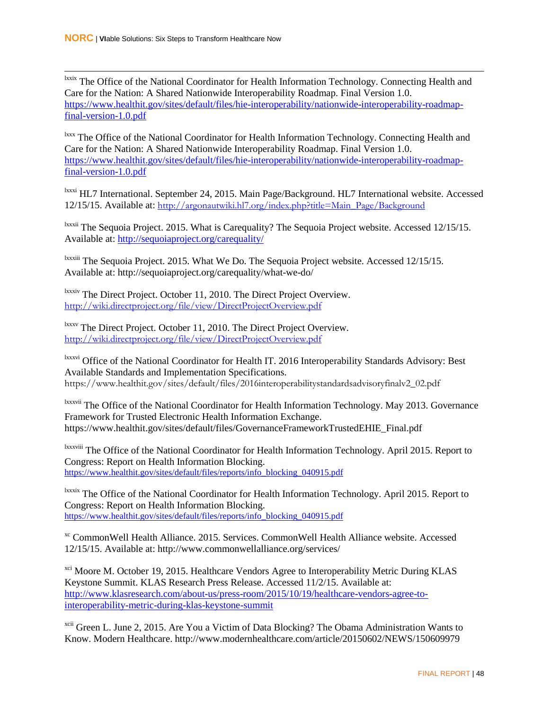lxxix The Office of the National Coordinator for Health Information Technology. Connecting Health and Care for the Nation: A Shared Nationwide Interoperability Roadmap. Final Version 1.0. [https://www.healthit.gov/sites/default/files/hie-interoperability/nationwide-interoperability-roadmap](https://www.healthit.gov/sites/default/files/hie-interoperability/nationwide-interoperability-roadmap-final-version-1.0.pdf)[final-version-1.0.pdf](https://www.healthit.gov/sites/default/files/hie-interoperability/nationwide-interoperability-roadmap-final-version-1.0.pdf)

<sup>lxxx</sup> The Office of the National Coordinator for Health Information Technology. Connecting Health and Care for the Nation: A Shared Nationwide Interoperability Roadmap. Final Version 1.0. [https://www.healthit.gov/sites/default/files/hie-interoperability/nationwide-interoperability-roadmap](https://www.healthit.gov/sites/default/files/hie-interoperability/nationwide-interoperability-roadmap-final-version-1.0.pdf)[final-version-1.0.pdf](https://www.healthit.gov/sites/default/files/hie-interoperability/nationwide-interoperability-roadmap-final-version-1.0.pdf)

lxxxi HL7 International. September 24, 2015. Main Page/Background. HL7 International website. Accessed 12/15/15. Available at: [http://argonautwiki.hl7.org/index.php?title=Main\\_Page/Background](http://argonautwiki.hl7.org/index.php?title=Main_Page/Background)

<sup>lxxxii</sup> The Sequoia Project. 2015. What is Carequality? The Sequoia Project website. Accessed 12/15/15. Available at:<http://sequoiaproject.org/carequality/>

<sup>Ixxxiii</sup> The Sequoia Project. 2015. What We Do. The Sequoia Project website. Accessed 12/15/15. Available at: http://sequoiaproject.org/carequality/what-we-do/

lxxxiv The Direct Project. October 11, 2010. The Direct Project Overview. <http://wiki.directproject.org/file/view/DirectProjectOverview.pdf>

<sup>lxxxv</sup> The Direct Project. October 11, 2010. The Direct Project Overview. <http://wiki.directproject.org/file/view/DirectProjectOverview.pdf>

lxxxvi Office of the National Coordinator for Health IT. 2016 Interoperability Standards Advisory: Best Available Standards and Implementation Specifications. https://www.healthit.gov/sites/default/files/2016interoperabilitystandardsadvisoryfinalv2\_02.pdf

lxxxvii The Office of the National Coordinator for Health Information Technology. May 2013. Governance Framework for Trusted Electronic Health Information Exchange. https://www.healthit.gov/sites/default/files/GovernanceFrameworkTrustedEHIE\_Final.pdf

lxxxviii The Office of the National Coordinator for Health Information Technology. April 2015. Report to Congress: Report on Health Information Blocking. [https://www.healthit.gov/sites/default/files/reports/info\\_blocking\\_040915.pdf](https://www.healthit.gov/sites/default/files/reports/info_blocking_040915.pdf)

lxxxix The Office of the National Coordinator for Health Information Technology. April 2015. Report to Congress: Report on Health Information Blocking. [https://www.healthit.gov/sites/default/files/reports/info\\_blocking\\_040915.pdf](https://www.healthit.gov/sites/default/files/reports/info_blocking_040915.pdf)

xc CommonWell Health Alliance. 2015. Services. CommonWell Health Alliance website. Accessed 12/15/15. Available at: http://www.commonwellalliance.org/services/

<sup>xci</sup> Moore M. October 19, 2015. Healthcare Vendors Agree to Interoperability Metric During KLAS Keystone Summit. KLAS Research Press Release. Accessed 11/2/15. Available at: [http://www.klasresearch.com/about-us/press-room/2015/10/19/healthcare-vendors-agree-to](http://www.klasresearch.com/about-us/press-room/2015/10/19/healthcare-vendors-agree-to-interoperability-metric-during-klas-keystone-summit)[interoperability-metric-during-klas-keystone-summit](http://www.klasresearch.com/about-us/press-room/2015/10/19/healthcare-vendors-agree-to-interoperability-metric-during-klas-keystone-summit)

<sup>xcii</sup> Green L. June 2, 2015. Are You a Victim of Data Blocking? The Obama Administration Wants to Know. Modern Healthcare. http://www.modernhealthcare.com/article/20150602/NEWS/150609979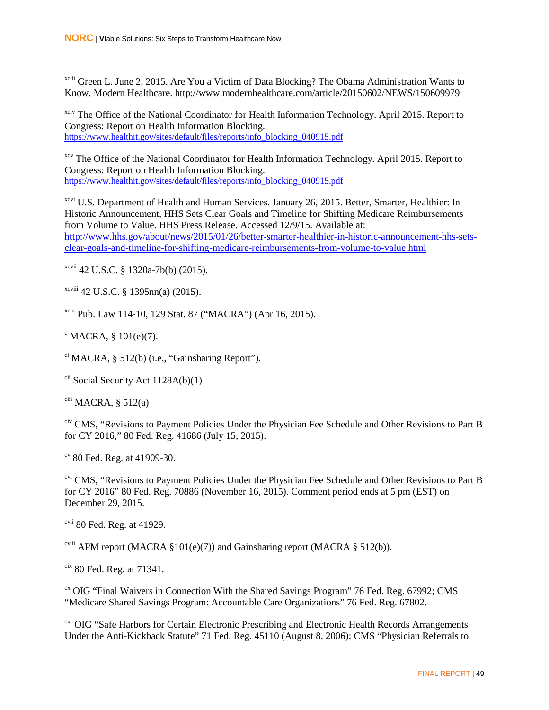xciii Green L. June 2, 2015. Are You a Victim of Data Blocking? The Obama Administration Wants to Know. Modern Healthcare. http://www.modernhealthcare.com/article/20150602/NEWS/150609979

<sup>xciv</sup> The Office of the National Coordinator for Health Information Technology. April 2015. Report to Congress: Report on Health Information Blocking. [https://www.healthit.gov/sites/default/files/reports/info\\_blocking\\_040915.pdf](https://www.healthit.gov/sites/default/files/reports/info_blocking_040915.pdf)

<sup>xcv</sup> The Office of the National Coordinator for Health Information Technology. April 2015. Report to Congress: Report on Health Information Blocking. [https://www.healthit.gov/sites/default/files/reports/info\\_blocking\\_040915.pdf](https://www.healthit.gov/sites/default/files/reports/info_blocking_040915.pdf)

xcvi U.S. Department of Health and Human Services. January 26, 2015. Better, Smarter, Healthier: In Historic Announcement, HHS Sets Clear Goals and Timeline for Shifting Medicare Reimbursements from Volume to Value. HHS Press Release. Accessed 12/9/15. Available at: [http://www.hhs.gov/about/news/2015/01/26/better-smarter-healthier-in-historic-announcement-hhs-sets](http://www.hhs.gov/about/news/2015/01/26/better-smarter-healthier-in-historic-announcement-hhs-sets-clear-goals-and-timeline-for-shifting-medicare-reimbursements-from-volume-to-value.html)[clear-goals-and-timeline-for-shifting-medicare-reimbursements-from-volume-to-value.html](http://www.hhs.gov/about/news/2015/01/26/better-smarter-healthier-in-historic-announcement-hhs-sets-clear-goals-and-timeline-for-shifting-medicare-reimbursements-from-volume-to-value.html)

 $x$ cvii 42 U.S.C. § 1320a-7b(b) (2015).

xcviii 42 U.S.C. § 1395nn(a) (2015).

xcix Pub. Law 114-10, 129 Stat. 87 ("MACRA") (Apr 16, 2015).

 $\textdegree$  MACRA, § 101(e)(7).

 $\text{c}^{\text{c}}$  MACRA, § 512(b) (i.e., "Gainsharing Report").

 $\chi$ <sup>cii</sup> Social Security Act 1128A(b)(1)

 $\chi$ <sup>ciii</sup> MACRA, § 512(a)

civ CMS, "Revisions to Payment Policies Under the Physician Fee Schedule and Other Revisions to Part B for CY 2016," 80 Fed. Reg. 41686 (July 15, 2015).

 $\degree$  80 Fed. Reg. at 41909-30.

<sup>cvi</sup> CMS, "Revisions to Payment Policies Under the Physician Fee Schedule and Other Revisions to Part B for CY 2016" 80 Fed. Reg. 70886 (November 16, 2015). Comment period ends at 5 pm (EST) on December 29, 2015.

<sup>cvii</sup> 80 Fed. Reg. at 41929.

<sup>cviii</sup> APM report (MACRA §101(e)(7)) and Gainsharing report (MACRA § 512(b)).

 $\frac{\text{cix}}{\text{80}}$  Fed. Reg. at 71341.

<sup>cx</sup> OIG "Final Waivers in Connection With the Shared Savings Program" 76 Fed. Reg. 67992; CMS "Medicare Shared Savings Program: Accountable Care Organizations" 76 Fed. Reg. 67802.

<sup>cxi</sup> OIG "Safe Harbors for Certain Electronic Prescribing and Electronic Health Records Arrangements Under the Anti-Kickback Statute" 71 Fed. Reg. 45110 (August 8, 2006); CMS "Physician Referrals to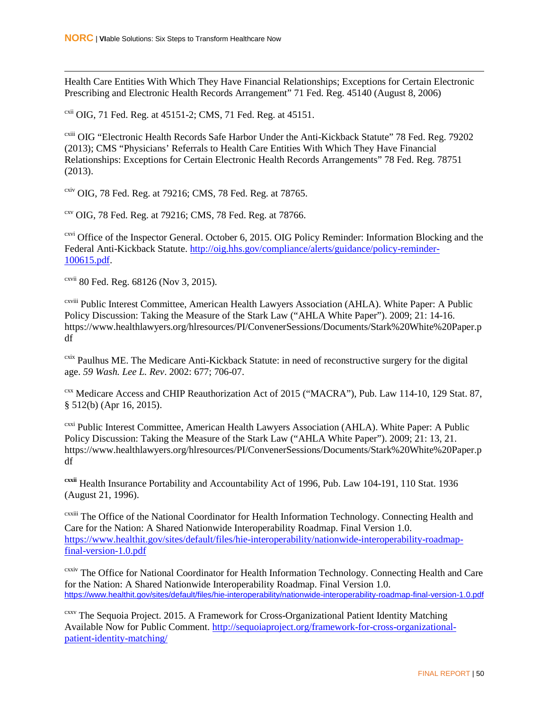$\overline{a}$ 

Health Care Entities With Which They Have Financial Relationships; Exceptions for Certain Electronic Prescribing and Electronic Health Records Arrangement" 71 Fed. Reg. 45140 (August 8, 2006)

<sup>cxii</sup> OIG, 71 Fed. Reg. at 45151-2; CMS, 71 Fed. Reg. at 45151.

<sup>cxiii</sup> OIG "Electronic Health Records Safe Harbor Under the Anti-Kickback Statute" 78 Fed. Reg. 79202 (2013); CMS "Physicians' Referrals to Health Care Entities With Which They Have Financial Relationships: Exceptions for Certain Electronic Health Records Arrangements" 78 Fed. Reg. 78751 (2013).

cxiv OIG, 78 Fed. Reg. at 79216; CMS, 78 Fed. Reg. at 78765.

cxv OIG, 78 Fed. Reg. at 79216; CMS, 78 Fed. Reg. at 78766.

<sup>cxvi</sup> Office of the Inspector General. October 6, 2015. OIG Policy Reminder: Information Blocking and the Federal Anti-Kickback Statute. [http://oig.hhs.gov/compliance/alerts/guidance/policy-reminder-](http://oig.hhs.gov/compliance/alerts/guidance/policy-reminder-100615.pdf)[100615.pdf.](http://oig.hhs.gov/compliance/alerts/guidance/policy-reminder-100615.pdf)

cxvii 80 Fed. Reg. 68126 (Nov 3, 2015).

cxviii Public Interest Committee, American Health Lawyers Association (AHLA). White Paper: A Public Policy Discussion: Taking the Measure of the Stark Law ("AHLA White Paper"). 2009; 21: 14-16. https://www.healthlawyers.org/hlresources/PI/ConvenerSessions/Documents/Stark%20White%20Paper.p df

<sup>cxix</sup> Paulhus ME. The Medicare Anti-Kickback Statute: in need of reconstructive surgery for the digital age. *59 Wash. Lee L. Rev*. 2002: 677; 706-07.

cxx Medicare Access and CHIP Reauthorization Act of 2015 ("MACRA"), Pub. Law 114-10, 129 Stat. 87, § 512(b) (Apr 16, 2015).

<sup>cxxi</sup> Public Interest Committee, American Health Lawyers Association (AHLA). White Paper: A Public Policy Discussion: Taking the Measure of the Stark Law ("AHLA White Paper"). 2009; 21: 13, 21. https://www.healthlawyers.org/hlresources/PI/ConvenerSessions/Documents/Stark%20White%20Paper.p df

**cxxii** Health Insurance Portability and Accountability Act of 1996, Pub. Law 104-191, 110 Stat. 1936 (August 21, 1996).

cxxiii The Office of the National Coordinator for Health Information Technology. Connecting Health and Care for the Nation: A Shared Nationwide Interoperability Roadmap. Final Version 1.0. [https://www.healthit.gov/sites/default/files/hie-interoperability/nationwide-interoperability-roadmap](https://www.healthit.gov/sites/default/files/hie-interoperability/nationwide-interoperability-roadmap-final-version-1.0.pdf)[final-version-1.0.pdf](https://www.healthit.gov/sites/default/files/hie-interoperability/nationwide-interoperability-roadmap-final-version-1.0.pdf)

cxxiv The Office for National Coordinator for Health Information Technology. Connecting Health and Care for the Nation: A Shared Nationwide Interoperability Roadmap. Final Version 1.0. <https://www.healthit.gov/sites/default/files/hie-interoperability/nationwide-interoperability-roadmap-final-version-1.0.pdf>

cxxv The Sequoia Project. 2015. A Framework for Cross-Organizational Patient Identity Matching Available Now for Public Comment. [http://sequoiaproject.org/framework-for-cross-organizational](http://sequoiaproject.org/framework-for-cross-organizational-patient-identity-matching/)[patient-identity-matching/](http://sequoiaproject.org/framework-for-cross-organizational-patient-identity-matching/)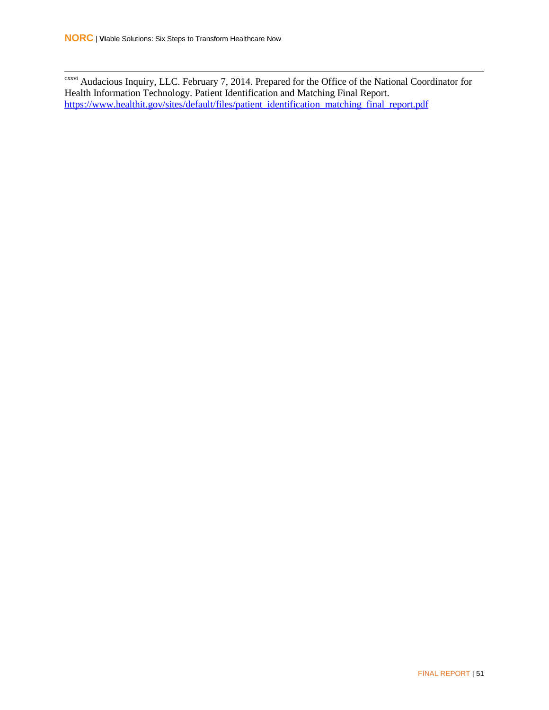cxxvi Audacious Inquiry, LLC. February 7, 2014. Prepared for the Office of the National Coordinator for Health Information Technology. Patient Identification and Matching Final Report. [https://www.healthit.gov/sites/default/files/patient\\_identification\\_matching\\_final\\_report.pdf](https://www.healthit.gov/sites/default/files/patient_identification_matching_final_report.pdf)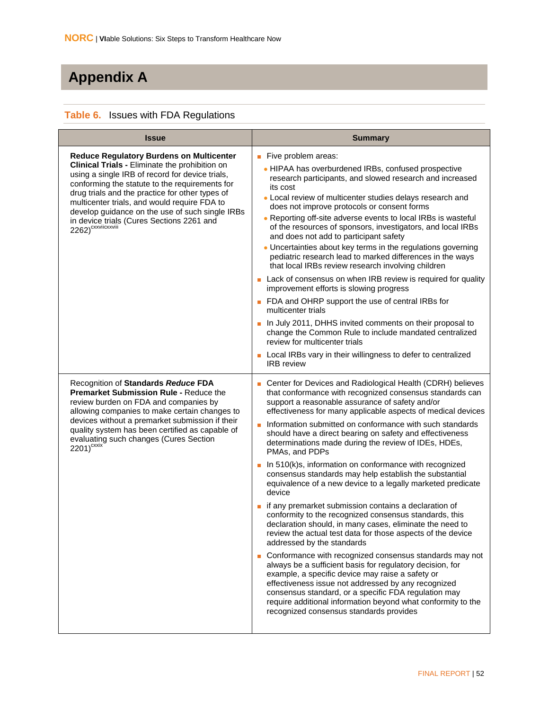# <span id="page-60-0"></span>**Appendix A**

#### <span id="page-60-1"></span>**Table 6.** Issues with FDA Regulations

| <b>Issue</b>                                                                                                                                                                                                                                                                                                                                                                                                                                | <b>Summary</b>                                                                                                                                                                                                                                                                                                                                                                                                                                                                                                                                                                                                                                                                                                                                                                                                                                                                                                                                                                                                                                                                                                                                                                                                                                                                                                             |
|---------------------------------------------------------------------------------------------------------------------------------------------------------------------------------------------------------------------------------------------------------------------------------------------------------------------------------------------------------------------------------------------------------------------------------------------|----------------------------------------------------------------------------------------------------------------------------------------------------------------------------------------------------------------------------------------------------------------------------------------------------------------------------------------------------------------------------------------------------------------------------------------------------------------------------------------------------------------------------------------------------------------------------------------------------------------------------------------------------------------------------------------------------------------------------------------------------------------------------------------------------------------------------------------------------------------------------------------------------------------------------------------------------------------------------------------------------------------------------------------------------------------------------------------------------------------------------------------------------------------------------------------------------------------------------------------------------------------------------------------------------------------------------|
| <b>Reduce Regulatory Burdens on Multicenter</b><br>Clinical Trials - Eliminate the prohibition on<br>using a single IRB of record for device trials,<br>conforming the statute to the requirements for<br>drug trials and the practice for other types of<br>multicenter trials, and would require FDA to<br>develop guidance on the use of such single IRBs<br>in device trials (Cures Sections 2261 and<br>2262) <sup>cxxviicxxviii</sup> | Five problem areas:<br>. HIPAA has overburdened IRBs, confused prospective<br>research participants, and slowed research and increased<br>its cost<br>• Local review of multicenter studies delays research and<br>does not improve protocols or consent forms<br>• Reporting off-site adverse events to local IRBs is wasteful<br>of the resources of sponsors, investigators, and local IRBs<br>and does not add to participant safety<br>• Uncertainties about key terms in the regulations governing<br>pediatric research lead to marked differences in the ways<br>that local IRBs review research involving children<br>Lack of consensus on when IRB review is required for quality<br>improvement efforts is slowing progress<br>• FDA and OHRP support the use of central IRBs for<br>multicenter trials<br>In July 2011, DHHS invited comments on their proposal to<br>change the Common Rule to include mandated centralized<br>review for multicenter trials<br>Local IRBs vary in their willingness to defer to centralized<br><b>IRB</b> review                                                                                                                                                                                                                                                             |
| Recognition of Standards Reduce FDA<br><b>Premarket Submission Rule - Reduce the</b><br>review burden on FDA and companies by<br>allowing companies to make certain changes to<br>devices without a premarket submission if their<br>quality system has been certified as capable of<br>evaluating such changes (Cures Section<br>$2201)^{\text{cxxix}}$                                                                                    | Center for Devices and Radiological Health (CDRH) believes<br>that conformance with recognized consensus standards can<br>support a reasonable assurance of safety and/or<br>effectiveness for many applicable aspects of medical devices<br>Information submitted on conformance with such standards<br>should have a direct bearing on safety and effectiveness<br>determinations made during the review of IDEs, HDEs,<br>PMAs, and PDPs<br>In 510(k)s, information on conformance with recognized<br>consensus standards may help establish the substantial<br>equivalence of a new device to a legally marketed predicate<br>device<br>if any premarket submission contains a declaration of<br>conformity to the recognized consensus standards, this<br>declaration should, in many cases, eliminate the need to<br>review the actual test data for those aspects of the device<br>addressed by the standards<br>Conformance with recognized consensus standards may not<br>always be a sufficient basis for regulatory decision, for<br>example, a specific device may raise a safety or<br>effectiveness issue not addressed by any recognized<br>consensus standard, or a specific FDA regulation may<br>require additional information beyond what conformity to the<br>recognized consensus standards provides |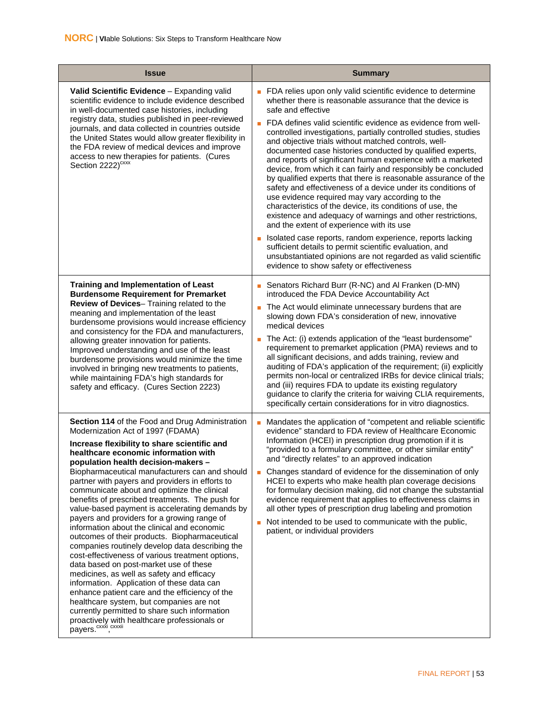| <b>Issue</b>                                                                                                                                                                                                                                                                                                                                                                                                                                                                                                                                                                                                                                                                                                                                                                                                                                                                                                                                                                                                                                                                                                | <b>Summary</b>                                                                                                                                                                                                                                                                                                                                                                                                                                                                                                                                                                                                                                                                                                                                                                                                                                                                                                                                                                                                                                                                                                                             |
|-------------------------------------------------------------------------------------------------------------------------------------------------------------------------------------------------------------------------------------------------------------------------------------------------------------------------------------------------------------------------------------------------------------------------------------------------------------------------------------------------------------------------------------------------------------------------------------------------------------------------------------------------------------------------------------------------------------------------------------------------------------------------------------------------------------------------------------------------------------------------------------------------------------------------------------------------------------------------------------------------------------------------------------------------------------------------------------------------------------|--------------------------------------------------------------------------------------------------------------------------------------------------------------------------------------------------------------------------------------------------------------------------------------------------------------------------------------------------------------------------------------------------------------------------------------------------------------------------------------------------------------------------------------------------------------------------------------------------------------------------------------------------------------------------------------------------------------------------------------------------------------------------------------------------------------------------------------------------------------------------------------------------------------------------------------------------------------------------------------------------------------------------------------------------------------------------------------------------------------------------------------------|
| Valid Scientific Evidence - Expanding valid<br>scientific evidence to include evidence described<br>in well-documented case histories, including<br>registry data, studies published in peer-reviewed<br>journals, and data collected in countries outside<br>the United States would allow greater flexibility in<br>the FDA review of medical devices and improve<br>access to new therapies for patients. (Cures<br>Section 2222) <sup>cxxx</sup>                                                                                                                                                                                                                                                                                                                                                                                                                                                                                                                                                                                                                                                        | • FDA relies upon only valid scientific evidence to determine<br>whether there is reasonable assurance that the device is<br>safe and effective<br>FDA defines valid scientific evidence as evidence from well-<br>controlled investigations, partially controlled studies, studies<br>and objective trials without matched controls, well-<br>documented case histories conducted by qualified experts,<br>and reports of significant human experience with a marketed<br>device, from which it can fairly and responsibly be concluded<br>by qualified experts that there is reasonable assurance of the<br>safety and effectiveness of a device under its conditions of<br>use evidence required may vary according to the<br>characteristics of the device, its conditions of use, the<br>existence and adequacy of warnings and other restrictions,<br>and the extent of experience with its use<br>Isolated case reports, random experience, reports lacking<br>sufficient details to permit scientific evaluation, and<br>unsubstantiated opinions are not regarded as valid scientific<br>evidence to show safety or effectiveness |
| <b>Training and Implementation of Least</b><br><b>Burdensome Requirement for Premarket</b><br>Review of Devices-Training related to the<br>meaning and implementation of the least<br>burdensome provisions would increase efficiency<br>and consistency for the FDA and manufacturers,<br>allowing greater innovation for patients.<br>Improved understanding and use of the least<br>burdensome provisions would minimize the time<br>involved in bringing new treatments to patients,<br>while maintaining FDA's high standards for<br>safety and efficacy. (Cures Section 2223)                                                                                                                                                                                                                                                                                                                                                                                                                                                                                                                         | Senators Richard Burr (R-NC) and Al Franken (D-MN)<br>introduced the FDA Device Accountability Act<br>The Act would eliminate unnecessary burdens that are<br>slowing down FDA's consideration of new, innovative<br>medical devices<br>The Act: (i) extends application of the "least burdensome"<br>requirement to premarket application (PMA) reviews and to<br>all significant decisions, and adds training, review and<br>auditing of FDA's application of the requirement; (ii) explicitly<br>permits non-local or centralized IRBs for device clinical trials;<br>and (iii) requires FDA to update its existing regulatory<br>guidance to clarify the criteria for waiving CLIA requirements,<br>specifically certain considerations for in vitro diagnostics.                                                                                                                                                                                                                                                                                                                                                                      |
| Section 114 of the Food and Drug Administration<br>Modernization Act of 1997 (FDAMA)<br>Increase flexibility to share scientific and<br>healthcare economic information with<br>population health decision-makers -<br>Biopharmaceutical manufacturers can and should<br>partner with payers and providers in efforts to<br>communicate about and optimize the clinical<br>benefits of prescribed treatments. The push for<br>value-based payment is accelerating demands by<br>payers and providers for a growing range of<br>information about the clinical and economic<br>outcomes of their products. Biopharmaceutical<br>companies routinely develop data describing the<br>cost-effectiveness of various treatment options,<br>data based on post-market use of these<br>medicines, as well as safety and efficacy<br>information. Application of these data can<br>enhance patient care and the efficiency of the<br>healthcare system, but companies are not<br>currently permitted to share such information<br>proactively with healthcare professionals or<br>payers. <sup>cxxxi</sup> , cxxxii | Mandates the application of "competent and reliable scientific<br>٠<br>evidence" standard to FDA review of Healthcare Economic<br>Information (HCEI) in prescription drug promotion if it is<br>"provided to a formulary committee, or other similar entity"<br>and "directly relates" to an approved indication<br>Changes standard of evidence for the dissemination of only<br>HCEI to experts who make health plan coverage decisions<br>for formulary decision making, did not change the substantial<br>evidence requirement that applies to effectiveness claims in<br>all other types of prescription drug labeling and promotion<br>Not intended to be used to communicate with the public,<br>patient, or individual providers                                                                                                                                                                                                                                                                                                                                                                                                   |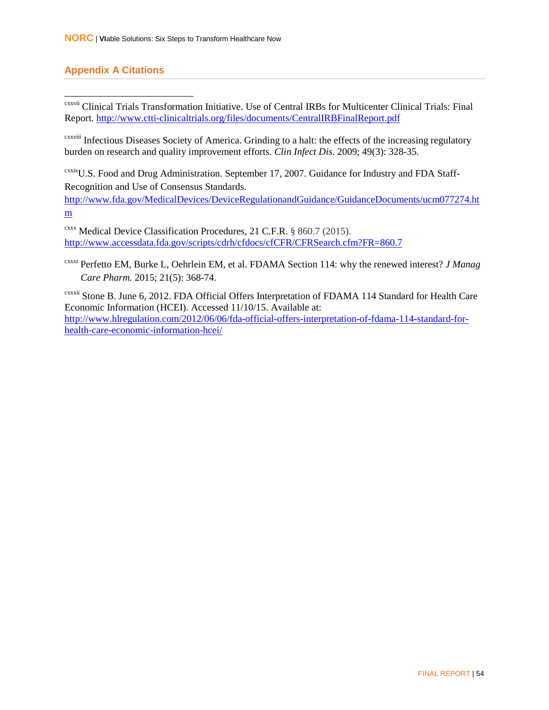#### **Appendix A Citations**

 cxxvii Clinical Trials Transformation Initiative. Use of Central IRBs for Multicenter Clinical Trials: Final Report.<http://www.ctti-clinicaltrials.org/files/documents/CentralIRBFinalReport.pdf>

cxxviii Infectious Diseases Society of America. Grinding to a halt: the effects of the increasing regulatory burden on research and quality improvement efforts. *Clin Infect Dis.* 2009; 49(3): 328-35.

cxxixU.S. Food and Drug Administration. September 17, 2007. Guidance for Industry and FDA Staff-Recognition and Use of Consensus Standards.

[http://www.fda.gov/MedicalDevices/DeviceRegulationandGuidance/GuidanceDocuments/ucm077274.ht](http://www.fda.gov/MedicalDevices/DeviceRegulationandGuidance/GuidanceDocuments/ucm077274.htm) [m](http://www.fda.gov/MedicalDevices/DeviceRegulationandGuidance/GuidanceDocuments/ucm077274.htm)

cxxx Medical Device Classification Procedures, 21 C.F.R. § 860.7 (2015). <http://www.accessdata.fda.gov/scripts/cdrh/cfdocs/cfCFR/CFRSearch.cfm?FR=860.7>

cxxxi Perfetto EM, Burke L, Oehrlein EM, et al. FDAMA Section 114: why the renewed interest? *J Manag Care Pharm.* 2015; 21(5): 368-74.

cxxxii Stone B. June 6, 2012. FDA Official Offers Interpretation of FDAMA 114 Standard for Health Care Economic Information (HCEI). Accessed 11/10/15. Available at: [http://www.hlregulation.com/2012/06/06/fda-official-offers-interpretation-of-fdama-114-standard-for](http://www.hlregulation.com/2012/06/06/fda-official-offers-interpretation-of-fdama-114-standard-for-health-care-economic-information-hcei/)[health-care-economic-information-hcei/](http://www.hlregulation.com/2012/06/06/fda-official-offers-interpretation-of-fdama-114-standard-for-health-care-economic-information-hcei/)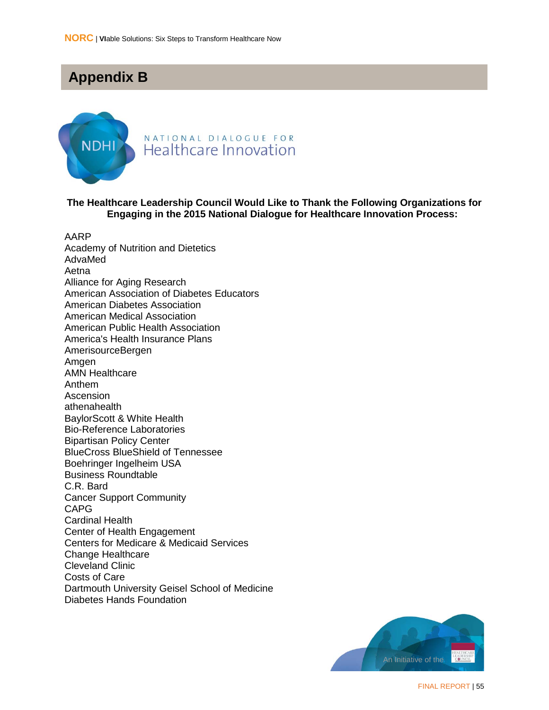### <span id="page-63-0"></span>**Appendix B**



#### NATIONAL DIALOGUE FOR Healthcare Innovation

#### **The Healthcare Leadership Council Would Like to Thank the Following Organizations for Engaging in the 2015 National Dialogue for Healthcare Innovation Process:**

AARP Academy of Nutrition and Dietetics

AdvaMed Aetna Alliance for Aging Research American Association of Diabetes Educators American Diabetes Association American Medical Association American Public Health Association America's Health Insurance Plans AmerisourceBergen Amgen AMN Healthcare Anthem **Ascension** athenahealth BaylorScott & White Health Bio-Reference Laboratories Bipartisan Policy Center BlueCross BlueShield of Tennessee Boehringer Ingelheim USA Business Roundtable C.R. Bard Cancer Support Community CAPG Cardinal Health Center of Health Engagement Centers for Medicare & Medicaid Services Change Healthcare Cleveland Clinic Costs of Care Dartmouth University Geisel School of Medicine Diabetes Hands Foundation

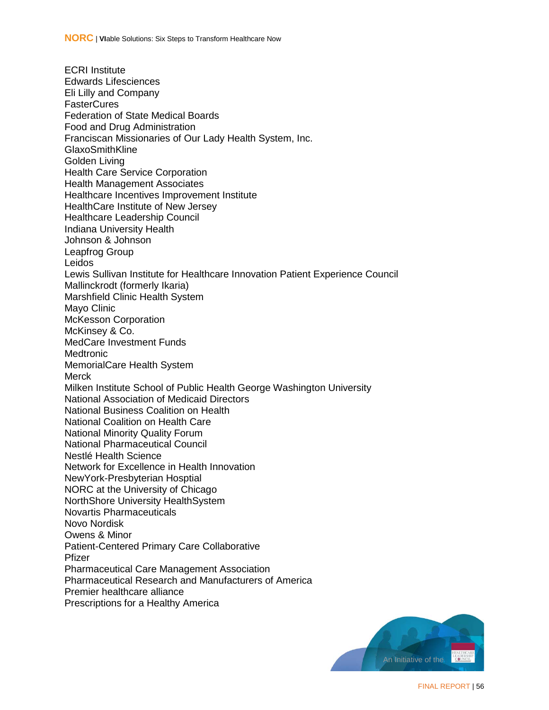ECRI Institute Edwards Lifesciences Eli Lilly and Company **FasterCures** Federation of State Medical Boards Food and Drug Administration Franciscan Missionaries of Our Lady Health System, Inc. GlaxoSmithKline Golden Living Health Care Service Corporation Health Management Associates Healthcare Incentives Improvement Institute HealthCare Institute of New Jersey Healthcare Leadership Council Indiana University Health Johnson & Johnson Leapfrog Group Leidos Lewis Sullivan Institute for Healthcare Innovation Patient Experience Council Mallinckrodt (formerly Ikaria) Marshfield Clinic Health System Mayo Clinic McKesson Corporation McKinsey & Co. MedCare Investment Funds **Medtronic** MemorialCare Health System Merck Milken Institute School of Public Health George Washington University National Association of Medicaid Directors National Business Coalition on Health National Coalition on Health Care National Minority Quality Forum National Pharmaceutical Council Nestlé Health Science Network for Excellence in Health Innovation NewYork-Presbyterian Hosptial NORC at the University of Chicago NorthShore University HealthSystem Novartis Pharmaceuticals Novo Nordisk Owens & Minor Patient-Centered Primary Care Collaborative Pfizer Pharmaceutical Care Management Association Pharmaceutical Research and Manufacturers of America Premier healthcare alliance Prescriptions for a Healthy America